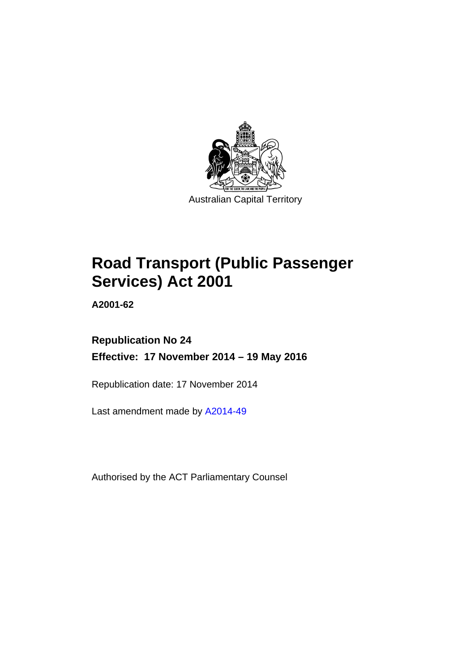

# **Road Transport (Public Passenger Services) Act 2001**

**A2001-62** 

# **Republication No 24 Effective: 17 November 2014 – 19 May 2016**

Republication date: 17 November 2014

Last amendment made by [A2014-49](http://www.legislation.act.gov.au/a/2014-49)

Authorised by the ACT Parliamentary Counsel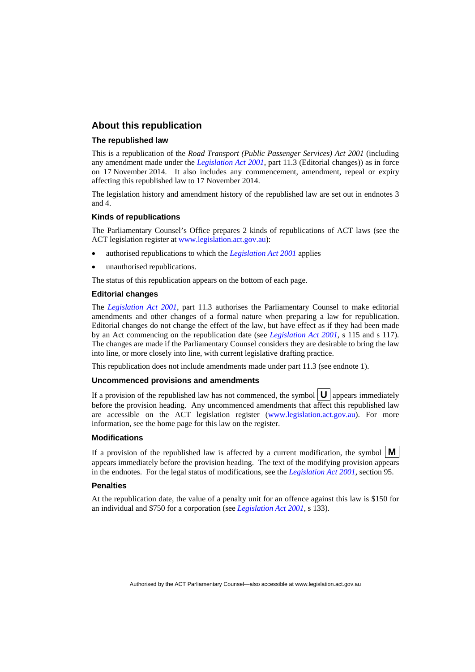#### **About this republication**

#### **The republished law**

This is a republication of the *Road Transport (Public Passenger Services) Act 2001* (including any amendment made under the *[Legislation Act 2001](http://www.legislation.act.gov.au/a/2001-14)*, part 11.3 (Editorial changes)) as in force on 17 November 2014*.* It also includes any commencement, amendment, repeal or expiry affecting this republished law to 17 November 2014.

The legislation history and amendment history of the republished law are set out in endnotes 3 and 4.

#### **Kinds of republications**

The Parliamentary Counsel's Office prepares 2 kinds of republications of ACT laws (see the ACT legislation register at [www.legislation.act.gov.au](http://www.legislation.act.gov.au/)):

- authorised republications to which the *[Legislation Act 2001](http://www.legislation.act.gov.au/a/2001-14)* applies
- unauthorised republications.

The status of this republication appears on the bottom of each page.

#### **Editorial changes**

The *[Legislation Act 2001](http://www.legislation.act.gov.au/a/2001-14)*, part 11.3 authorises the Parliamentary Counsel to make editorial amendments and other changes of a formal nature when preparing a law for republication. Editorial changes do not change the effect of the law, but have effect as if they had been made by an Act commencing on the republication date (see *[Legislation Act 2001](http://www.legislation.act.gov.au/a/2001-14)*, s 115 and s 117). The changes are made if the Parliamentary Counsel considers they are desirable to bring the law into line, or more closely into line, with current legislative drafting practice.

This republication does not include amendments made under part 11.3 (see endnote 1).

#### **Uncommenced provisions and amendments**

If a provision of the republished law has not commenced, the symbol  $\mathbf{U}$  appears immediately before the provision heading. Any uncommenced amendments that affect this republished law are accessible on the ACT legislation register [\(www.legislation.act.gov.au\)](http://www.legislation.act.gov.au/). For more information, see the home page for this law on the register.

#### **Modifications**

If a provision of the republished law is affected by a current modification, the symbol  $\mathbf{M}$ appears immediately before the provision heading. The text of the modifying provision appears in the endnotes. For the legal status of modifications, see the *[Legislation Act 2001](http://www.legislation.act.gov.au/a/2001-14)*, section 95.

#### **Penalties**

At the republication date, the value of a penalty unit for an offence against this law is \$150 for an individual and \$750 for a corporation (see *[Legislation Act 2001](http://www.legislation.act.gov.au/a/2001-14)*, s 133).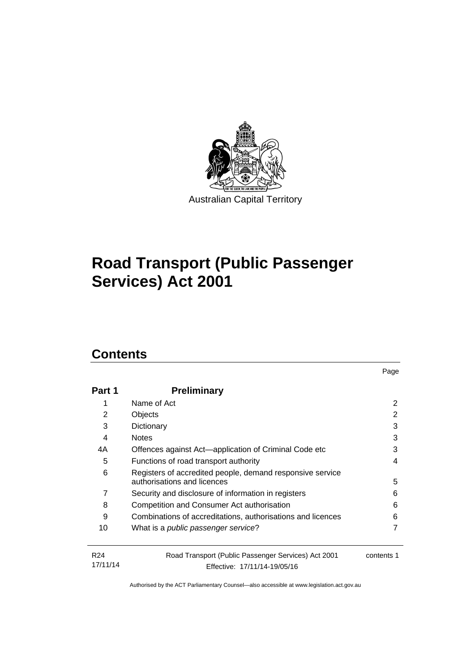

# **Road Transport (Public Passenger Services) Act 2001**

# **Contents**

| <b>Preliminary</b>                                                                       |                              |  |  |
|------------------------------------------------------------------------------------------|------------------------------|--|--|
| Name of Act                                                                              | 2                            |  |  |
| Objects                                                                                  | 2                            |  |  |
| Dictionary                                                                               | 3                            |  |  |
| <b>Notes</b>                                                                             | 3                            |  |  |
| Offences against Act—application of Criminal Code etc                                    | 3                            |  |  |
| 5<br>Functions of road transport authority                                               |                              |  |  |
| Registers of accredited people, demand responsive service<br>authorisations and licences |                              |  |  |
| Security and disclosure of information in registers                                      | 6                            |  |  |
| Competition and Consumer Act authorisation                                               | 6                            |  |  |
| Combinations of accreditations, authorisations and licences                              | 6                            |  |  |
| What is a <i>public passenger service</i> ?                                              |                              |  |  |
| Road Transport (Public Passenger Services) Act 2001                                      | contents 1                   |  |  |
|                                                                                          | Effective: 17/11/14-19/05/16 |  |  |

Page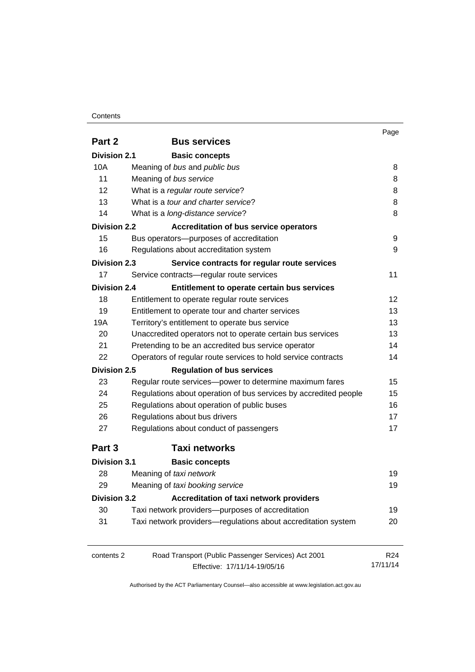#### **Contents**

|                     |                                                                  | Page            |
|---------------------|------------------------------------------------------------------|-----------------|
| Part 2              | <b>Bus services</b>                                              |                 |
| <b>Division 2.1</b> | <b>Basic concepts</b>                                            |                 |
| 10A                 | Meaning of bus and public bus                                    | 8               |
| 11                  | Meaning of bus service                                           | 8               |
| 12                  | What is a regular route service?                                 | 8               |
| 13                  | What is a <i>tour and charter service</i> ?                      | 8               |
| 14                  | What is a long-distance service?                                 | 8               |
| <b>Division 2.2</b> | <b>Accreditation of bus service operators</b>                    |                 |
| 15                  | Bus operators-purposes of accreditation                          | 9               |
| 16                  | Regulations about accreditation system                           | 9               |
| <b>Division 2.3</b> | Service contracts for regular route services                     |                 |
| 17                  | Service contracts-regular route services                         | 11              |
| <b>Division 2.4</b> | Entitlement to operate certain bus services                      |                 |
| 18                  | Entitlement to operate regular route services                    | 12              |
| 19                  | Entitlement to operate tour and charter services                 | 13              |
| 19A                 | Territory's entitlement to operate bus service                   | 13              |
| 20                  | Unaccredited operators not to operate certain bus services       | 13              |
| 21                  | Pretending to be an accredited bus service operator              |                 |
| 22                  | Operators of regular route services to hold service contracts    | 14<br>14        |
| <b>Division 2.5</b> | <b>Regulation of bus services</b>                                |                 |
| 23                  | Regular route services-power to determine maximum fares          | 15              |
| 24                  | Regulations about operation of bus services by accredited people | 15              |
| 25                  | Regulations about operation of public buses                      | 16              |
| 26                  | Regulations about bus drivers                                    | 17              |
| 27                  |                                                                  | 17              |
|                     | Regulations about conduct of passengers                          |                 |
| Part 3              | <b>Taxi networks</b>                                             |                 |
| <b>Division 3.1</b> | <b>Basic concepts</b>                                            |                 |
| 28                  | Meaning of taxi network                                          | 19              |
| 29                  | Meaning of taxi booking service                                  | 19              |
| <b>Division 3.2</b> | Accreditation of taxi network providers                          |                 |
| 30                  | Taxi network providers-purposes of accreditation                 | 19              |
| 31                  | Taxi network providers-regulations about accreditation system    | 20              |
| contents 2          | Road Transport (Public Passenger Services) Act 2001              | R <sub>24</sub> |
|                     | Effective: 17/11/14-19/05/16                                     | 17/11/14        |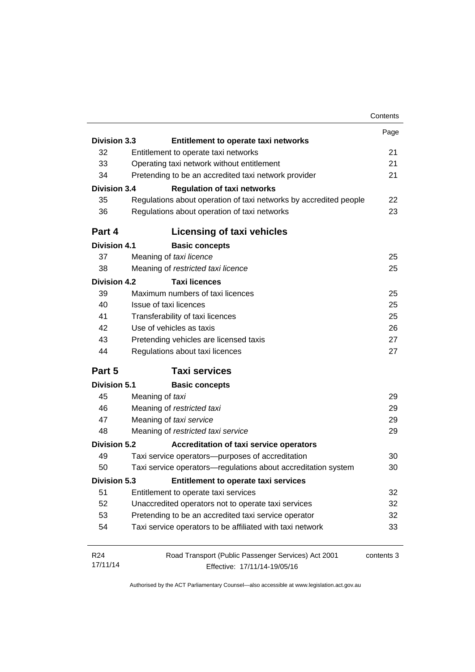|                     |                                                                   | Contents   |
|---------------------|-------------------------------------------------------------------|------------|
|                     |                                                                   | Page       |
| <b>Division 3.3</b> | Entitlement to operate taxi networks                              |            |
| 32                  | Entitlement to operate taxi networks                              | 21         |
| 33                  | Operating taxi network without entitlement                        | 21         |
| 34                  | Pretending to be an accredited taxi network provider              | 21         |
| <b>Division 3.4</b> | <b>Regulation of taxi networks</b>                                |            |
| 35                  | Regulations about operation of taxi networks by accredited people | 22         |
| 36                  | Regulations about operation of taxi networks                      | 23         |
| Part 4              | <b>Licensing of taxi vehicles</b>                                 |            |
| <b>Division 4.1</b> | <b>Basic concepts</b>                                             |            |
| 37                  | Meaning of taxi licence                                           | 25         |
| 38                  | Meaning of restricted taxi licence                                | 25         |
| <b>Division 4.2</b> | <b>Taxi licences</b>                                              |            |
| 39                  | Maximum numbers of taxi licences                                  | 25         |
| 40                  | Issue of taxi licences                                            | 25         |
| 41                  | Transferability of taxi licences                                  | 25         |
| 42                  | Use of vehicles as taxis                                          | 26         |
| 43                  | Pretending vehicles are licensed taxis                            | 27         |
| 44                  | Regulations about taxi licences                                   | 27         |
| Part 5              | <b>Taxi services</b>                                              |            |
| <b>Division 5.1</b> | <b>Basic concepts</b>                                             |            |
| 45                  | Meaning of taxi                                                   | 29         |
| 46                  | Meaning of restricted taxi                                        | 29         |
| 47                  | Meaning of taxi service                                           | 29         |
| 48                  | Meaning of restricted taxi service                                | 29         |
| <b>Division 5.2</b> | Accreditation of taxi service operators                           |            |
| 49                  | Taxi service operators-purposes of accreditation                  | 30         |
| 50                  | Taxi service operators-regulations about accreditation system     | 30         |
| Division 5.3        | Entitlement to operate taxi services                              |            |
| 51                  | Entitlement to operate taxi services                              | 32         |
| 52                  | Unaccredited operators not to operate taxi services               | 32         |
|                     | Pretending to be an accredited taxi service operator              | 32         |
| 53                  |                                                                   |            |
| 54                  | Taxi service operators to be affiliated with taxi network         | 33         |
| R <sub>24</sub>     | Road Transport (Public Passenger Services) Act 2001               | contents 3 |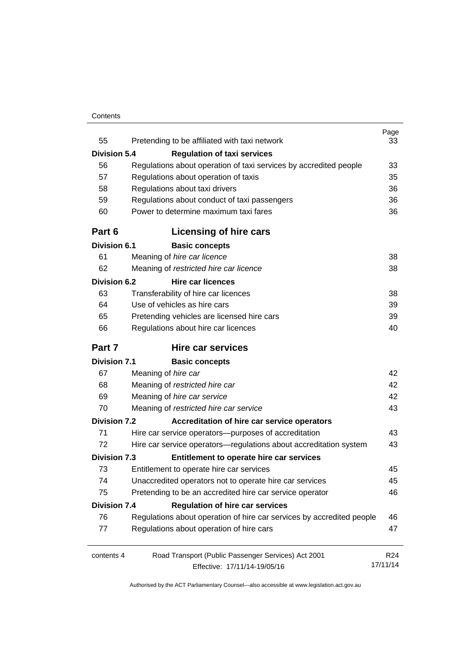#### **Contents**

| 55                  | Pretending to be affiliated with taxi network                         | Page<br>33      |
|---------------------|-----------------------------------------------------------------------|-----------------|
| <b>Division 5.4</b> | <b>Regulation of taxi services</b>                                    |                 |
| 56                  | Regulations about operation of taxi services by accredited people     | 33              |
| 57                  | Regulations about operation of taxis                                  | 35              |
| 58                  | Regulations about taxi drivers                                        | 36              |
| 59                  | Regulations about conduct of taxi passengers                          | 36              |
| 60                  | Power to determine maximum taxi fares                                 | 36              |
| Part 6              | Licensing of hire cars                                                |                 |
| <b>Division 6.1</b> | <b>Basic concepts</b>                                                 |                 |
| 61                  | Meaning of hire car licence                                           | 38              |
| 62                  | Meaning of restricted hire car licence                                | 38              |
| <b>Division 6.2</b> | <b>Hire car licences</b>                                              |                 |
| 63                  | Transferability of hire car licences                                  | 38              |
| 64                  | Use of vehicles as hire cars                                          | 39              |
| 65                  | Pretending vehicles are licensed hire cars                            | 39              |
| 66                  | Regulations about hire car licences                                   | 40              |
| Part 7              | <b>Hire car services</b>                                              |                 |
| <b>Division 7.1</b> | <b>Basic concepts</b>                                                 |                 |
| 67                  | Meaning of hire car                                                   | 42              |
| 68                  | Meaning of restricted hire car                                        | 42              |
| 69                  | Meaning of hire car service                                           | 42              |
| 70                  | Meaning of restricted hire car service                                | 43              |
| <b>Division 7.2</b> | Accreditation of hire car service operators                           |                 |
| 71                  | Hire car service operators—purposes of accreditation                  | 43              |
| 72                  | Hire car service operators—regulations about accreditation system     | 43              |
| <b>Division 7.3</b> | Entitlement to operate hire car services                              |                 |
| 73                  | Entitlement to operate hire car services                              | 45              |
| 74                  | Unaccredited operators not to operate hire car services               | 45              |
| 75                  | Pretending to be an accredited hire car service operator              | 46              |
| <b>Division 7.4</b> | <b>Regulation of hire car services</b>                                |                 |
| 76                  | Regulations about operation of hire car services by accredited people | 46              |
| 77                  | Regulations about operation of hire cars                              | 47              |
| contents 4          | Road Transport (Public Passenger Services) Act 2001                   | R <sub>24</sub> |
|                     | Effective: 17/11/14-19/05/16                                          | 17/11/14        |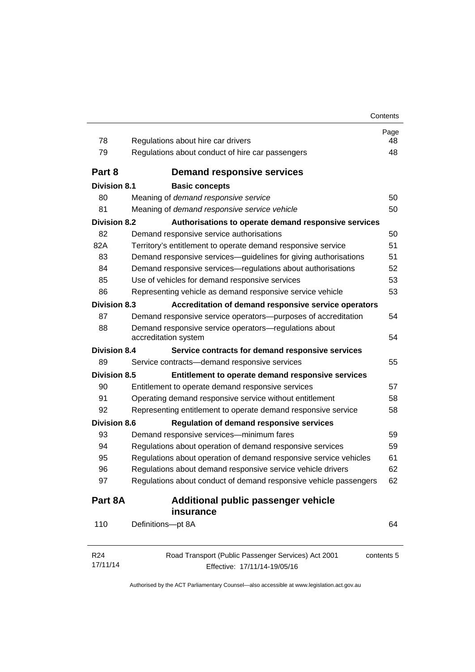| 78                  | Regulations about hire car drivers                                            | Page<br>48 |
|---------------------|-------------------------------------------------------------------------------|------------|
| 79                  | Regulations about conduct of hire car passengers                              | 48         |
| Part 8              | <b>Demand responsive services</b>                                             |            |
| <b>Division 8.1</b> | <b>Basic concepts</b>                                                         |            |
| 80                  | Meaning of demand responsive service                                          | 50         |
| 81                  | Meaning of demand responsive service vehicle                                  | 50         |
| <b>Division 8.2</b> | Authorisations to operate demand responsive services                          |            |
| 82                  | Demand responsive service authorisations                                      | 50         |
| 82A                 | Territory's entitlement to operate demand responsive service                  | 51         |
| 83                  | Demand responsive services-guidelines for giving authorisations               | 51         |
| 84                  | Demand responsive services-regulations about authorisations                   | 52         |
| 85                  | Use of vehicles for demand responsive services                                | 53         |
| 86                  | Representing vehicle as demand responsive service vehicle                     | 53         |
| <b>Division 8.3</b> | Accreditation of demand responsive service operators                          |            |
| 87                  | Demand responsive service operators--purposes of accreditation                | 54         |
| 88                  | Demand responsive service operators-regulations about<br>accreditation system | 54         |
| <b>Division 8.4</b> | Service contracts for demand responsive services                              |            |
| 89                  | Service contracts-demand responsive services                                  | 55         |
| <b>Division 8.5</b> | Entitlement to operate demand responsive services                             |            |
| 90                  | Entitlement to operate demand responsive services                             | 57         |
| 91                  | Operating demand responsive service without entitlement                       | 58         |
| 92                  | Representing entitlement to operate demand responsive service                 | 58         |
| <b>Division 8.6</b> | <b>Regulation of demand responsive services</b>                               |            |
| 93                  | Demand responsive services-minimum fares                                      | 59         |
| 94                  | Regulations about operation of demand responsive services                     | 59         |
| 95                  | Regulations about operation of demand responsive service vehicles             | 61         |
| 96                  | Regulations about demand responsive service vehicle drivers                   | 62         |
| 97                  | Regulations about conduct of demand responsive vehicle passengers             | 62         |
| Part 8A             | Additional public passenger vehicle<br>insurance                              |            |
| 110                 | Definitions-pt 8A                                                             | 64         |
| R <sub>24</sub>     | Road Transport (Public Passenger Services) Act 2001                           | contents 5 |
| 17/11/14            | Effective: 17/11/14-19/05/16                                                  |            |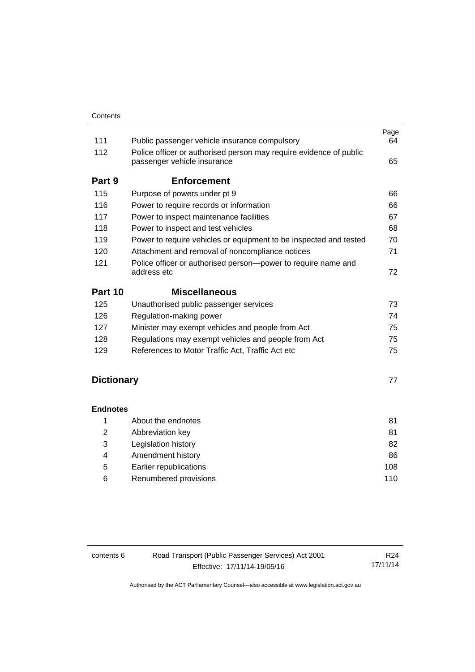| 111               | Public passenger vehicle insurance compulsory                                                     | Page<br>64 |
|-------------------|---------------------------------------------------------------------------------------------------|------------|
| 112               | Police officer or authorised person may require evidence of public<br>passenger vehicle insurance | 65         |
| Part 9            | <b>Enforcement</b>                                                                                |            |
| 115               | Purpose of powers under pt 9                                                                      | 66         |
| 116               | Power to require records or information                                                           | 66         |
| 117               | Power to inspect maintenance facilities                                                           | 67         |
| 118               | Power to inspect and test vehicles                                                                | 68         |
| 119               | Power to require vehicles or equipment to be inspected and tested                                 | 70         |
| 120               | Attachment and removal of noncompliance notices                                                   | 71         |
| 121               | Police officer or authorised person-power to require name and<br>address etc                      | 72         |
| Part 10           | <b>Miscellaneous</b>                                                                              |            |
| 125               | Unauthorised public passenger services                                                            | 73         |
| 126               | Regulation-making power                                                                           | 74         |
| 127               | Minister may exempt vehicles and people from Act                                                  | 75         |
| 128               | Regulations may exempt vehicles and people from Act                                               | 75         |
| 129               | References to Motor Traffic Act, Traffic Act etc                                                  | 75         |
| <b>Dictionary</b> |                                                                                                   | 77         |

#### **[Endnotes](#page-88-0)**

|   | About the endnotes     | 81  |
|---|------------------------|-----|
| 2 | Abbreviation key       | 81  |
| 3 | Legislation history    | 82  |
| 4 | Amendment history      | 86  |
| 5 | Earlier republications | 108 |
| 6 | Renumbered provisions  | 110 |

| contents 6 | Road Transport (Public Passenger Services) Act 2001 | R24      |
|------------|-----------------------------------------------------|----------|
|            | Effective: 17/11/14-19/05/16                        | 17/11/14 |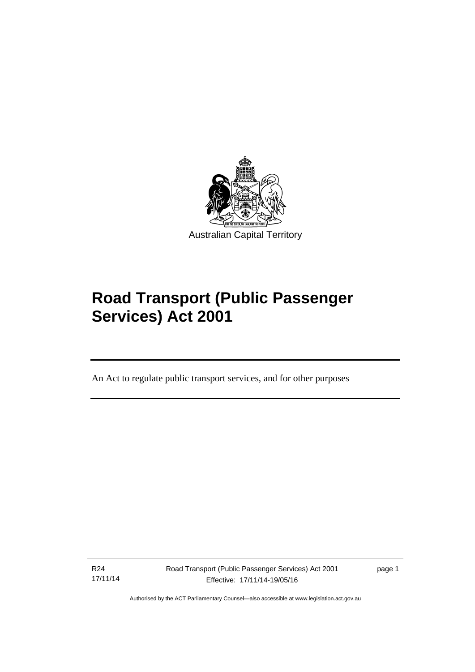

# **Road Transport (Public Passenger Services) Act 2001**

An Act to regulate public transport services, and for other purposes

R24 17/11/14

l

Road Transport (Public Passenger Services) Act 2001 Effective: 17/11/14-19/05/16

page 1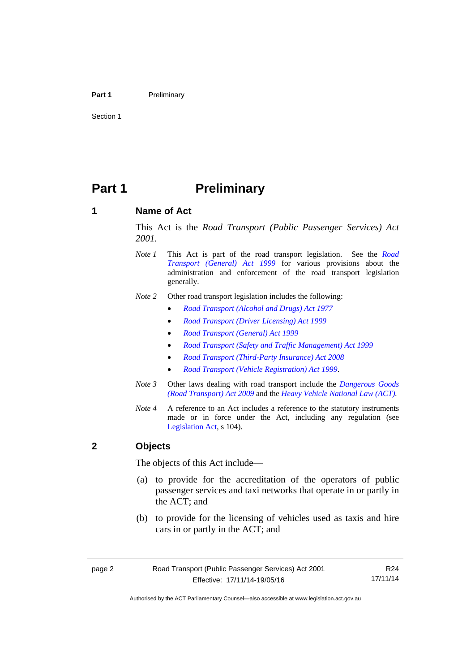#### Part 1 **Preliminary**

Section 1

# <span id="page-9-0"></span>**Part 1** Preliminary

#### <span id="page-9-1"></span>**1 Name of Act**

This Act is the *Road Transport (Public Passenger Services) Act 2001.* 

- *Note 1* This Act is part of the road transport legislation. See the *[Road](http://www.legislation.act.gov.au/a/1999-77)  [Transport \(General\) Act 1999](http://www.legislation.act.gov.au/a/1999-77)* for various provisions about the administration and enforcement of the road transport legislation generally.
- *Note 2* Other road transport legislation includes the following:
	- *[Road Transport \(Alcohol and Drugs\) Act 1977](http://www.legislation.act.gov.au/a/1977-17)*
	- *[Road Transport \(Driver Licensing\) Act 1999](http://www.legislation.act.gov.au/a/1999-78)*
	- *[Road Transport \(General\) Act 1999](http://www.legislation.act.gov.au/a/1999-77)*
	- *[Road Transport \(Safety and Traffic Management\) Act 1999](http://www.legislation.act.gov.au/a/1999-80)*
	- *[Road Transport \(Third-Party Insurance\) Act 2008](http://www.legislation.act.gov.au/a/2008-1)*
	- *[Road Transport \(Vehicle Registration\) Act 1999](http://www.legislation.act.gov.au/a/1999-81)*.
- *Note 3* Other laws dealing with road transport include the *[Dangerous Goods](http://www.legislation.act.gov.au/a/2009-34)  [\(Road Transport\) Act 2009](http://www.legislation.act.gov.au/a/2009-34)* and the *[Heavy Vehicle National Law \(ACT\).](http://www.legislation.act.gov.au/a/db_49155/default.asp)*
- *Note 4* A reference to an Act includes a reference to the statutory instruments made or in force under the Act, including any regulation (see [Legislation Act,](http://www.legislation.act.gov.au/a/2001-14) s 104).

#### <span id="page-9-2"></span>**2 Objects**

The objects of this Act include—

- (a) to provide for the accreditation of the operators of public passenger services and taxi networks that operate in or partly in the ACT; and
- (b) to provide for the licensing of vehicles used as taxis and hire cars in or partly in the ACT; and

R24 17/11/14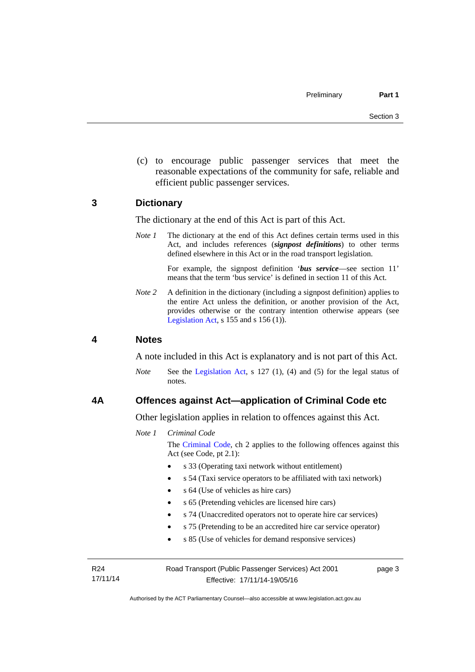(c) to encourage public passenger services that meet the reasonable expectations of the community for safe, reliable and efficient public passenger services.

#### <span id="page-10-0"></span>**3 Dictionary**

The dictionary at the end of this Act is part of this Act.

*Note 1* The dictionary at the end of this Act defines certain terms used in this Act, and includes references (*signpost definitions*) to other terms defined elsewhere in this Act or in the road transport legislation.

> For example, the signpost definition '*bus service*—see section 11' means that the term 'bus service' is defined in section 11 of this Act.

*Note* 2 A definition in the dictionary (including a signpost definition) applies to the entire Act unless the definition, or another provision of the Act, provides otherwise or the contrary intention otherwise appears (see [Legislation Act,](http://www.legislation.act.gov.au/a/2001-14) s  $155$  and s  $156$  (1)).

#### <span id="page-10-1"></span>**4 Notes**

A note included in this Act is explanatory and is not part of this Act.

*Note* See the [Legislation Act](http://www.legislation.act.gov.au/a/2001-14), s 127 (1), (4) and (5) for the legal status of notes.

#### <span id="page-10-2"></span>**4A Offences against Act—application of Criminal Code etc**

Other legislation applies in relation to offences against this Act.

*Note 1 Criminal Code*

The [Criminal Code](http://www.legislation.act.gov.au/a/2002-51), ch 2 applies to the following offences against this Act (see Code, pt 2.1):

- s 33 (Operating taxi network without entitlement)
- s 54 (Taxi service operators to be affiliated with taxi network)
- s 64 (Use of vehicles as hire cars)
- s 65 (Pretending vehicles are licensed hire cars)
- s 74 (Unaccredited operators not to operate hire car services)
- s 75 (Pretending to be an accredited hire car service operator)
- s 85 (Use of vehicles for demand responsive services)

R24 17/11/14 Road Transport (Public Passenger Services) Act 2001 Effective: 17/11/14-19/05/16

page 3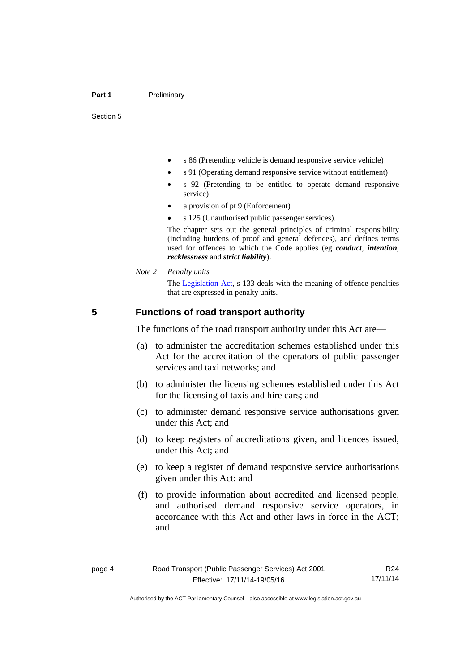Section 5

- s 86 (Pretending vehicle is demand responsive service vehicle)
- s 91 (Operating demand responsive service without entitlement)
- s 92 (Pretending to be entitled to operate demand responsive service)
- a provision of pt 9 (Enforcement)
- s 125 (Unauthorised public passenger services).

The chapter sets out the general principles of criminal responsibility (including burdens of proof and general defences), and defines terms used for offences to which the Code applies (eg *conduct*, *intention*, *recklessness* and *strict liability*).

*Note 2 Penalty units* 

The [Legislation Act](http://www.legislation.act.gov.au/a/2001-14), s 133 deals with the meaning of offence penalties that are expressed in penalty units.

#### <span id="page-11-0"></span>**5 Functions of road transport authority**

The functions of the road transport authority under this Act are—

- (a) to administer the accreditation schemes established under this Act for the accreditation of the operators of public passenger services and taxi networks; and
- (b) to administer the licensing schemes established under this Act for the licensing of taxis and hire cars; and
- (c) to administer demand responsive service authorisations given under this Act; and
- (d) to keep registers of accreditations given, and licences issued, under this Act; and
- (e) to keep a register of demand responsive service authorisations given under this Act; and
- (f) to provide information about accredited and licensed people, and authorised demand responsive service operators, in accordance with this Act and other laws in force in the ACT; and

R24 17/11/14

Authorised by the ACT Parliamentary Counsel—also accessible at www.legislation.act.gov.au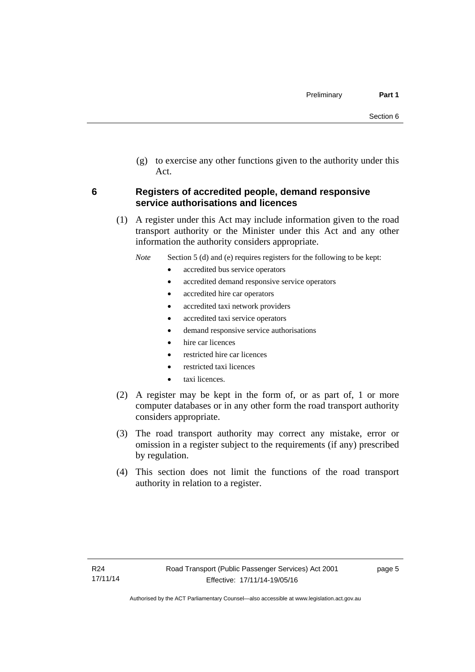(g) to exercise any other functions given to the authority under this Act.

#### <span id="page-12-0"></span>**6 Registers of accredited people, demand responsive service authorisations and licences**

(1) A register under this Act may include information given to the road transport authority or the Minister under this Act and any other information the authority considers appropriate.

*Note* Section 5 (d) and (e) requires registers for the following to be kept:

- accredited bus service operators
- accredited demand responsive service operators
- accredited hire car operators
- accredited taxi network providers
- accredited taxi service operators
- demand responsive service authorisations
- hire car licences
- restricted hire car licences
- restricted taxi licences
- taxi licences.
- (2) A register may be kept in the form of, or as part of, 1 or more computer databases or in any other form the road transport authority considers appropriate.
- (3) The road transport authority may correct any mistake, error or omission in a register subject to the requirements (if any) prescribed by regulation.
- (4) This section does not limit the functions of the road transport authority in relation to a register.

page 5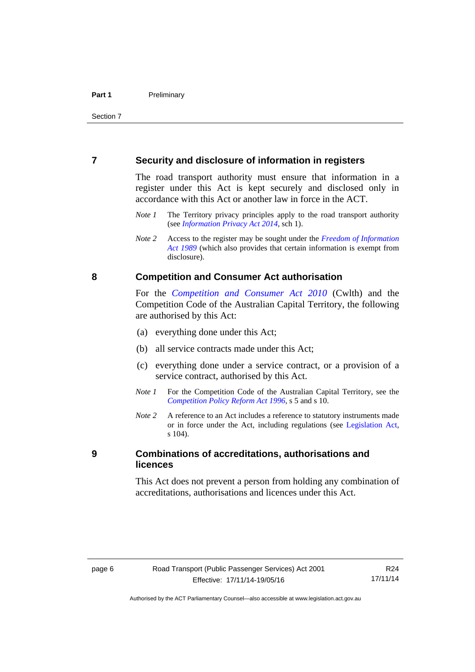#### <span id="page-13-0"></span>**7 Security and disclosure of information in registers**

The road transport authority must ensure that information in a register under this Act is kept securely and disclosed only in accordance with this Act or another law in force in the ACT.

- *Note 1* The Territory privacy principles apply to the road transport authority (see *[Information Privacy Act 2014](http://www.legislation.act.gov.au/a/2014-24/default.asp)*, sch 1).
- *Note 2* Access to the register may be sought under the *[Freedom of Information](http://www.legislation.act.gov.au/a/alt_a1989-46co)  [Act 1989](http://www.legislation.act.gov.au/a/alt_a1989-46co)* (which also provides that certain information is exempt from disclosure).

#### <span id="page-13-1"></span>**8 Competition and Consumer Act authorisation**

For the *[Competition and Consumer Act 2010](http://www.comlaw.gov.au/Details/C2013C00004)* (Cwlth) and the Competition Code of the Australian Capital Territory, the following are authorised by this Act:

- (a) everything done under this Act;
- (b) all service contracts made under this Act;
- (c) everything done under a service contract, or a provision of a service contract, authorised by this Act.
- *Note 1* For the Competition Code of the Australian Capital Territory, see the *[Competition Policy Reform Act 1996](http://www.legislation.act.gov.au/a/1996-21)*, s 5 and s 10.
- *Note 2* A reference to an Act includes a reference to statutory instruments made or in force under the Act, including regulations (see [Legislation Act,](http://www.legislation.act.gov.au/a/2001-14) s 104).

#### <span id="page-13-2"></span>**9 Combinations of accreditations, authorisations and licences**

This Act does not prevent a person from holding any combination of accreditations, authorisations and licences under this Act.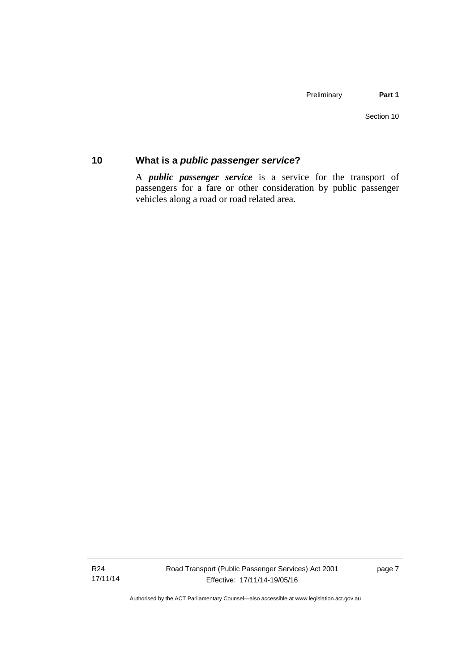#### <span id="page-14-0"></span>**10 What is a** *public passenger service***?**

A *public passenger service* is a service for the transport of passengers for a fare or other consideration by public passenger vehicles along a road or road related area.

R24 17/11/14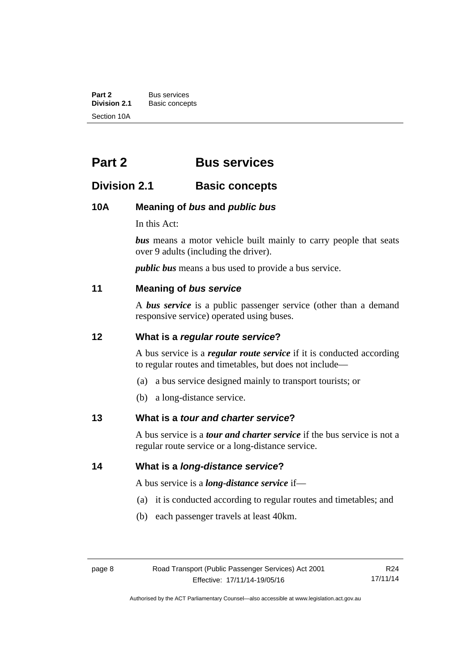**Part 2** Bus services<br> **Division 2.1** Basic concer **Division 2.1** Basic concepts Section 10A

# <span id="page-15-0"></span>**Part 2 Bus services**

### <span id="page-15-1"></span>**Division 2.1 Basic concepts**

#### <span id="page-15-2"></span>**10A Meaning of** *bus* **and** *public bus*

In this Act:

*bus* means a motor vehicle built mainly to carry people that seats over 9 adults (including the driver).

*public bus* means a bus used to provide a bus service.

#### <span id="page-15-3"></span>**11 Meaning of** *bus service*

A *bus service* is a public passenger service (other than a demand responsive service) operated using buses.

#### <span id="page-15-4"></span>**12 What is a** *regular route service***?**

A bus service is a *regular route service* if it is conducted according to regular routes and timetables, but does not include—

- (a) a bus service designed mainly to transport tourists; or
- (b) a long-distance service.

#### <span id="page-15-5"></span>**13 What is a** *tour and charter service***?**

A bus service is a *tour and charter service* if the bus service is not a regular route service or a long-distance service.

<span id="page-15-6"></span>**14 What is a** *long-distance service***?**

A bus service is a *long-distance service* if—

- (a) it is conducted according to regular routes and timetables; and
- (b) each passenger travels at least 40km.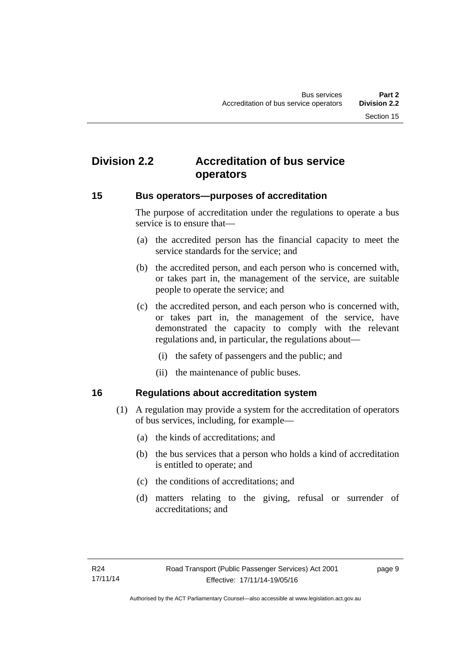# <span id="page-16-0"></span>**Division 2.2 Accreditation of bus service operators**

#### <span id="page-16-1"></span>**15 Bus operators—purposes of accreditation**

The purpose of accreditation under the regulations to operate a bus service is to ensure that—

- (a) the accredited person has the financial capacity to meet the service standards for the service; and
- (b) the accredited person, and each person who is concerned with, or takes part in, the management of the service, are suitable people to operate the service; and
- (c) the accredited person, and each person who is concerned with, or takes part in, the management of the service, have demonstrated the capacity to comply with the relevant regulations and, in particular, the regulations about—
	- (i) the safety of passengers and the public; and
	- (ii) the maintenance of public buses.

#### <span id="page-16-2"></span>**16 Regulations about accreditation system**

- (1) A regulation may provide a system for the accreditation of operators of bus services, including, for example—
	- (a) the kinds of accreditations; and
	- (b) the bus services that a person who holds a kind of accreditation is entitled to operate; and
	- (c) the conditions of accreditations; and
	- (d) matters relating to the giving, refusal or surrender of accreditations; and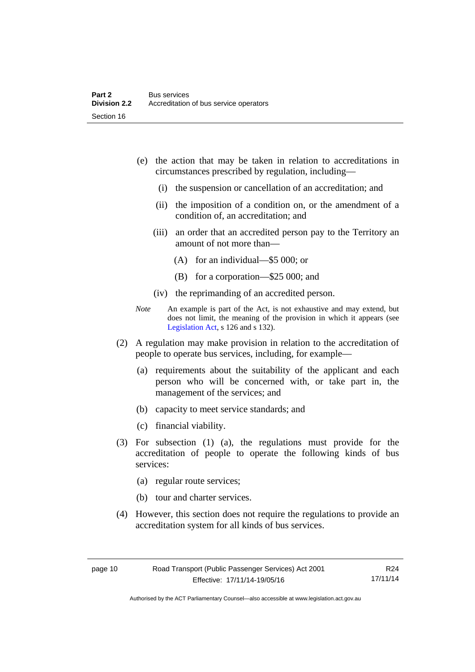- (e) the action that may be taken in relation to accreditations in circumstances prescribed by regulation, including—
	- (i) the suspension or cancellation of an accreditation; and
	- (ii) the imposition of a condition on, or the amendment of a condition of, an accreditation; and
	- (iii) an order that an accredited person pay to the Territory an amount of not more than—
		- (A) for an individual—\$5 000; or
		- (B) for a corporation—\$25 000; and
	- (iv) the reprimanding of an accredited person.
- *Note* An example is part of the Act, is not exhaustive and may extend, but does not limit, the meaning of the provision in which it appears (see [Legislation Act,](http://www.legislation.act.gov.au/a/2001-14) s 126 and s 132).
- (2) A regulation may make provision in relation to the accreditation of people to operate bus services, including, for example—
	- (a) requirements about the suitability of the applicant and each person who will be concerned with, or take part in, the management of the services; and
	- (b) capacity to meet service standards; and
	- (c) financial viability.
- (3) For subsection (1) (a), the regulations must provide for the accreditation of people to operate the following kinds of bus services:
	- (a) regular route services;
	- (b) tour and charter services.
- (4) However, this section does not require the regulations to provide an accreditation system for all kinds of bus services.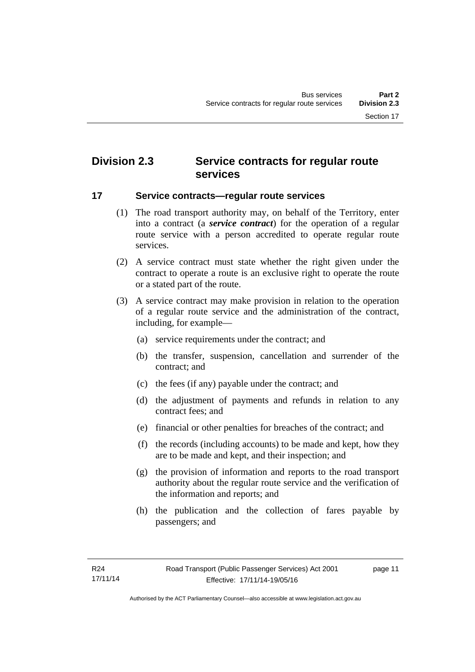# <span id="page-18-0"></span>**Division 2.3 Service contracts for regular route services**

#### <span id="page-18-1"></span>**17 Service contracts—regular route services**

- (1) The road transport authority may, on behalf of the Territory, enter into a contract (a *service contract*) for the operation of a regular route service with a person accredited to operate regular route services.
- (2) A service contract must state whether the right given under the contract to operate a route is an exclusive right to operate the route or a stated part of the route.
- (3) A service contract may make provision in relation to the operation of a regular route service and the administration of the contract, including, for example—
	- (a) service requirements under the contract; and
	- (b) the transfer, suspension, cancellation and surrender of the contract; and
	- (c) the fees (if any) payable under the contract; and
	- (d) the adjustment of payments and refunds in relation to any contract fees; and
	- (e) financial or other penalties for breaches of the contract; and
	- (f) the records (including accounts) to be made and kept, how they are to be made and kept, and their inspection; and
	- (g) the provision of information and reports to the road transport authority about the regular route service and the verification of the information and reports; and
	- (h) the publication and the collection of fares payable by passengers; and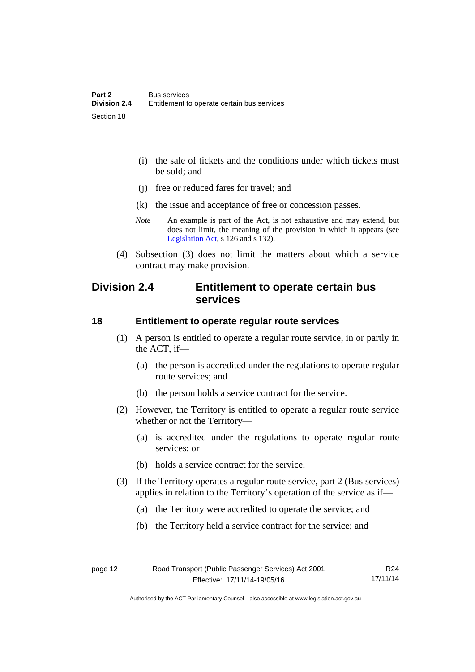- (i) the sale of tickets and the conditions under which tickets must be sold; and
- (j) free or reduced fares for travel; and
- (k) the issue and acceptance of free or concession passes.
- *Note* An example is part of the Act, is not exhaustive and may extend, but does not limit, the meaning of the provision in which it appears (see [Legislation Act,](http://www.legislation.act.gov.au/a/2001-14) s 126 and s 132).
- (4) Subsection (3) does not limit the matters about which a service contract may make provision.

### <span id="page-19-0"></span>**Division 2.4 Entitlement to operate certain bus services**

#### <span id="page-19-1"></span>**18 Entitlement to operate regular route services**

- (1) A person is entitled to operate a regular route service, in or partly in the ACT, if—
	- (a) the person is accredited under the regulations to operate regular route services; and
	- (b) the person holds a service contract for the service.
- (2) However, the Territory is entitled to operate a regular route service whether or not the Territory—
	- (a) is accredited under the regulations to operate regular route services; or
	- (b) holds a service contract for the service.
- (3) If the Territory operates a regular route service, part 2 (Bus services) applies in relation to the Territory's operation of the service as if—
	- (a) the Territory were accredited to operate the service; and
	- (b) the Territory held a service contract for the service; and

Authorised by the ACT Parliamentary Counsel—also accessible at www.legislation.act.gov.au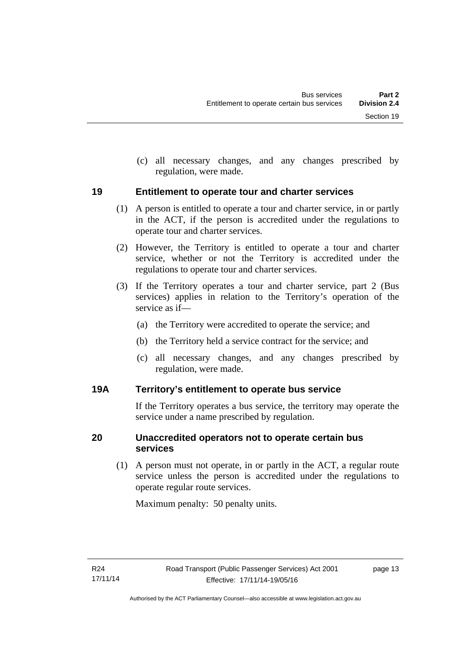(c) all necessary changes, and any changes prescribed by regulation, were made.

#### <span id="page-20-0"></span>**19 Entitlement to operate tour and charter services**

- (1) A person is entitled to operate a tour and charter service, in or partly in the ACT, if the person is accredited under the regulations to operate tour and charter services.
- (2) However, the Territory is entitled to operate a tour and charter service, whether or not the Territory is accredited under the regulations to operate tour and charter services.
- (3) If the Territory operates a tour and charter service, part 2 (Bus services) applies in relation to the Territory's operation of the service as if—
	- (a) the Territory were accredited to operate the service; and
	- (b) the Territory held a service contract for the service; and
	- (c) all necessary changes, and any changes prescribed by regulation, were made.

#### <span id="page-20-1"></span>**19A Territory's entitlement to operate bus service**

If the Territory operates a bus service, the territory may operate the service under a name prescribed by regulation.

#### <span id="page-20-2"></span>**20 Unaccredited operators not to operate certain bus services**

(1) A person must not operate, in or partly in the ACT, a regular route service unless the person is accredited under the regulations to operate regular route services.

Maximum penalty: 50 penalty units.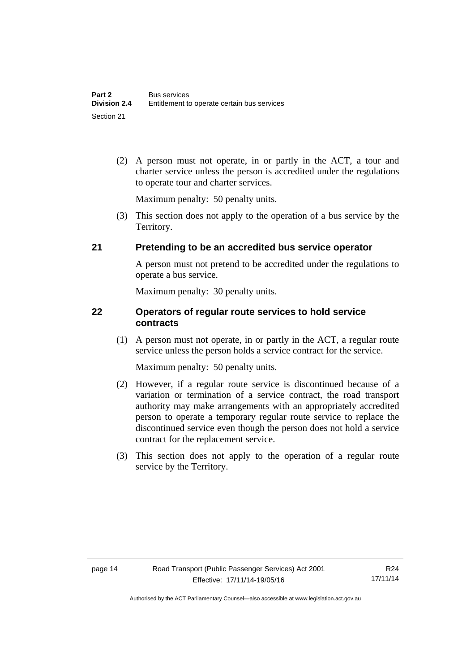(2) A person must not operate, in or partly in the ACT, a tour and charter service unless the person is accredited under the regulations to operate tour and charter services.

Maximum penalty: 50 penalty units.

 (3) This section does not apply to the operation of a bus service by the Territory.

#### <span id="page-21-0"></span>**21 Pretending to be an accredited bus service operator**

A person must not pretend to be accredited under the regulations to operate a bus service.

Maximum penalty: 30 penalty units.

#### <span id="page-21-1"></span>**22 Operators of regular route services to hold service contracts**

(1) A person must not operate, in or partly in the ACT, a regular route service unless the person holds a service contract for the service.

Maximum penalty: 50 penalty units.

- (2) However, if a regular route service is discontinued because of a variation or termination of a service contract, the road transport authority may make arrangements with an appropriately accredited person to operate a temporary regular route service to replace the discontinued service even though the person does not hold a service contract for the replacement service.
- (3) This section does not apply to the operation of a regular route service by the Territory.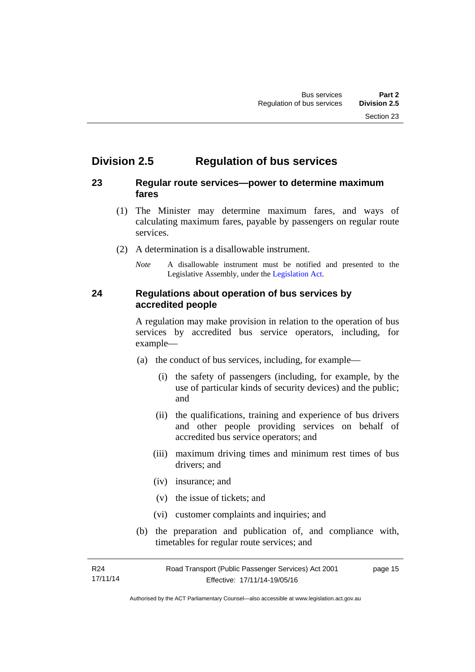# <span id="page-22-0"></span>**Division 2.5 Regulation of bus services**

#### <span id="page-22-1"></span>**23 Regular route services—power to determine maximum fares**

- (1) The Minister may determine maximum fares, and ways of calculating maximum fares, payable by passengers on regular route services.
- (2) A determination is a disallowable instrument.
	- *Note* A disallowable instrument must be notified and presented to the Legislative Assembly, under the [Legislation Act.](http://www.legislation.act.gov.au/a/2001-14)

#### <span id="page-22-2"></span>**24 Regulations about operation of bus services by accredited people**

A regulation may make provision in relation to the operation of bus services by accredited bus service operators, including, for example—

- (a) the conduct of bus services, including, for example—
	- (i) the safety of passengers (including, for example, by the use of particular kinds of security devices) and the public; and
	- (ii) the qualifications, training and experience of bus drivers and other people providing services on behalf of accredited bus service operators; and
	- (iii) maximum driving times and minimum rest times of bus drivers; and
	- (iv) insurance; and
	- (v) the issue of tickets; and
	- (vi) customer complaints and inquiries; and
- (b) the preparation and publication of, and compliance with, timetables for regular route services; and

R24 17/11/14 Road Transport (Public Passenger Services) Act 2001 Effective: 17/11/14-19/05/16 page 15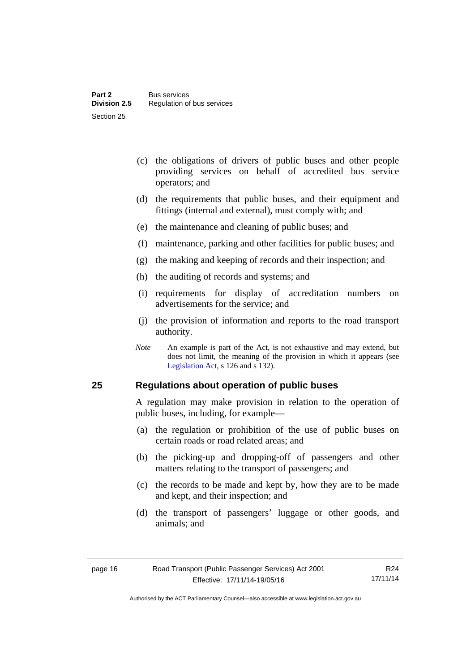- (c) the obligations of drivers of public buses and other people providing services on behalf of accredited bus service operators; and
- (d) the requirements that public buses, and their equipment and fittings (internal and external), must comply with; and
- (e) the maintenance and cleaning of public buses; and
- (f) maintenance, parking and other facilities for public buses; and
- (g) the making and keeping of records and their inspection; and
- (h) the auditing of records and systems; and
- (i) requirements for display of accreditation numbers on advertisements for the service; and
- (j) the provision of information and reports to the road transport authority.
- *Note* An example is part of the Act, is not exhaustive and may extend, but does not limit, the meaning of the provision in which it appears (see [Legislation Act,](http://www.legislation.act.gov.au/a/2001-14) s 126 and s 132).

#### <span id="page-23-0"></span>**25 Regulations about operation of public buses**

A regulation may make provision in relation to the operation of public buses, including, for example—

- (a) the regulation or prohibition of the use of public buses on certain roads or road related areas; and
- (b) the picking-up and dropping-off of passengers and other matters relating to the transport of passengers; and
- (c) the records to be made and kept by, how they are to be made and kept, and their inspection; and
- (d) the transport of passengers' luggage or other goods, and animals; and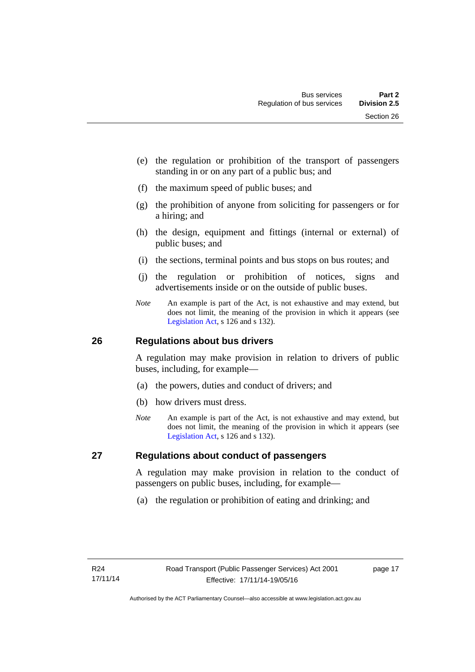- (e) the regulation or prohibition of the transport of passengers standing in or on any part of a public bus; and
- (f) the maximum speed of public buses; and
- (g) the prohibition of anyone from soliciting for passengers or for a hiring; and
- (h) the design, equipment and fittings (internal or external) of public buses; and
- (i) the sections, terminal points and bus stops on bus routes; and
- (j) the regulation or prohibition of notices, signs and advertisements inside or on the outside of public buses.
- *Note* An example is part of the Act, is not exhaustive and may extend, but does not limit, the meaning of the provision in which it appears (see [Legislation Act,](http://www.legislation.act.gov.au/a/2001-14) s 126 and s 132).

#### <span id="page-24-0"></span>**26 Regulations about bus drivers**

A regulation may make provision in relation to drivers of public buses, including, for example—

- (a) the powers, duties and conduct of drivers; and
- (b) how drivers must dress.
- *Note* An example is part of the Act, is not exhaustive and may extend, but does not limit, the meaning of the provision in which it appears (see [Legislation Act,](http://www.legislation.act.gov.au/a/2001-14) s 126 and s 132).

#### <span id="page-24-1"></span>**27 Regulations about conduct of passengers**

A regulation may make provision in relation to the conduct of passengers on public buses, including, for example—

(a) the regulation or prohibition of eating and drinking; and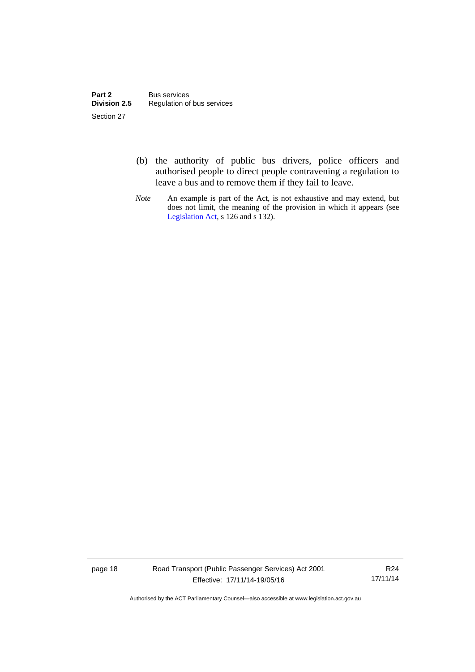- (b) the authority of public bus drivers, police officers and authorised people to direct people contravening a regulation to leave a bus and to remove them if they fail to leave.
- *Note* An example is part of the Act, is not exhaustive and may extend, but does not limit, the meaning of the provision in which it appears (see [Legislation Act,](http://www.legislation.act.gov.au/a/2001-14) s 126 and s 132).

page 18 Road Transport (Public Passenger Services) Act 2001 Effective: 17/11/14-19/05/16

R24 17/11/14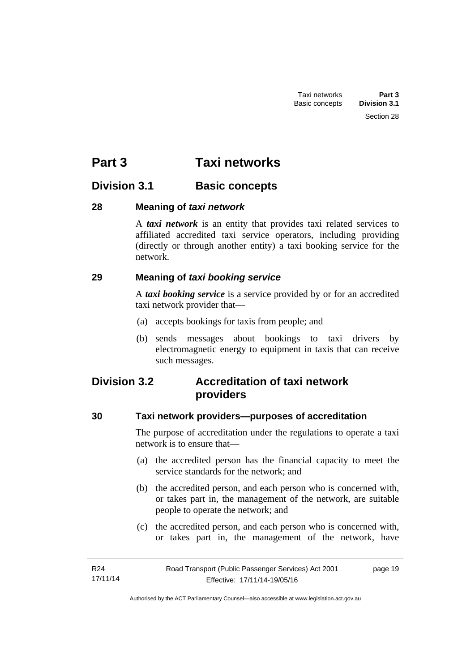# <span id="page-26-0"></span>**Part 3 Taxi networks**

# <span id="page-26-1"></span>**Division 3.1 Basic concepts**

#### <span id="page-26-2"></span>**28 Meaning of** *taxi network*

A *taxi network* is an entity that provides taxi related services to affiliated accredited taxi service operators, including providing (directly or through another entity) a taxi booking service for the network.

#### <span id="page-26-3"></span>**29 Meaning of** *taxi booking service*

A *taxi booking service* is a service provided by or for an accredited taxi network provider that—

- (a) accepts bookings for taxis from people; and
- (b) sends messages about bookings to taxi drivers by electromagnetic energy to equipment in taxis that can receive such messages.

# <span id="page-26-4"></span>**Division 3.2 Accreditation of taxi network providers**

### <span id="page-26-5"></span>**30 Taxi network providers—purposes of accreditation**

The purpose of accreditation under the regulations to operate a taxi network is to ensure that—

- (a) the accredited person has the financial capacity to meet the service standards for the network; and
- (b) the accredited person, and each person who is concerned with, or takes part in, the management of the network, are suitable people to operate the network; and
- (c) the accredited person, and each person who is concerned with, or takes part in, the management of the network, have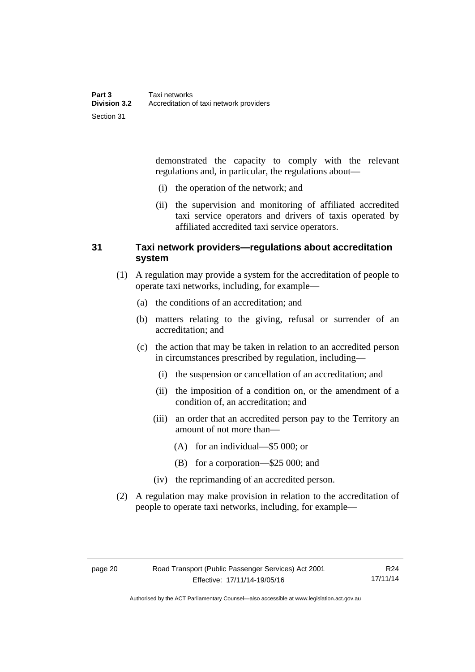demonstrated the capacity to comply with the relevant regulations and, in particular, the regulations about—

- (i) the operation of the network; and
- (ii) the supervision and monitoring of affiliated accredited taxi service operators and drivers of taxis operated by affiliated accredited taxi service operators.

#### <span id="page-27-0"></span>**31 Taxi network providers—regulations about accreditation system**

- (1) A regulation may provide a system for the accreditation of people to operate taxi networks, including, for example—
	- (a) the conditions of an accreditation; and
	- (b) matters relating to the giving, refusal or surrender of an accreditation; and
	- (c) the action that may be taken in relation to an accredited person in circumstances prescribed by regulation, including—
		- (i) the suspension or cancellation of an accreditation; and
		- (ii) the imposition of a condition on, or the amendment of a condition of, an accreditation; and
		- (iii) an order that an accredited person pay to the Territory an amount of not more than—
			- (A) for an individual—\$5 000; or
			- (B) for a corporation—\$25 000; and
		- (iv) the reprimanding of an accredited person.
- (2) A regulation may make provision in relation to the accreditation of people to operate taxi networks, including, for example—

R24 17/11/14

Authorised by the ACT Parliamentary Counsel—also accessible at www.legislation.act.gov.au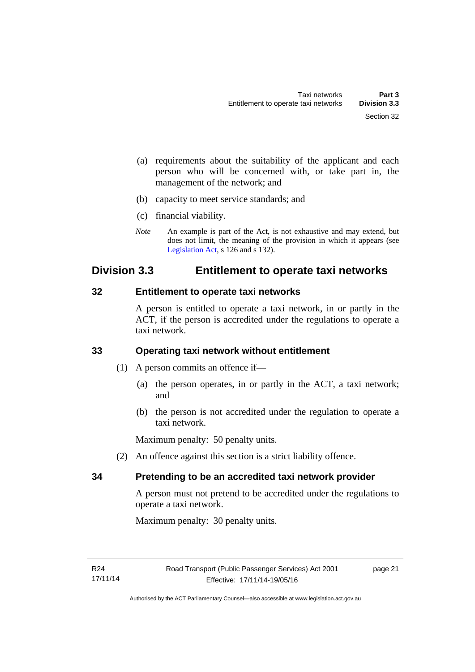- (a) requirements about the suitability of the applicant and each person who will be concerned with, or take part in, the management of the network; and
- (b) capacity to meet service standards; and
- (c) financial viability.
- *Note* An example is part of the Act, is not exhaustive and may extend, but does not limit, the meaning of the provision in which it appears (see [Legislation Act,](http://www.legislation.act.gov.au/a/2001-14) s 126 and s 132).

## <span id="page-28-0"></span>**Division 3.3 Entitlement to operate taxi networks**

#### <span id="page-28-1"></span>**32 Entitlement to operate taxi networks**

A person is entitled to operate a taxi network, in or partly in the ACT, if the person is accredited under the regulations to operate a taxi network.

#### <span id="page-28-2"></span>**33 Operating taxi network without entitlement**

- (1) A person commits an offence if—
	- (a) the person operates, in or partly in the ACT, a taxi network; and
	- (b) the person is not accredited under the regulation to operate a taxi network.

Maximum penalty: 50 penalty units.

(2) An offence against this section is a strict liability offence.

#### <span id="page-28-3"></span>**34 Pretending to be an accredited taxi network provider**

A person must not pretend to be accredited under the regulations to operate a taxi network.

Maximum penalty: 30 penalty units.

page 21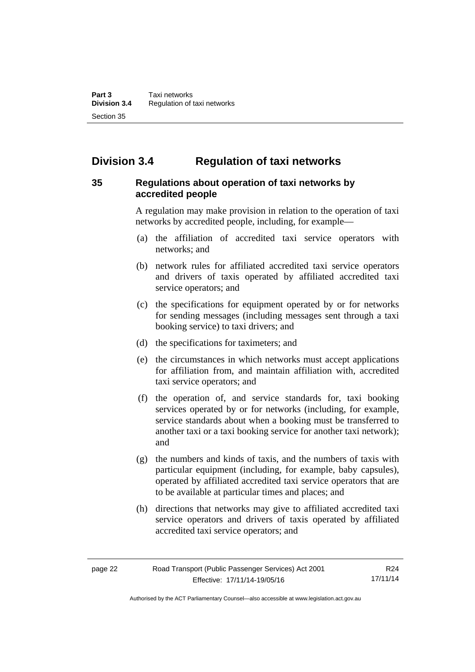# <span id="page-29-0"></span>**Division 3.4 Regulation of taxi networks**

#### <span id="page-29-1"></span>**35 Regulations about operation of taxi networks by accredited people**

A regulation may make provision in relation to the operation of taxi networks by accredited people, including, for example—

- (a) the affiliation of accredited taxi service operators with networks; and
- (b) network rules for affiliated accredited taxi service operators and drivers of taxis operated by affiliated accredited taxi service operators; and
- (c) the specifications for equipment operated by or for networks for sending messages (including messages sent through a taxi booking service) to taxi drivers; and
- (d) the specifications for taximeters; and
- (e) the circumstances in which networks must accept applications for affiliation from, and maintain affiliation with, accredited taxi service operators; and
- (f) the operation of, and service standards for, taxi booking services operated by or for networks (including, for example, service standards about when a booking must be transferred to another taxi or a taxi booking service for another taxi network); and
- (g) the numbers and kinds of taxis, and the numbers of taxis with particular equipment (including, for example, baby capsules), operated by affiliated accredited taxi service operators that are to be available at particular times and places; and
- (h) directions that networks may give to affiliated accredited taxi service operators and drivers of taxis operated by affiliated accredited taxi service operators; and

|--|--|

Authorised by the ACT Parliamentary Counsel—also accessible at www.legislation.act.gov.au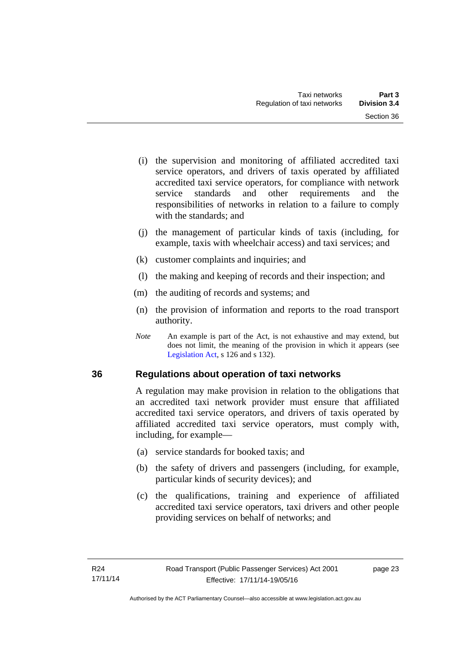- (i) the supervision and monitoring of affiliated accredited taxi service operators, and drivers of taxis operated by affiliated accredited taxi service operators, for compliance with network service standards and other requirements and the responsibilities of networks in relation to a failure to comply with the standards; and
- (j) the management of particular kinds of taxis (including, for example, taxis with wheelchair access) and taxi services; and
- (k) customer complaints and inquiries; and
- (l) the making and keeping of records and their inspection; and
- (m) the auditing of records and systems; and
- (n) the provision of information and reports to the road transport authority.
- *Note* An example is part of the Act, is not exhaustive and may extend, but does not limit, the meaning of the provision in which it appears (see [Legislation Act,](http://www.legislation.act.gov.au/a/2001-14) s 126 and s 132).

#### <span id="page-30-0"></span>**36 Regulations about operation of taxi networks**

A regulation may make provision in relation to the obligations that an accredited taxi network provider must ensure that affiliated accredited taxi service operators, and drivers of taxis operated by affiliated accredited taxi service operators, must comply with, including, for example—

- (a) service standards for booked taxis; and
- (b) the safety of drivers and passengers (including, for example, particular kinds of security devices); and
- (c) the qualifications, training and experience of affiliated accredited taxi service operators, taxi drivers and other people providing services on behalf of networks; and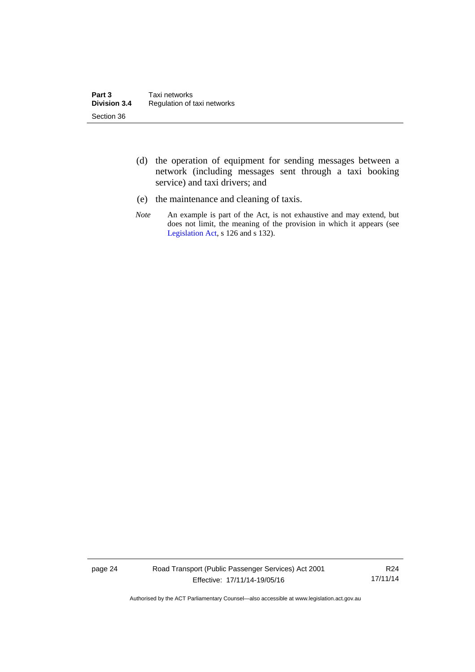- (d) the operation of equipment for sending messages between a network (including messages sent through a taxi booking service) and taxi drivers; and
- (e) the maintenance and cleaning of taxis.
- *Note* An example is part of the Act, is not exhaustive and may extend, but does not limit, the meaning of the provision in which it appears (see [Legislation Act,](http://www.legislation.act.gov.au/a/2001-14) s 126 and s 132).

page 24 Road Transport (Public Passenger Services) Act 2001 Effective: 17/11/14-19/05/16

R24 17/11/14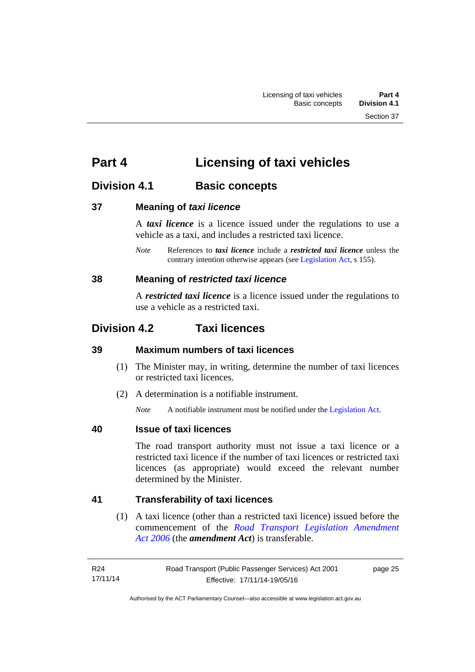# <span id="page-32-0"></span>**Part 4 Licensing of taxi vehicles**

# <span id="page-32-1"></span>**Division 4.1 Basic concepts**

#### <span id="page-32-2"></span>**37 Meaning of** *taxi licence*

A *taxi licence* is a licence issued under the regulations to use a vehicle as a taxi, and includes a restricted taxi licence.

*Note* References to *taxi licence* include a *restricted taxi licence* unless the contrary intention otherwise appears (see [Legislation Act,](http://www.legislation.act.gov.au/a/2001-14) s 155).

#### <span id="page-32-3"></span>**38 Meaning of** *restricted taxi licence*

A *restricted taxi licence* is a licence issued under the regulations to use a vehicle as a restricted taxi.

# <span id="page-32-4"></span>**Division 4.2 Taxi licences**

#### <span id="page-32-5"></span>**39 Maximum numbers of taxi licences**

- (1) The Minister may, in writing, determine the number of taxi licences or restricted taxi licences.
- (2) A determination is a notifiable instrument.

*Note* A notifiable instrument must be notified under the [Legislation Act](http://www.legislation.act.gov.au/a/2001-14).

#### <span id="page-32-6"></span>**40 Issue of taxi licences**

The road transport authority must not issue a taxi licence or a restricted taxi licence if the number of taxi licences or restricted taxi licences (as appropriate) would exceed the relevant number determined by the Minister.

#### <span id="page-32-7"></span>**41 Transferability of taxi licences**

(1) A taxi licence (other than a restricted taxi licence) issued before the commencement of the *[Road Transport Legislation Amendment](http://www.legislation.act.gov.au/a/2006-26)  [Act 2006](http://www.legislation.act.gov.au/a/2006-26)* (the *amendment Act*) is transferable.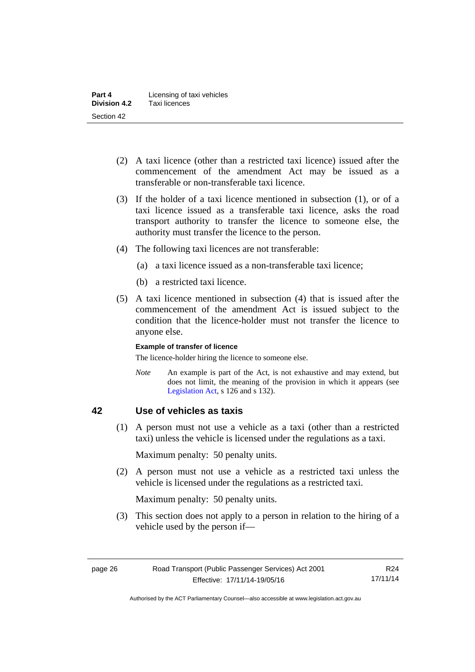- (2) A taxi licence (other than a restricted taxi licence) issued after the commencement of the amendment Act may be issued as a transferable or non-transferable taxi licence.
- (3) If the holder of a taxi licence mentioned in subsection (1), or of a taxi licence issued as a transferable taxi licence, asks the road transport authority to transfer the licence to someone else, the authority must transfer the licence to the person.
- (4) The following taxi licences are not transferable:
	- (a) a taxi licence issued as a non-transferable taxi licence;
	- (b) a restricted taxi licence.
- (5) A taxi licence mentioned in subsection (4) that is issued after the commencement of the amendment Act is issued subject to the condition that the licence-holder must not transfer the licence to anyone else.

#### **Example of transfer of licence**

The licence-holder hiring the licence to someone else.

*Note* An example is part of the Act, is not exhaustive and may extend, but does not limit, the meaning of the provision in which it appears (see [Legislation Act,](http://www.legislation.act.gov.au/a/2001-14) s 126 and s 132).

#### <span id="page-33-0"></span>**42 Use of vehicles as taxis**

 (1) A person must not use a vehicle as a taxi (other than a restricted taxi) unless the vehicle is licensed under the regulations as a taxi.

Maximum penalty: 50 penalty units.

 (2) A person must not use a vehicle as a restricted taxi unless the vehicle is licensed under the regulations as a restricted taxi.

Maximum penalty: 50 penalty units.

 (3) This section does not apply to a person in relation to the hiring of a vehicle used by the person if—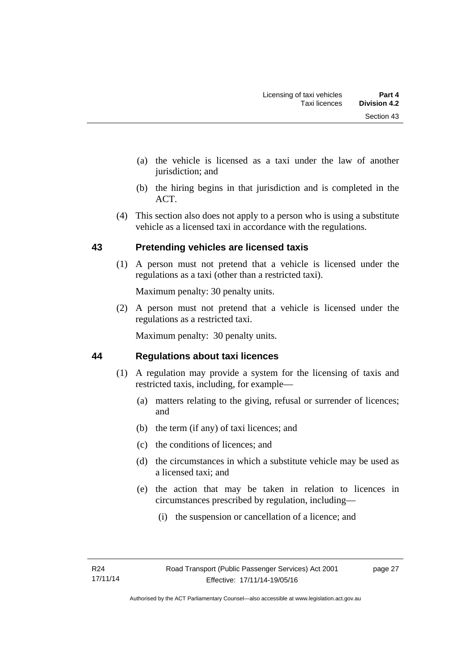- (a) the vehicle is licensed as a taxi under the law of another jurisdiction; and
- (b) the hiring begins in that jurisdiction and is completed in the ACT.
- (4) This section also does not apply to a person who is using a substitute vehicle as a licensed taxi in accordance with the regulations.

#### <span id="page-34-0"></span>**43 Pretending vehicles are licensed taxis**

(1) A person must not pretend that a vehicle is licensed under the regulations as a taxi (other than a restricted taxi).

Maximum penalty: 30 penalty units.

 (2) A person must not pretend that a vehicle is licensed under the regulations as a restricted taxi.

Maximum penalty: 30 penalty units.

#### <span id="page-34-1"></span>**44 Regulations about taxi licences**

- (1) A regulation may provide a system for the licensing of taxis and restricted taxis, including, for example—
	- (a) matters relating to the giving, refusal or surrender of licences; and
	- (b) the term (if any) of taxi licences; and
	- (c) the conditions of licences; and
	- (d) the circumstances in which a substitute vehicle may be used as a licensed taxi; and
	- (e) the action that may be taken in relation to licences in circumstances prescribed by regulation, including—
		- (i) the suspension or cancellation of a licence; and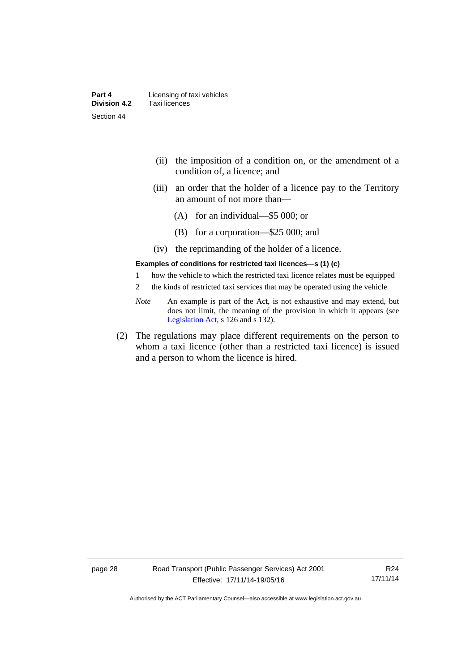| Part 4              | Licensing of taxi vehicles |
|---------------------|----------------------------|
| <b>Division 4.2</b> | Taxi licences              |
| Section 44          |                            |

- (ii) the imposition of a condition on, or the amendment of a condition of, a licence; and
- (iii) an order that the holder of a licence pay to the Territory an amount of not more than—
	- (A) for an individual—\$5 000; or
	- (B) for a corporation—\$25 000; and
- (iv) the reprimanding of the holder of a licence.

#### **Examples of conditions for restricted taxi licences—s (1) (c)**

- 1 how the vehicle to which the restricted taxi licence relates must be equipped
- 2 the kinds of restricted taxi services that may be operated using the vehicle
- *Note* An example is part of the Act, is not exhaustive and may extend, but does not limit, the meaning of the provision in which it appears (see [Legislation Act,](http://www.legislation.act.gov.au/a/2001-14) s 126 and s 132).
- (2) The regulations may place different requirements on the person to whom a taxi licence (other than a restricted taxi licence) is issued and a person to whom the licence is hired.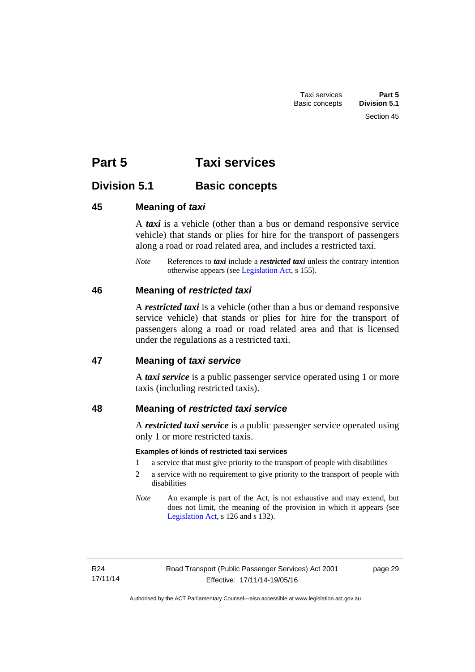# **Part 5 Taxi services**

## **Division 5.1 Basic concepts**

## **45 Meaning of** *taxi*

A *taxi* is a vehicle (other than a bus or demand responsive service vehicle) that stands or plies for hire for the transport of passengers along a road or road related area, and includes a restricted taxi.

*Note* References to *taxi* include a *restricted taxi* unless the contrary intention otherwise appears (see [Legislation Act,](http://www.legislation.act.gov.au/a/2001-14) s 155).

## **46 Meaning of** *restricted taxi*

A *restricted taxi* is a vehicle (other than a bus or demand responsive service vehicle) that stands or plies for hire for the transport of passengers along a road or road related area and that is licensed under the regulations as a restricted taxi.

## **47 Meaning of** *taxi service*

A *taxi service* is a public passenger service operated using 1 or more taxis (including restricted taxis).

## **48 Meaning of** *restricted taxi service*

A *restricted taxi service* is a public passenger service operated using only 1 or more restricted taxis.

## **Examples of kinds of restricted taxi services**

- 1 a service that must give priority to the transport of people with disabilities
- 2 a service with no requirement to give priority to the transport of people with disabilities
- *Note* An example is part of the Act, is not exhaustive and may extend, but does not limit, the meaning of the provision in which it appears (see [Legislation Act,](http://www.legislation.act.gov.au/a/2001-14) s 126 and s 132).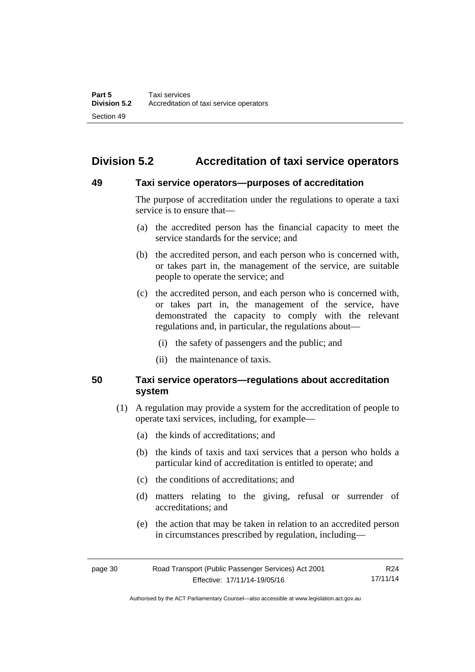# **Division 5.2 Accreditation of taxi service operators**

## **49 Taxi service operators—purposes of accreditation**

The purpose of accreditation under the regulations to operate a taxi service is to ensure that—

- (a) the accredited person has the financial capacity to meet the service standards for the service; and
- (b) the accredited person, and each person who is concerned with, or takes part in, the management of the service, are suitable people to operate the service; and
- (c) the accredited person, and each person who is concerned with, or takes part in, the management of the service, have demonstrated the capacity to comply with the relevant regulations and, in particular, the regulations about—
	- (i) the safety of passengers and the public; and
	- (ii) the maintenance of taxis.

## **50 Taxi service operators—regulations about accreditation system**

- (1) A regulation may provide a system for the accreditation of people to operate taxi services, including, for example—
	- (a) the kinds of accreditations; and
	- (b) the kinds of taxis and taxi services that a person who holds a particular kind of accreditation is entitled to operate; and
	- (c) the conditions of accreditations; and
	- (d) matters relating to the giving, refusal or surrender of accreditations; and
	- (e) the action that may be taken in relation to an accredited person in circumstances prescribed by regulation, including—

page 30 Road Transport (Public Passenger Services) Act 2001 Effective: 17/11/14-19/05/16 R24 17/11/14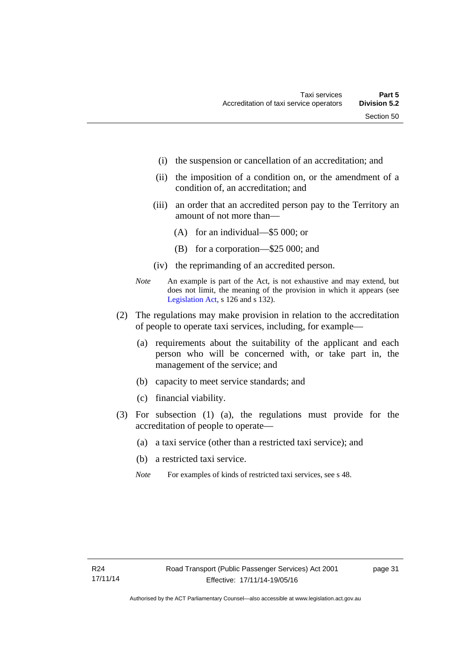- (i) the suspension or cancellation of an accreditation; and
- (ii) the imposition of a condition on, or the amendment of a condition of, an accreditation; and
- (iii) an order that an accredited person pay to the Territory an amount of not more than—
	- (A) for an individual—\$5 000; or
	- (B) for a corporation—\$25 000; and
- (iv) the reprimanding of an accredited person.
- *Note* An example is part of the Act, is not exhaustive and may extend, but does not limit, the meaning of the provision in which it appears (see [Legislation Act,](http://www.legislation.act.gov.au/a/2001-14) s 126 and s 132).
- (2) The regulations may make provision in relation to the accreditation of people to operate taxi services, including, for example—
	- (a) requirements about the suitability of the applicant and each person who will be concerned with, or take part in, the management of the service; and
	- (b) capacity to meet service standards; and
	- (c) financial viability.
- (3) For subsection (1) (a), the regulations must provide for the accreditation of people to operate—
	- (a) a taxi service (other than a restricted taxi service); and
	- (b) a restricted taxi service.
	- *Note* For examples of kinds of restricted taxi services, see s 48.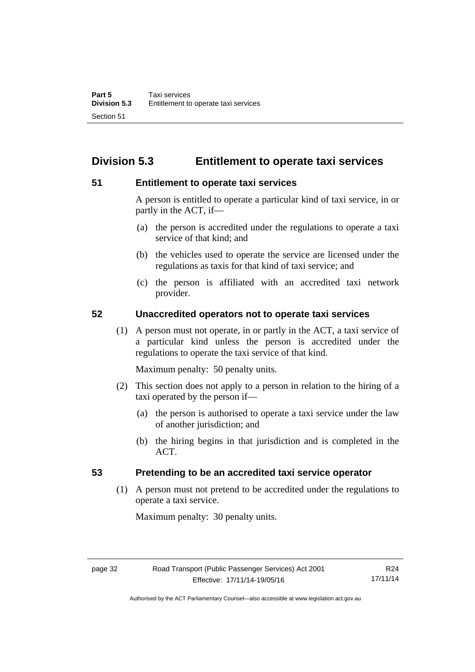# **Division 5.3 Entitlement to operate taxi services**

## **51 Entitlement to operate taxi services**

A person is entitled to operate a particular kind of taxi service, in or partly in the ACT, if—

- (a) the person is accredited under the regulations to operate a taxi service of that kind; and
- (b) the vehicles used to operate the service are licensed under the regulations as taxis for that kind of taxi service; and
- (c) the person is affiliated with an accredited taxi network provider.

## **52 Unaccredited operators not to operate taxi services**

(1) A person must not operate, in or partly in the ACT, a taxi service of a particular kind unless the person is accredited under the regulations to operate the taxi service of that kind.

Maximum penalty: 50 penalty units.

- (2) This section does not apply to a person in relation to the hiring of a taxi operated by the person if—
	- (a) the person is authorised to operate a taxi service under the law of another jurisdiction; and
	- (b) the hiring begins in that jurisdiction and is completed in the ACT.

## **53 Pretending to be an accredited taxi service operator**

(1) A person must not pretend to be accredited under the regulations to operate a taxi service.

Maximum penalty: 30 penalty units.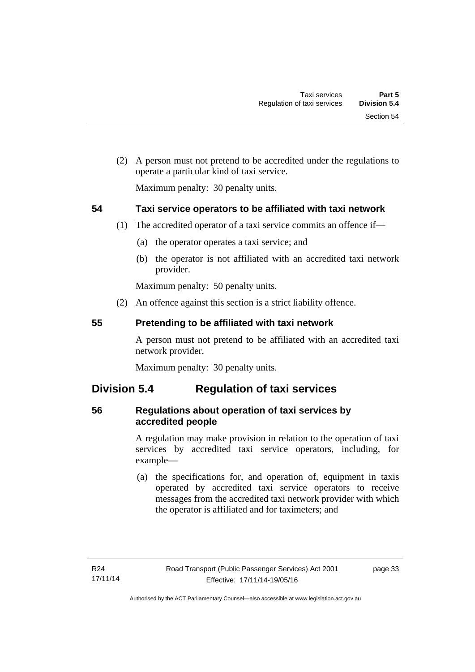(2) A person must not pretend to be accredited under the regulations to operate a particular kind of taxi service.

Maximum penalty: 30 penalty units.

## **54 Taxi service operators to be affiliated with taxi network**

- (1) The accredited operator of a taxi service commits an offence if—
	- (a) the operator operates a taxi service; and
	- (b) the operator is not affiliated with an accredited taxi network provider.

Maximum penalty: 50 penalty units.

(2) An offence against this section is a strict liability offence.

## **55 Pretending to be affiliated with taxi network**

A person must not pretend to be affiliated with an accredited taxi network provider.

Maximum penalty: 30 penalty units.

## **Division 5.4 Regulation of taxi services**

## **56 Regulations about operation of taxi services by accredited people**

A regulation may make provision in relation to the operation of taxi services by accredited taxi service operators, including, for example—

 (a) the specifications for, and operation of, equipment in taxis operated by accredited taxi service operators to receive messages from the accredited taxi network provider with which the operator is affiliated and for taximeters; and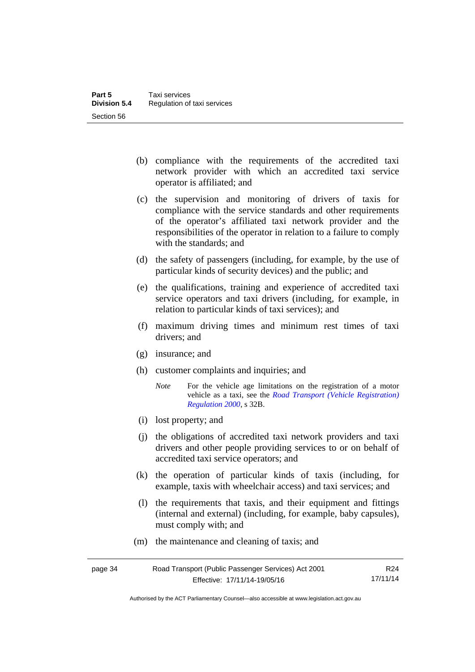- (b) compliance with the requirements of the accredited taxi network provider with which an accredited taxi service operator is affiliated; and
- (c) the supervision and monitoring of drivers of taxis for compliance with the service standards and other requirements of the operator's affiliated taxi network provider and the responsibilities of the operator in relation to a failure to comply with the standards; and
- (d) the safety of passengers (including, for example, by the use of particular kinds of security devices) and the public; and
- (e) the qualifications, training and experience of accredited taxi service operators and taxi drivers (including, for example, in relation to particular kinds of taxi services); and
- (f) maximum driving times and minimum rest times of taxi drivers; and
- (g) insurance; and
- (h) customer complaints and inquiries; and
	- *Note* For the vehicle age limitations on the registration of a motor vehicle as a taxi, see the *[Road Transport \(Vehicle Registration\)](http://www.legislation.act.gov.au/sl/2000-12)  [Regulation 2000](http://www.legislation.act.gov.au/sl/2000-12)*, s 32B.
- (i) lost property; and
- (j) the obligations of accredited taxi network providers and taxi drivers and other people providing services to or on behalf of accredited taxi service operators; and
- (k) the operation of particular kinds of taxis (including, for example, taxis with wheelchair access) and taxi services; and
- (l) the requirements that taxis, and their equipment and fittings (internal and external) (including, for example, baby capsules), must comply with; and
- (m) the maintenance and cleaning of taxis; and

| page 34 | Road Transport (Public Passenger Services) Act 2001 | R24      |
|---------|-----------------------------------------------------|----------|
|         | Effective: 17/11/14-19/05/16                        | 17/11/14 |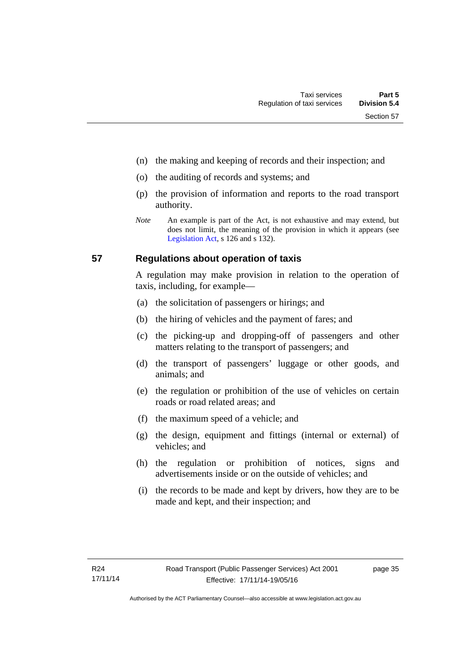- (n) the making and keeping of records and their inspection; and
- (o) the auditing of records and systems; and
- (p) the provision of information and reports to the road transport authority.
- *Note* An example is part of the Act, is not exhaustive and may extend, but does not limit, the meaning of the provision in which it appears (see [Legislation Act,](http://www.legislation.act.gov.au/a/2001-14) s 126 and s 132).

## **57 Regulations about operation of taxis**

A regulation may make provision in relation to the operation of taxis, including, for example—

- (a) the solicitation of passengers or hirings; and
- (b) the hiring of vehicles and the payment of fares; and
- (c) the picking-up and dropping-off of passengers and other matters relating to the transport of passengers; and
- (d) the transport of passengers' luggage or other goods, and animals; and
- (e) the regulation or prohibition of the use of vehicles on certain roads or road related areas; and
- (f) the maximum speed of a vehicle; and
- (g) the design, equipment and fittings (internal or external) of vehicles; and
- (h) the regulation or prohibition of notices, signs and advertisements inside or on the outside of vehicles; and
- (i) the records to be made and kept by drivers, how they are to be made and kept, and their inspection; and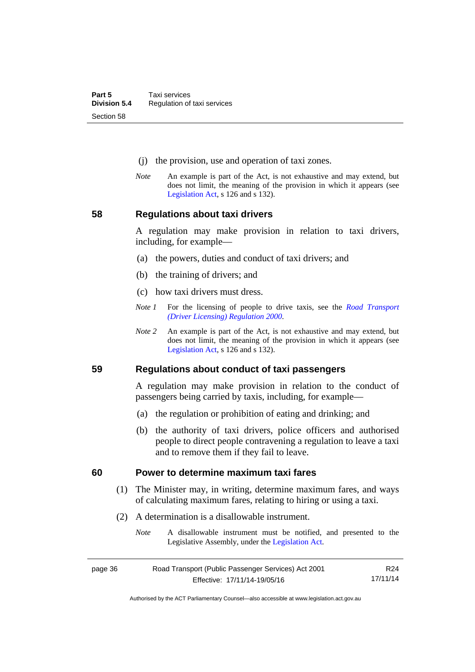- (j) the provision, use and operation of taxi zones.
- *Note* An example is part of the Act, is not exhaustive and may extend, but does not limit, the meaning of the provision in which it appears (see [Legislation Act,](http://www.legislation.act.gov.au/a/2001-14) s 126 and s 132).

## **58 Regulations about taxi drivers**

A regulation may make provision in relation to taxi drivers, including, for example—

- (a) the powers, duties and conduct of taxi drivers; and
- (b) the training of drivers; and
- (c) how taxi drivers must dress.
- *Note 1* For the licensing of people to drive taxis, see the *[Road Transport](http://www.legislation.act.gov.au/sl/2000-14)  [\(Driver Licensing\) Regulation 2000](http://www.legislation.act.gov.au/sl/2000-14)*.
- *Note 2* An example is part of the Act, is not exhaustive and may extend, but does not limit, the meaning of the provision in which it appears (see [Legislation Act,](http://www.legislation.act.gov.au/a/2001-14) s 126 and s 132).

#### **59 Regulations about conduct of taxi passengers**

A regulation may make provision in relation to the conduct of passengers being carried by taxis, including, for example—

- (a) the regulation or prohibition of eating and drinking; and
- (b) the authority of taxi drivers, police officers and authorised people to direct people contravening a regulation to leave a taxi and to remove them if they fail to leave.

#### **60 Power to determine maximum taxi fares**

- (1) The Minister may, in writing, determine maximum fares, and ways of calculating maximum fares, relating to hiring or using a taxi.
- (2) A determination is a disallowable instrument.
	- *Note* A disallowable instrument must be notified, and presented to the Legislative Assembly, under the [Legislation Act.](http://www.legislation.act.gov.au/a/2001-14)

| page 36 | Road Transport (Public Passenger Services) Act 2001 | R24      |
|---------|-----------------------------------------------------|----------|
|         | Effective: 17/11/14-19/05/16                        | 17/11/14 |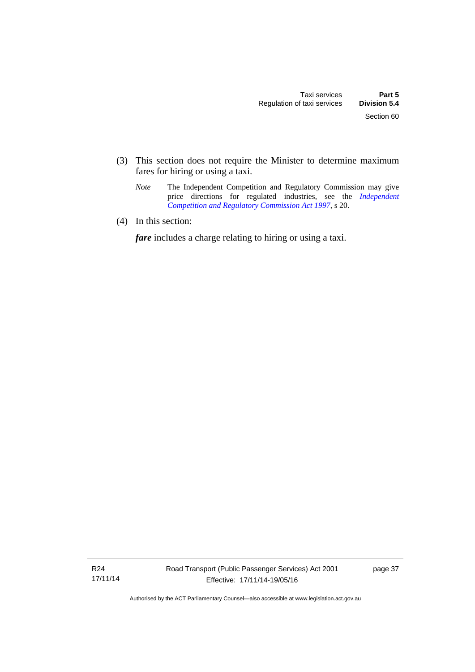- (3) This section does not require the Minister to determine maximum fares for hiring or using a taxi.
	- *Note* The Independent Competition and Regulatory Commission may give price directions for regulated industries, see the *Independent [Competition and Regulatory Commission Act 1997](http://www.legislation.act.gov.au/a/1997-77)*, s 20.
- (4) In this section:

*fare* includes a charge relating to hiring or using a taxi.

R24 17/11/14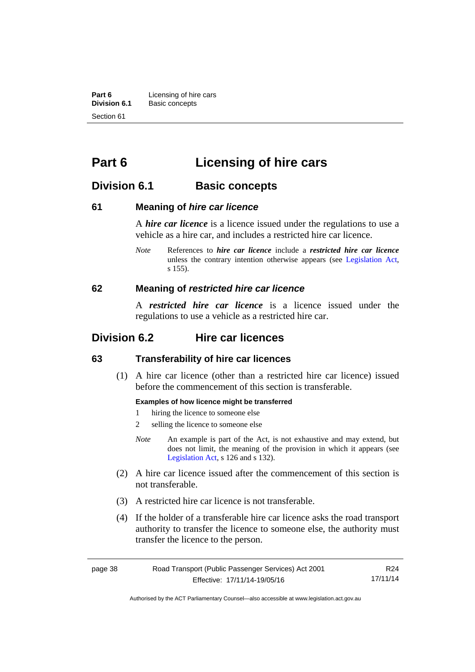**Part 6 Licensing of hire cars**<br>**Division 6.1 Basic concepts Division 6.1** Basic concepts Section 61

# **Part 6 Licensing of hire cars**

## **Division 6.1 Basic concepts**

## **61 Meaning of** *hire car licence*

A *hire car licence* is a licence issued under the regulations to use a vehicle as a hire car, and includes a restricted hire car licence.

*Note* References to *hire car licence* include a *restricted hire car licence* unless the contrary intention otherwise appears (see [Legislation Act,](http://www.legislation.act.gov.au/a/2001-14) s 155).

## **62 Meaning of** *restricted hire car licence*

A *restricted hire car licence* is a licence issued under the regulations to use a vehicle as a restricted hire car.

## **Division 6.2 Hire car licences**

## **63 Transferability of hire car licences**

 (1) A hire car licence (other than a restricted hire car licence) issued before the commencement of this section is transferable.

#### **Examples of how licence might be transferred**

- 1 hiring the licence to someone else
- 2 selling the licence to someone else
- *Note* An example is part of the Act, is not exhaustive and may extend, but does not limit, the meaning of the provision in which it appears (see [Legislation Act,](http://www.legislation.act.gov.au/a/2001-14) s 126 and s 132).
- (2) A hire car licence issued after the commencement of this section is not transferable.
- (3) A restricted hire car licence is not transferable.
- (4) If the holder of a transferable hire car licence asks the road transport authority to transfer the licence to someone else, the authority must transfer the licence to the person.

| page 38 | Road Transport (Public Passenger Services) Act 2001 | R24      |
|---------|-----------------------------------------------------|----------|
|         | Effective: 17/11/14-19/05/16                        | 17/11/14 |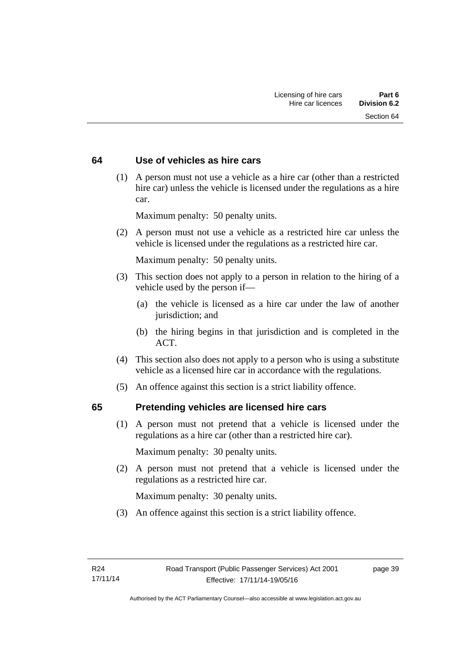## **64 Use of vehicles as hire cars**

 (1) A person must not use a vehicle as a hire car (other than a restricted hire car) unless the vehicle is licensed under the regulations as a hire car.

Maximum penalty: 50 penalty units.

 (2) A person must not use a vehicle as a restricted hire car unless the vehicle is licensed under the regulations as a restricted hire car.

Maximum penalty: 50 penalty units.

- (3) This section does not apply to a person in relation to the hiring of a vehicle used by the person if—
	- (a) the vehicle is licensed as a hire car under the law of another jurisdiction; and
	- (b) the hiring begins in that jurisdiction and is completed in the ACT.
- (4) This section also does not apply to a person who is using a substitute vehicle as a licensed hire car in accordance with the regulations.
- (5) An offence against this section is a strict liability offence.

## **65 Pretending vehicles are licensed hire cars**

(1) A person must not pretend that a vehicle is licensed under the regulations as a hire car (other than a restricted hire car).

Maximum penalty: 30 penalty units.

 (2) A person must not pretend that a vehicle is licensed under the regulations as a restricted hire car.

Maximum penalty: 30 penalty units.

(3) An offence against this section is a strict liability offence.

page 39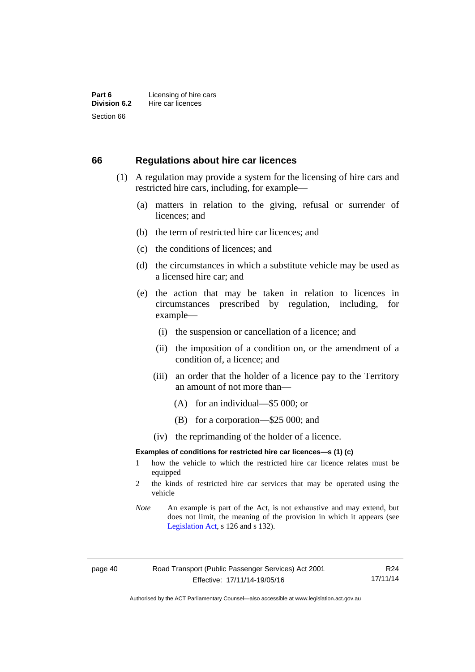#### **66 Regulations about hire car licences**

- (1) A regulation may provide a system for the licensing of hire cars and restricted hire cars, including, for example—
	- (a) matters in relation to the giving, refusal or surrender of licences; and
	- (b) the term of restricted hire car licences; and
	- (c) the conditions of licences; and
	- (d) the circumstances in which a substitute vehicle may be used as a licensed hire car; and
	- (e) the action that may be taken in relation to licences in circumstances prescribed by regulation, including, for example—
		- (i) the suspension or cancellation of a licence; and
		- (ii) the imposition of a condition on, or the amendment of a condition of, a licence; and
		- (iii) an order that the holder of a licence pay to the Territory an amount of not more than—
			- (A) for an individual—\$5 000; or
			- (B) for a corporation—\$25 000; and
		- (iv) the reprimanding of the holder of a licence.

#### **Examples of conditions for restricted hire car licences—s (1) (c)**

- 1 how the vehicle to which the restricted hire car licence relates must be equipped
- 2 the kinds of restricted hire car services that may be operated using the vehicle
- *Note* An example is part of the Act, is not exhaustive and may extend, but does not limit, the meaning of the provision in which it appears (see [Legislation Act,](http://www.legislation.act.gov.au/a/2001-14) s 126 and s 132).

R24 17/11/14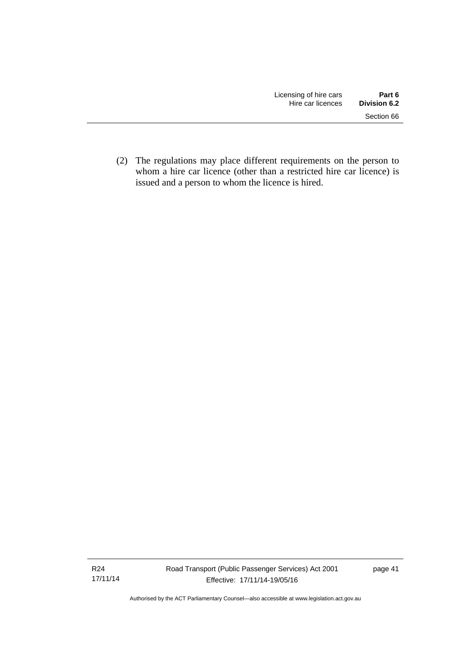(2) The regulations may place different requirements on the person to whom a hire car licence (other than a restricted hire car licence) is issued and a person to whom the licence is hired.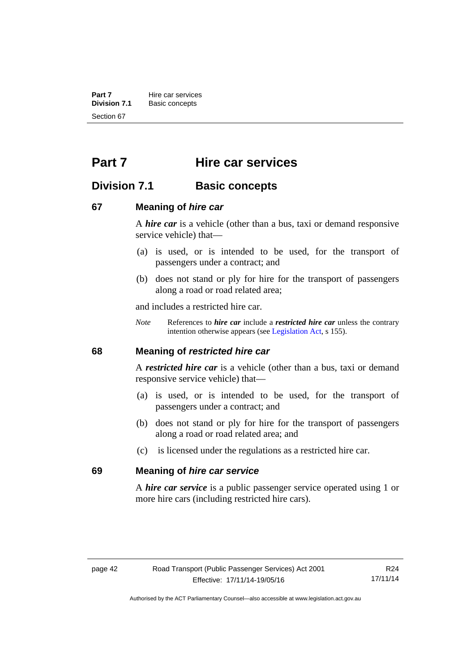**Part 7 Hire car services**<br>**Division 7.1 Basic concepts Division 7.1** Basic concepts Section 67

# **Part 7 Hire car services**

## **Division 7.1 Basic concepts**

## **67 Meaning of** *hire car*

A *hire car* is a vehicle (other than a bus, taxi or demand responsive service vehicle) that—

- (a) is used, or is intended to be used, for the transport of passengers under a contract; and
- (b) does not stand or ply for hire for the transport of passengers along a road or road related area;

and includes a restricted hire car.

*Note* References to *hire car* include a *restricted hire car* unless the contrary intention otherwise appears (see [Legislation Act](http://www.legislation.act.gov.au/a/2001-14), s 155).

## **68 Meaning of** *restricted hire car*

A *restricted hire car* is a vehicle (other than a bus, taxi or demand responsive service vehicle) that—

- (a) is used, or is intended to be used, for the transport of passengers under a contract; and
- (b) does not stand or ply for hire for the transport of passengers along a road or road related area; and
- (c) is licensed under the regulations as a restricted hire car.

#### **69 Meaning of** *hire car service*

A *hire car service* is a public passenger service operated using 1 or more hire cars (including restricted hire cars).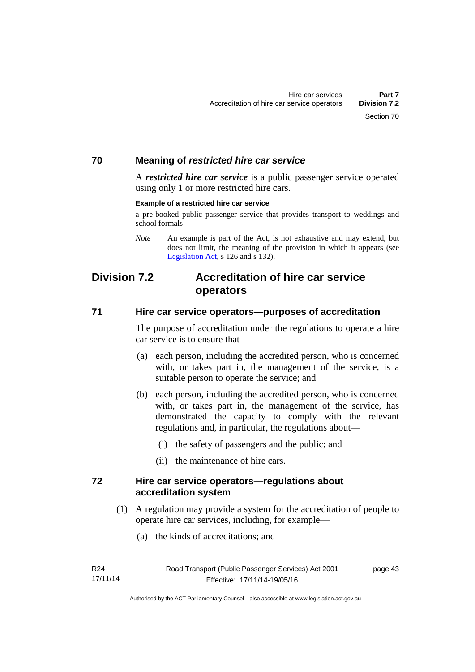## **70 Meaning of** *restricted hire car service*

A *restricted hire car service* is a public passenger service operated using only 1 or more restricted hire cars.

#### **Example of a restricted hire car service**

a pre-booked public passenger service that provides transport to weddings and school formals

## **Division 7.2 Accreditation of hire car service operators**

## **71 Hire car service operators—purposes of accreditation**

The purpose of accreditation under the regulations to operate a hire car service is to ensure that—

- (a) each person, including the accredited person, who is concerned with, or takes part in, the management of the service, is a suitable person to operate the service; and
- (b) each person, including the accredited person, who is concerned with, or takes part in, the management of the service, has demonstrated the capacity to comply with the relevant regulations and, in particular, the regulations about—
	- (i) the safety of passengers and the public; and
	- (ii) the maintenance of hire cars.

## **72 Hire car service operators—regulations about accreditation system**

- (1) A regulation may provide a system for the accreditation of people to operate hire car services, including, for example—
	- (a) the kinds of accreditations; and

*Note* An example is part of the Act, is not exhaustive and may extend, but does not limit, the meaning of the provision in which it appears (see [Legislation Act,](http://www.legislation.act.gov.au/a/2001-14) s 126 and s 132).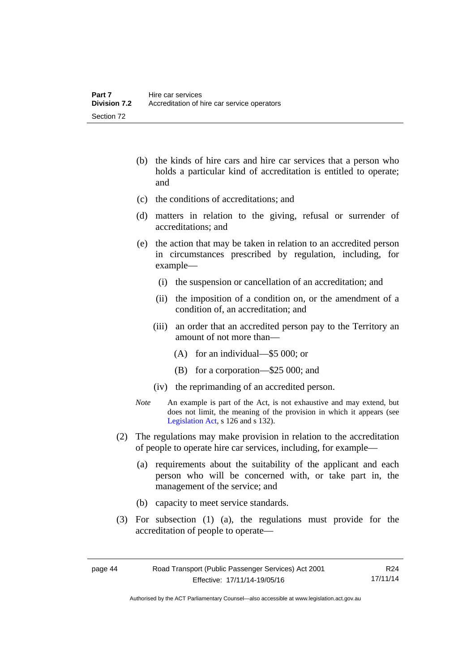- (b) the kinds of hire cars and hire car services that a person who holds a particular kind of accreditation is entitled to operate; and
- (c) the conditions of accreditations; and
- (d) matters in relation to the giving, refusal or surrender of accreditations; and
- (e) the action that may be taken in relation to an accredited person in circumstances prescribed by regulation, including, for example—
	- (i) the suspension or cancellation of an accreditation; and
	- (ii) the imposition of a condition on, or the amendment of a condition of, an accreditation; and
	- (iii) an order that an accredited person pay to the Territory an amount of not more than—
		- (A) for an individual—\$5 000; or
		- (B) for a corporation—\$25 000; and
	- (iv) the reprimanding of an accredited person.
- *Note* An example is part of the Act, is not exhaustive and may extend, but does not limit, the meaning of the provision in which it appears (see [Legislation Act,](http://www.legislation.act.gov.au/a/2001-14) s 126 and s 132).
- (2) The regulations may make provision in relation to the accreditation of people to operate hire car services, including, for example—
	- (a) requirements about the suitability of the applicant and each person who will be concerned with, or take part in, the management of the service; and
	- (b) capacity to meet service standards.
- (3) For subsection (1) (a), the regulations must provide for the accreditation of people to operate—

| page 44 | Road Transport (Public Passenger Services) Act 2001 | R24      |
|---------|-----------------------------------------------------|----------|
|         | Effective: 17/11/14-19/05/16                        | 17/11/14 |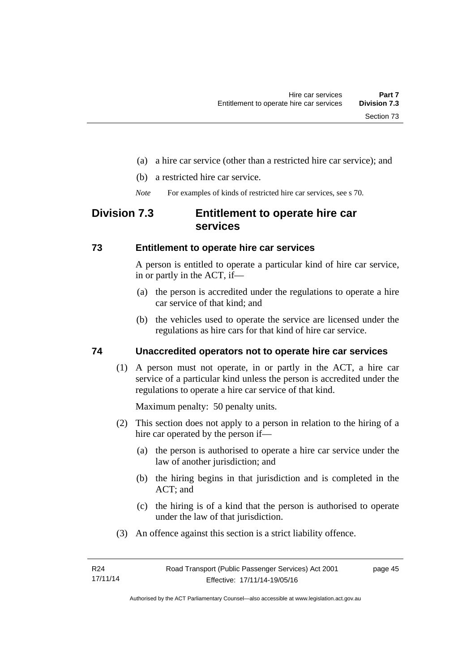- (a) a hire car service (other than a restricted hire car service); and
- (b) a restricted hire car service.
- *Note* For examples of kinds of restricted hire car services, see s 70.

## **Division 7.3 Entitlement to operate hire car services**

## **73 Entitlement to operate hire car services**

A person is entitled to operate a particular kind of hire car service, in or partly in the ACT, if—

- (a) the person is accredited under the regulations to operate a hire car service of that kind; and
- (b) the vehicles used to operate the service are licensed under the regulations as hire cars for that kind of hire car service.

## **74 Unaccredited operators not to operate hire car services**

(1) A person must not operate, in or partly in the ACT, a hire car service of a particular kind unless the person is accredited under the regulations to operate a hire car service of that kind.

Maximum penalty: 50 penalty units.

- (2) This section does not apply to a person in relation to the hiring of a hire car operated by the person if—
	- (a) the person is authorised to operate a hire car service under the law of another jurisdiction; and
	- (b) the hiring begins in that jurisdiction and is completed in the ACT; and
	- (c) the hiring is of a kind that the person is authorised to operate under the law of that jurisdiction.
- (3) An offence against this section is a strict liability offence.

page 45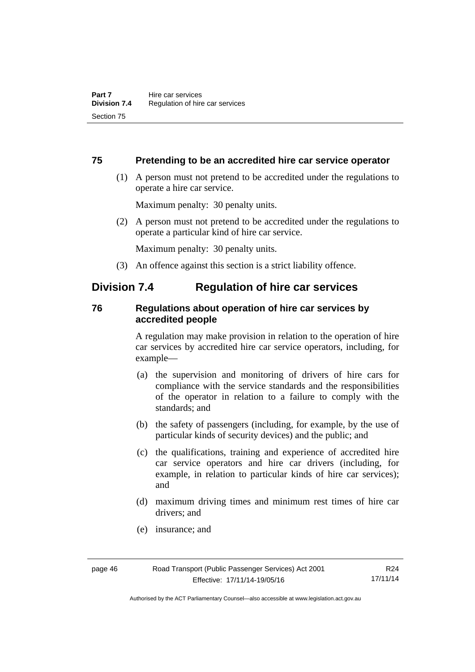## **75 Pretending to be an accredited hire car service operator**

 (1) A person must not pretend to be accredited under the regulations to operate a hire car service.

Maximum penalty: 30 penalty units.

 (2) A person must not pretend to be accredited under the regulations to operate a particular kind of hire car service.

Maximum penalty: 30 penalty units.

(3) An offence against this section is a strict liability offence.

## **Division 7.4 Regulation of hire car services**

## **76 Regulations about operation of hire car services by accredited people**

A regulation may make provision in relation to the operation of hire car services by accredited hire car service operators, including, for example—

- (a) the supervision and monitoring of drivers of hire cars for compliance with the service standards and the responsibilities of the operator in relation to a failure to comply with the standards; and
- (b) the safety of passengers (including, for example, by the use of particular kinds of security devices) and the public; and
- (c) the qualifications, training and experience of accredited hire car service operators and hire car drivers (including, for example, in relation to particular kinds of hire car services); and
- (d) maximum driving times and minimum rest times of hire car drivers; and
- (e) insurance; and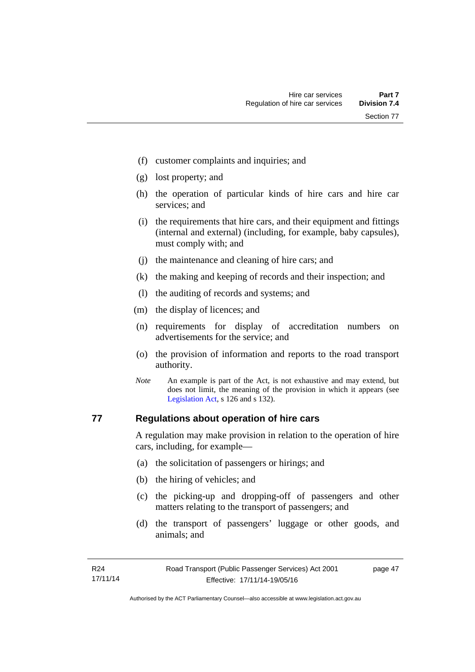- (f) customer complaints and inquiries; and
- (g) lost property; and
- (h) the operation of particular kinds of hire cars and hire car services; and
- (i) the requirements that hire cars, and their equipment and fittings (internal and external) (including, for example, baby capsules), must comply with; and
- (j) the maintenance and cleaning of hire cars; and
- (k) the making and keeping of records and their inspection; and
- (l) the auditing of records and systems; and
- (m) the display of licences; and
- (n) requirements for display of accreditation numbers on advertisements for the service; and
- (o) the provision of information and reports to the road transport authority.
- *Note* An example is part of the Act, is not exhaustive and may extend, but does not limit, the meaning of the provision in which it appears (see [Legislation Act,](http://www.legislation.act.gov.au/a/2001-14) s 126 and s 132).

## **77 Regulations about operation of hire cars**

A regulation may make provision in relation to the operation of hire cars, including, for example—

- (a) the solicitation of passengers or hirings; and
- (b) the hiring of vehicles; and
- (c) the picking-up and dropping-off of passengers and other matters relating to the transport of passengers; and
- (d) the transport of passengers' luggage or other goods, and animals; and

page 47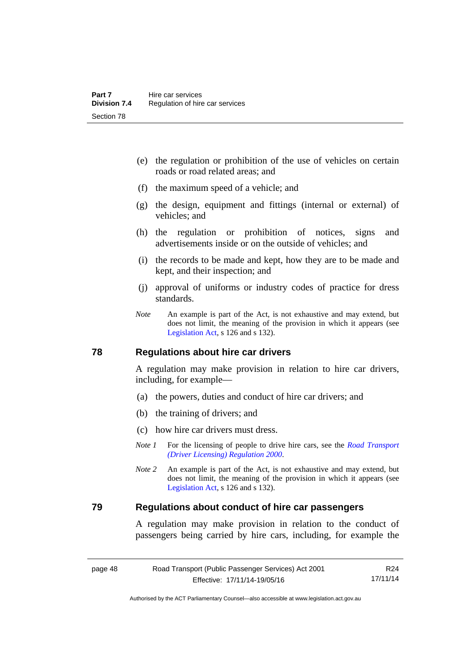- (e) the regulation or prohibition of the use of vehicles on certain roads or road related areas; and
- (f) the maximum speed of a vehicle; and
- (g) the design, equipment and fittings (internal or external) of vehicles; and
- (h) the regulation or prohibition of notices, signs and advertisements inside or on the outside of vehicles; and
- (i) the records to be made and kept, how they are to be made and kept, and their inspection; and
- (j) approval of uniforms or industry codes of practice for dress standards.
- *Note* An example is part of the Act, is not exhaustive and may extend, but does not limit, the meaning of the provision in which it appears (see [Legislation Act,](http://www.legislation.act.gov.au/a/2001-14) s 126 and s 132).

#### **78 Regulations about hire car drivers**

A regulation may make provision in relation to hire car drivers, including, for example—

- (a) the powers, duties and conduct of hire car drivers; and
- (b) the training of drivers; and
- (c) how hire car drivers must dress.
- *Note 1* For the licensing of people to drive hire cars, see the *Road Transport [\(Driver Licensing\) Regulation 2000](http://www.legislation.act.gov.au/sl/2000-14)*.
- *Note 2* An example is part of the Act, is not exhaustive and may extend, but does not limit, the meaning of the provision in which it appears (see [Legislation Act,](http://www.legislation.act.gov.au/a/2001-14) s 126 and s 132).

## **79 Regulations about conduct of hire car passengers**

A regulation may make provision in relation to the conduct of passengers being carried by hire cars, including, for example the

| page 48 |  |
|---------|--|
|---------|--|

```
R24
17/11/14
```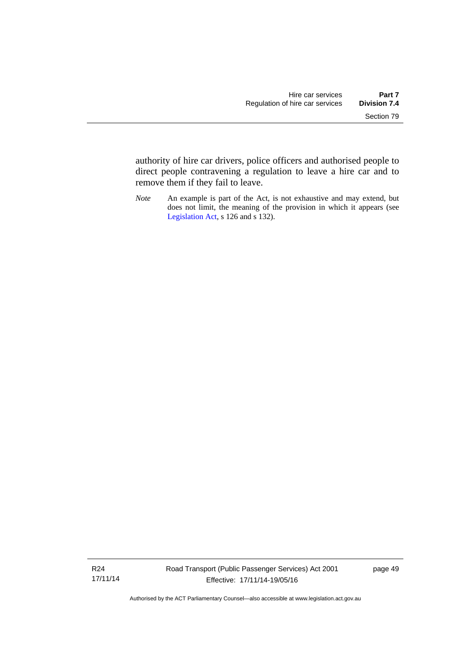authority of hire car drivers, police officers and authorised people to direct people contravening a regulation to leave a hire car and to remove them if they fail to leave.

*Note* An example is part of the Act, is not exhaustive and may extend, but does not limit, the meaning of the provision in which it appears (see [Legislation Act,](http://www.legislation.act.gov.au/a/2001-14) s 126 and s 132).

R24 17/11/14 page 49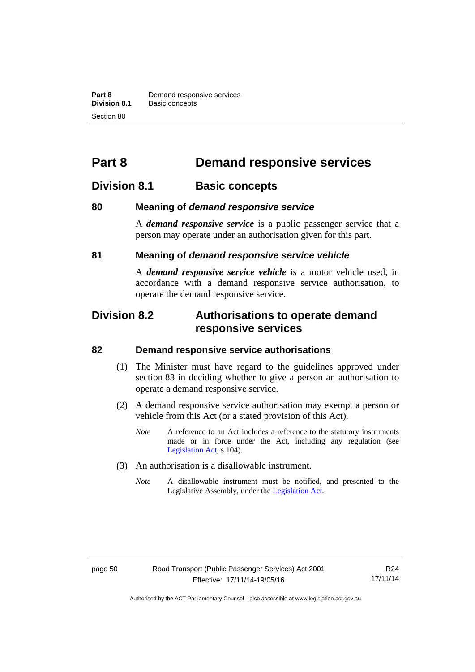**Part 8 Demand responsive services**<br>**Division 8.1 Basic concepts Division 8.1** Basic concepts Section 80

# **Part 8 Demand responsive services**

## **Division 8.1 Basic concepts**

## **80 Meaning of** *demand responsive service*

A *demand responsive service* is a public passenger service that a person may operate under an authorisation given for this part.

## **81 Meaning of** *demand responsive service vehicle*

A *demand responsive service vehicle* is a motor vehicle used, in accordance with a demand responsive service authorisation, to operate the demand responsive service.

## **Division 8.2 Authorisations to operate demand responsive services**

#### **82 Demand responsive service authorisations**

- (1) The Minister must have regard to the guidelines approved under section 83 in deciding whether to give a person an authorisation to operate a demand responsive service.
- (2) A demand responsive service authorisation may exempt a person or vehicle from this Act (or a stated provision of this Act).
	- *Note* A reference to an Act includes a reference to the statutory instruments made or in force under the Act, including any regulation (see [Legislation Act,](http://www.legislation.act.gov.au/a/2001-14) s 104).
- (3) An authorisation is a disallowable instrument.
	- *Note* A disallowable instrument must be notified, and presented to the Legislative Assembly, under the [Legislation Act.](http://www.legislation.act.gov.au/a/2001-14)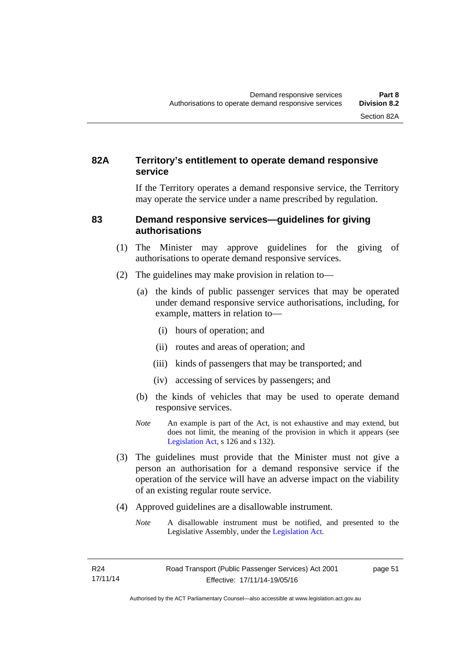## **82A Territory's entitlement to operate demand responsive service**

If the Territory operates a demand responsive service, the Territory may operate the service under a name prescribed by regulation.

## **83 Demand responsive services—guidelines for giving authorisations**

- (1) The Minister may approve guidelines for the giving of authorisations to operate demand responsive services.
- (2) The guidelines may make provision in relation to—
	- (a) the kinds of public passenger services that may be operated under demand responsive service authorisations, including, for example, matters in relation to—
		- (i) hours of operation; and
		- (ii) routes and areas of operation; and
		- (iii) kinds of passengers that may be transported; and
		- (iv) accessing of services by passengers; and
	- (b) the kinds of vehicles that may be used to operate demand responsive services.
	- *Note* An example is part of the Act, is not exhaustive and may extend, but does not limit, the meaning of the provision in which it appears (see [Legislation Act,](http://www.legislation.act.gov.au/a/2001-14) s 126 and s 132).
- (3) The guidelines must provide that the Minister must not give a person an authorisation for a demand responsive service if the operation of the service will have an adverse impact on the viability of an existing regular route service.
- (4) Approved guidelines are a disallowable instrument.
	- *Note* A disallowable instrument must be notified, and presented to the Legislative Assembly, under the [Legislation Act.](http://www.legislation.act.gov.au/a/2001-14)

page 51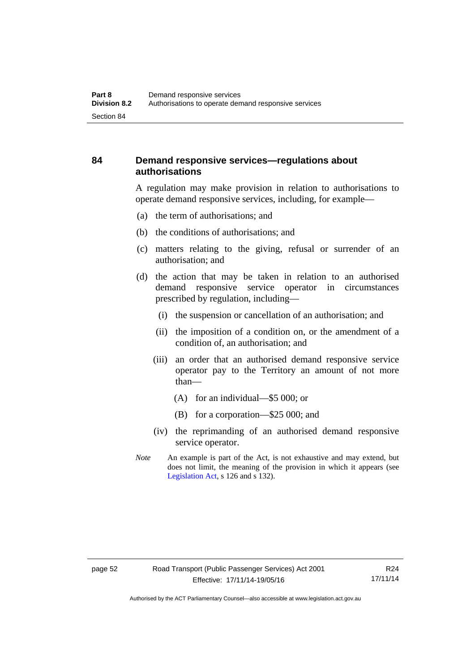## **84 Demand responsive services—regulations about authorisations**

A regulation may make provision in relation to authorisations to operate demand responsive services, including, for example—

- (a) the term of authorisations; and
- (b) the conditions of authorisations; and
- (c) matters relating to the giving, refusal or surrender of an authorisation; and
- (d) the action that may be taken in relation to an authorised demand responsive service operator in circumstances prescribed by regulation, including—
	- (i) the suspension or cancellation of an authorisation; and
	- (ii) the imposition of a condition on, or the amendment of a condition of, an authorisation; and
	- (iii) an order that an authorised demand responsive service operator pay to the Territory an amount of not more than—
		- (A) for an individual—\$5 000; or
		- (B) for a corporation—\$25 000; and
	- (iv) the reprimanding of an authorised demand responsive service operator.
- *Note* An example is part of the Act, is not exhaustive and may extend, but does not limit, the meaning of the provision in which it appears (see [Legislation Act,](http://www.legislation.act.gov.au/a/2001-14) s 126 and s 132).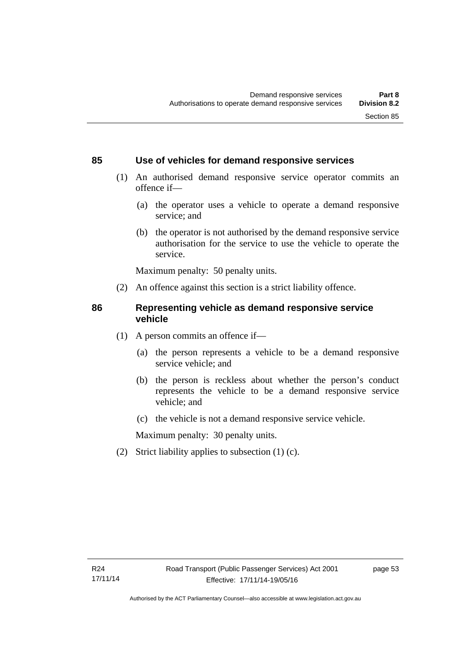## **85 Use of vehicles for demand responsive services**

- (1) An authorised demand responsive service operator commits an offence if—
	- (a) the operator uses a vehicle to operate a demand responsive service; and
	- (b) the operator is not authorised by the demand responsive service authorisation for the service to use the vehicle to operate the service.

Maximum penalty: 50 penalty units.

(2) An offence against this section is a strict liability offence.

## **86 Representing vehicle as demand responsive service vehicle**

- (1) A person commits an offence if—
	- (a) the person represents a vehicle to be a demand responsive service vehicle; and
	- (b) the person is reckless about whether the person's conduct represents the vehicle to be a demand responsive service vehicle; and
	- (c) the vehicle is not a demand responsive service vehicle.

Maximum penalty: 30 penalty units.

(2) Strict liability applies to subsection (1) (c).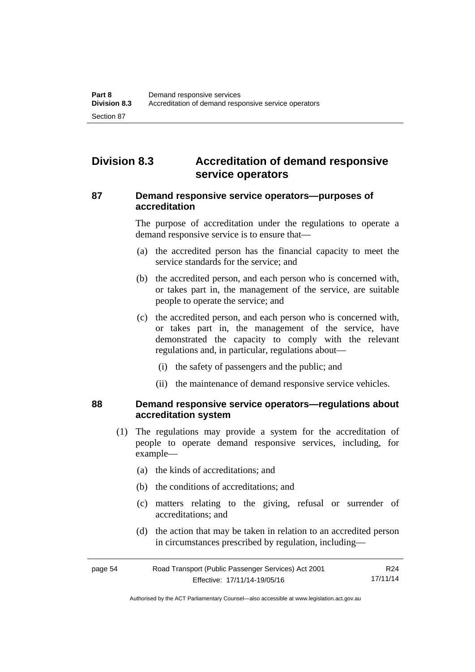## **Division 8.3 Accreditation of demand responsive service operators**

## **87 Demand responsive service operators—purposes of accreditation**

The purpose of accreditation under the regulations to operate a demand responsive service is to ensure that—

- (a) the accredited person has the financial capacity to meet the service standards for the service; and
- (b) the accredited person, and each person who is concerned with, or takes part in, the management of the service, are suitable people to operate the service; and
- (c) the accredited person, and each person who is concerned with, or takes part in, the management of the service, have demonstrated the capacity to comply with the relevant regulations and, in particular, regulations about—
	- (i) the safety of passengers and the public; and
	- (ii) the maintenance of demand responsive service vehicles.

#### **88 Demand responsive service operators—regulations about accreditation system**

- (1) The regulations may provide a system for the accreditation of people to operate demand responsive services, including, for example—
	- (a) the kinds of accreditations; and
	- (b) the conditions of accreditations; and
	- (c) matters relating to the giving, refusal or surrender of accreditations; and
	- (d) the action that may be taken in relation to an accredited person in circumstances prescribed by regulation, including—

| page 54 | Road Transport (Public Passenger Services) Act 2001 | R24      |
|---------|-----------------------------------------------------|----------|
|         | Effective: 17/11/14-19/05/16                        | 17/11/14 |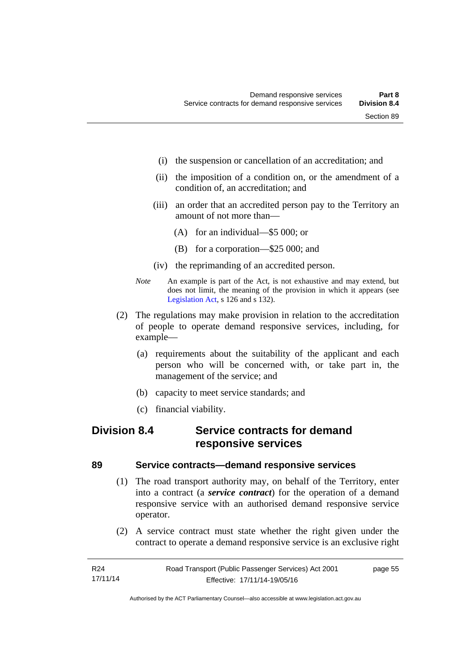- (i) the suspension or cancellation of an accreditation; and
- (ii) the imposition of a condition on, or the amendment of a condition of, an accreditation; and
- (iii) an order that an accredited person pay to the Territory an amount of not more than—
	- (A) for an individual—\$5 000; or
	- (B) for a corporation—\$25 000; and
- (iv) the reprimanding of an accredited person.
- *Note* An example is part of the Act, is not exhaustive and may extend, but does not limit, the meaning of the provision in which it appears (see [Legislation Act,](http://www.legislation.act.gov.au/a/2001-14) s 126 and s 132).
- (2) The regulations may make provision in relation to the accreditation of people to operate demand responsive services, including, for example—
	- (a) requirements about the suitability of the applicant and each person who will be concerned with, or take part in, the management of the service; and
	- (b) capacity to meet service standards; and
	- (c) financial viability.

## **Division 8.4 Service contracts for demand responsive services**

## **89 Service contracts—demand responsive services**

- (1) The road transport authority may, on behalf of the Territory, enter into a contract (a *service contract*) for the operation of a demand responsive service with an authorised demand responsive service operator.
- (2) A service contract must state whether the right given under the contract to operate a demand responsive service is an exclusive right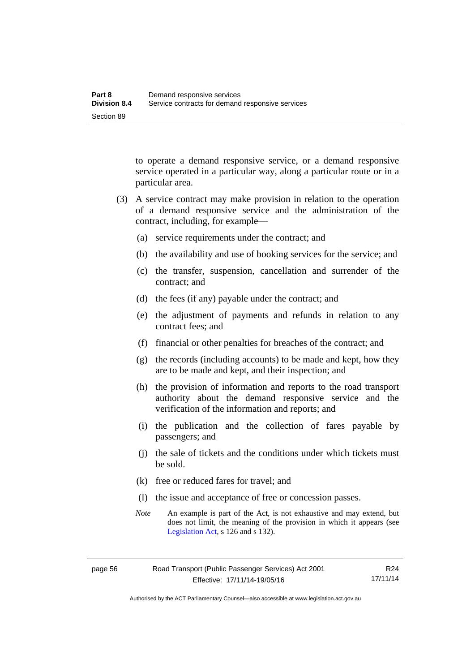to operate a demand responsive service, or a demand responsive service operated in a particular way, along a particular route or in a particular area.

- (3) A service contract may make provision in relation to the operation of a demand responsive service and the administration of the contract, including, for example—
	- (a) service requirements under the contract; and
	- (b) the availability and use of booking services for the service; and
	- (c) the transfer, suspension, cancellation and surrender of the contract; and
	- (d) the fees (if any) payable under the contract; and
	- (e) the adjustment of payments and refunds in relation to any contract fees; and
	- (f) financial or other penalties for breaches of the contract; and
	- (g) the records (including accounts) to be made and kept, how they are to be made and kept, and their inspection; and
	- (h) the provision of information and reports to the road transport authority about the demand responsive service and the verification of the information and reports; and
	- (i) the publication and the collection of fares payable by passengers; and
	- (j) the sale of tickets and the conditions under which tickets must be sold.
	- (k) free or reduced fares for travel; and
	- (l) the issue and acceptance of free or concession passes.
	- *Note* An example is part of the Act, is not exhaustive and may extend, but does not limit, the meaning of the provision in which it appears (see [Legislation Act,](http://www.legislation.act.gov.au/a/2001-14) s 126 and s 132).

Authorised by the ACT Parliamentary Counsel—also accessible at www.legislation.act.gov.au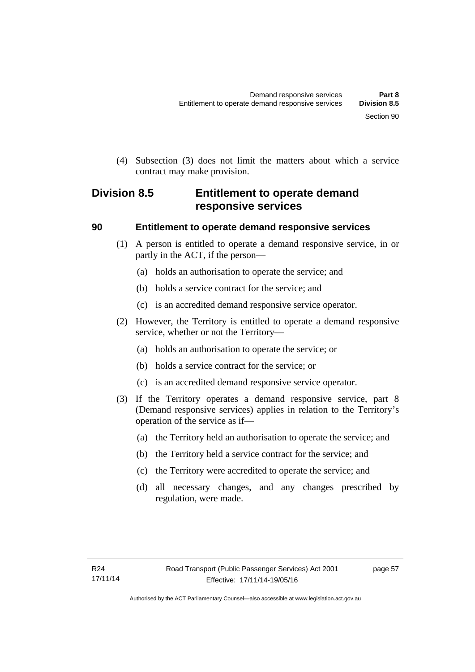(4) Subsection (3) does not limit the matters about which a service contract may make provision.

## **Division 8.5 Entitlement to operate demand responsive services**

## **90 Entitlement to operate demand responsive services**

- (1) A person is entitled to operate a demand responsive service, in or partly in the ACT, if the person—
	- (a) holds an authorisation to operate the service; and
	- (b) holds a service contract for the service; and
	- (c) is an accredited demand responsive service operator.
- (2) However, the Territory is entitled to operate a demand responsive service, whether or not the Territory—
	- (a) holds an authorisation to operate the service; or
	- (b) holds a service contract for the service; or
	- (c) is an accredited demand responsive service operator.
- (3) If the Territory operates a demand responsive service, part 8 (Demand responsive services) applies in relation to the Territory's operation of the service as if—
	- (a) the Territory held an authorisation to operate the service; and
	- (b) the Territory held a service contract for the service; and
	- (c) the Territory were accredited to operate the service; and
	- (d) all necessary changes, and any changes prescribed by regulation, were made.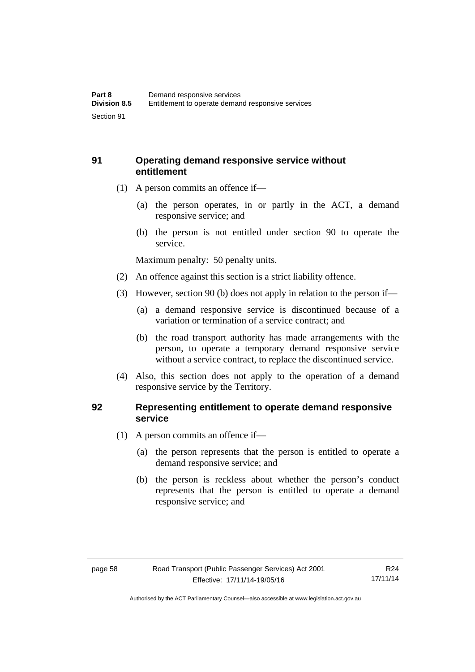## **91 Operating demand responsive service without entitlement**

- (1) A person commits an offence if—
	- (a) the person operates, in or partly in the ACT, a demand responsive service; and
	- (b) the person is not entitled under section 90 to operate the service.

Maximum penalty: 50 penalty units.

- (2) An offence against this section is a strict liability offence.
- (3) However, section 90 (b) does not apply in relation to the person if—
	- (a) a demand responsive service is discontinued because of a variation or termination of a service contract; and
	- (b) the road transport authority has made arrangements with the person, to operate a temporary demand responsive service without a service contract, to replace the discontinued service.
- (4) Also, this section does not apply to the operation of a demand responsive service by the Territory.

## **92 Representing entitlement to operate demand responsive service**

- (1) A person commits an offence if—
	- (a) the person represents that the person is entitled to operate a demand responsive service; and
	- (b) the person is reckless about whether the person's conduct represents that the person is entitled to operate a demand responsive service; and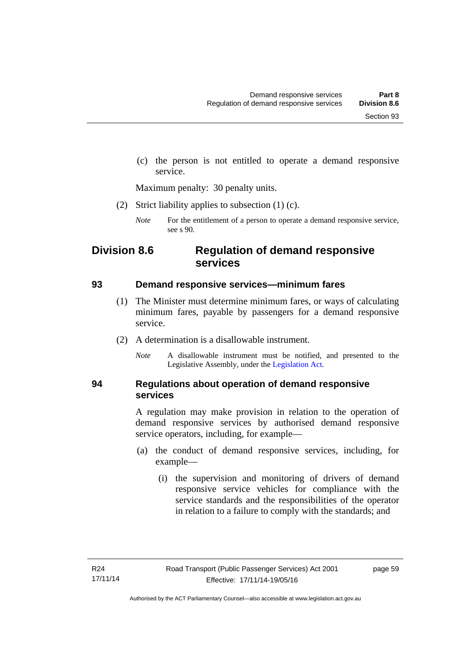(c) the person is not entitled to operate a demand responsive service.

Maximum penalty: 30 penalty units.

(2) Strict liability applies to subsection (1) (c).

## **Division 8.6 Regulation of demand responsive services**

## **93 Demand responsive services—minimum fares**

- (1) The Minister must determine minimum fares, or ways of calculating minimum fares, payable by passengers for a demand responsive service.
- (2) A determination is a disallowable instrument.
	- *Note* A disallowable instrument must be notified, and presented to the Legislative Assembly, under the [Legislation Act.](http://www.legislation.act.gov.au/a/2001-14)

## **94 Regulations about operation of demand responsive services**

A regulation may make provision in relation to the operation of demand responsive services by authorised demand responsive service operators, including, for example—

- (a) the conduct of demand responsive services, including, for example—
	- (i) the supervision and monitoring of drivers of demand responsive service vehicles for compliance with the service standards and the responsibilities of the operator in relation to a failure to comply with the standards; and

*Note* For the entitlement of a person to operate a demand responsive service, see s 90.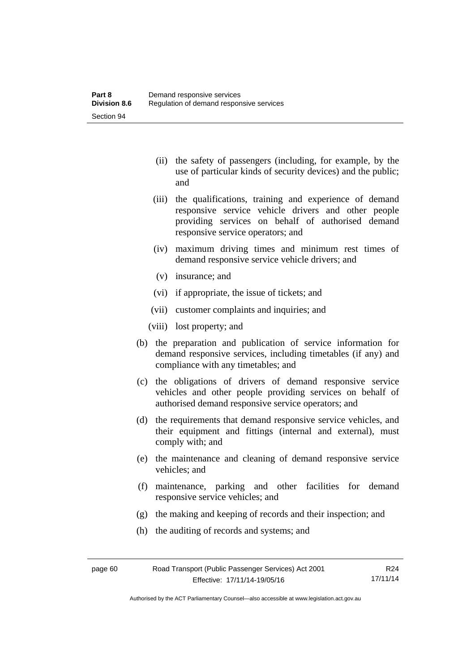- (ii) the safety of passengers (including, for example, by the use of particular kinds of security devices) and the public; and
- (iii) the qualifications, training and experience of demand responsive service vehicle drivers and other people providing services on behalf of authorised demand responsive service operators; and
- (iv) maximum driving times and minimum rest times of demand responsive service vehicle drivers; and
- (v) insurance; and
- (vi) if appropriate, the issue of tickets; and
- (vii) customer complaints and inquiries; and
- (viii) lost property; and
- (b) the preparation and publication of service information for demand responsive services, including timetables (if any) and compliance with any timetables; and
- (c) the obligations of drivers of demand responsive service vehicles and other people providing services on behalf of authorised demand responsive service operators; and
- (d) the requirements that demand responsive service vehicles, and their equipment and fittings (internal and external), must comply with; and
- (e) the maintenance and cleaning of demand responsive service vehicles; and
- (f) maintenance, parking and other facilities for demand responsive service vehicles; and
- (g) the making and keeping of records and their inspection; and
- (h) the auditing of records and systems; and

Authorised by the ACT Parliamentary Counsel—also accessible at www.legislation.act.gov.au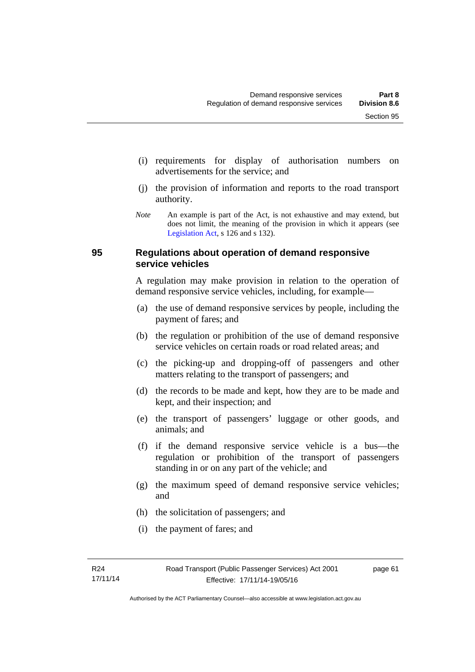- (i) requirements for display of authorisation numbers on advertisements for the service; and
- (j) the provision of information and reports to the road transport authority.
- *Note* An example is part of the Act, is not exhaustive and may extend, but does not limit, the meaning of the provision in which it appears (see [Legislation Act,](http://www.legislation.act.gov.au/a/2001-14) s 126 and s 132).

## **95 Regulations about operation of demand responsive service vehicles**

A regulation may make provision in relation to the operation of demand responsive service vehicles, including, for example—

- (a) the use of demand responsive services by people, including the payment of fares; and
- (b) the regulation or prohibition of the use of demand responsive service vehicles on certain roads or road related areas; and
- (c) the picking-up and dropping-off of passengers and other matters relating to the transport of passengers; and
- (d) the records to be made and kept, how they are to be made and kept, and their inspection; and
- (e) the transport of passengers' luggage or other goods, and animals; and
- (f) if the demand responsive service vehicle is a bus—the regulation or prohibition of the transport of passengers standing in or on any part of the vehicle; and
- (g) the maximum speed of demand responsive service vehicles; and
- (h) the solicitation of passengers; and
- (i) the payment of fares; and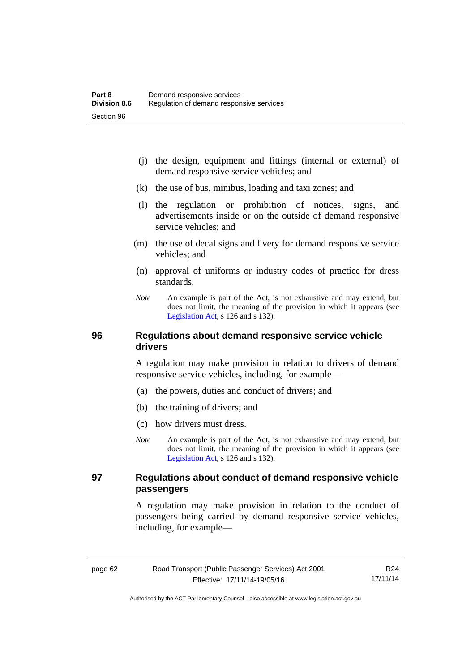- (j) the design, equipment and fittings (internal or external) of demand responsive service vehicles; and
- (k) the use of bus, minibus, loading and taxi zones; and
- (l) the regulation or prohibition of notices, signs, and advertisements inside or on the outside of demand responsive service vehicles; and
- (m) the use of decal signs and livery for demand responsive service vehicles; and
- (n) approval of uniforms or industry codes of practice for dress standards.
- *Note* An example is part of the Act, is not exhaustive and may extend, but does not limit, the meaning of the provision in which it appears (see [Legislation Act,](http://www.legislation.act.gov.au/a/2001-14) s 126 and s 132).

## **96 Regulations about demand responsive service vehicle drivers**

A regulation may make provision in relation to drivers of demand responsive service vehicles, including, for example—

- (a) the powers, duties and conduct of drivers; and
- (b) the training of drivers; and
- (c) how drivers must dress.
- *Note* An example is part of the Act, is not exhaustive and may extend, but does not limit, the meaning of the provision in which it appears (see [Legislation Act,](http://www.legislation.act.gov.au/a/2001-14) s 126 and s 132).

## **97 Regulations about conduct of demand responsive vehicle passengers**

A regulation may make provision in relation to the conduct of passengers being carried by demand responsive service vehicles, including, for example—

R24 17/11/14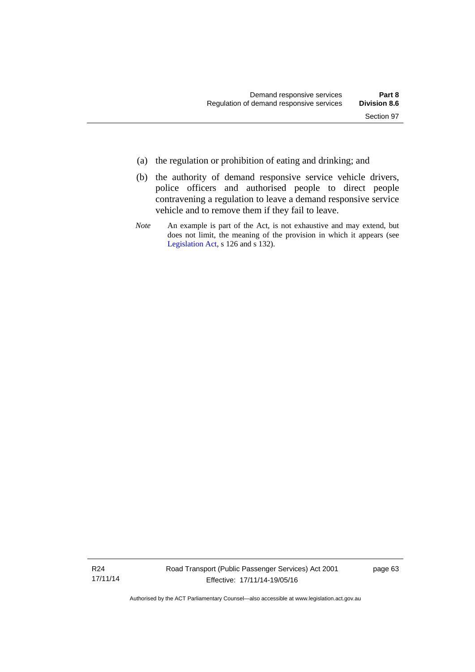- (a) the regulation or prohibition of eating and drinking; and
- (b) the authority of demand responsive service vehicle drivers, police officers and authorised people to direct people contravening a regulation to leave a demand responsive service vehicle and to remove them if they fail to leave.
- *Note* An example is part of the Act, is not exhaustive and may extend, but does not limit, the meaning of the provision in which it appears (see [Legislation Act,](http://www.legislation.act.gov.au/a/2001-14) s 126 and s 132).

R24 17/11/14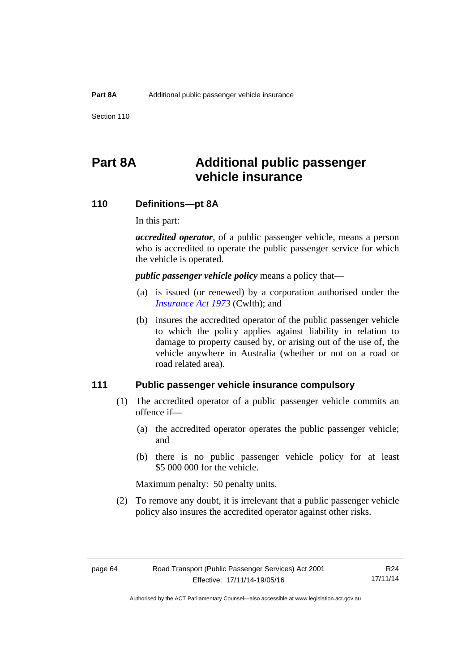Section 110

# **Part 8A Additional public passenger vehicle insurance**

## **110 Definitions—pt 8A**

In this part:

*accredited operator*, of a public passenger vehicle, means a person who is accredited to operate the public passenger service for which the vehicle is operated.

*public passenger vehicle policy* means a policy that—

- (a) is issued (or renewed) by a corporation authorised under the *[Insurance Act 1973](http://www.comlaw.gov.au/Details/C2013C00019)* (Cwlth); and
- (b) insures the accredited operator of the public passenger vehicle to which the policy applies against liability in relation to damage to property caused by, or arising out of the use of, the vehicle anywhere in Australia (whether or not on a road or road related area).

## **111 Public passenger vehicle insurance compulsory**

- (1) The accredited operator of a public passenger vehicle commits an offence if—
	- (a) the accredited operator operates the public passenger vehicle; and
	- (b) there is no public passenger vehicle policy for at least \$5 000 000 for the vehicle.

Maximum penalty: 50 penalty units.

 (2) To remove any doubt, it is irrelevant that a public passenger vehicle policy also insures the accredited operator against other risks.

R24 17/11/14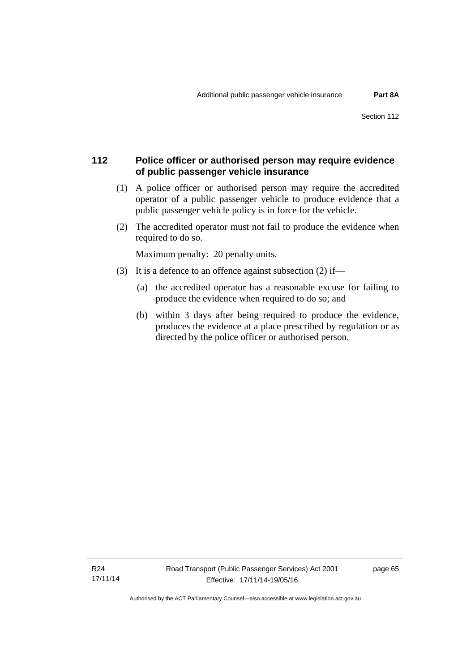# **112 Police officer or authorised person may require evidence of public passenger vehicle insurance**

- (1) A police officer or authorised person may require the accredited operator of a public passenger vehicle to produce evidence that a public passenger vehicle policy is in force for the vehicle.
- (2) The accredited operator must not fail to produce the evidence when required to do so.

Maximum penalty: 20 penalty units.

- (3) It is a defence to an offence against subsection (2) if—
	- (a) the accredited operator has a reasonable excuse for failing to produce the evidence when required to do so; and
	- (b) within 3 days after being required to produce the evidence, produces the evidence at a place prescribed by regulation or as directed by the police officer or authorised person.

page 65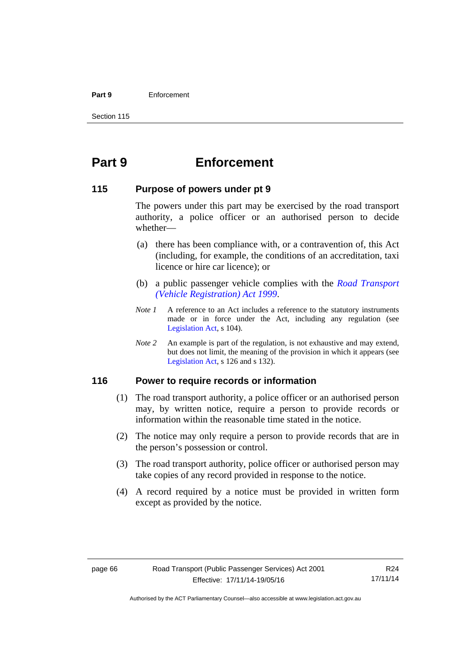#### **Part 9** Enforcement

Section 115

# **Part 9 Enforcement**

## **115 Purpose of powers under pt 9**

The powers under this part may be exercised by the road transport authority, a police officer or an authorised person to decide whether—

- (a) there has been compliance with, or a contravention of, this Act (including, for example, the conditions of an accreditation, taxi licence or hire car licence); or
- (b) a public passenger vehicle complies with the *[Road Transport](http://www.legislation.act.gov.au/a/1999-81)  [\(Vehicle Registration\) Act 1999](http://www.legislation.act.gov.au/a/1999-81)*.
- *Note 1* A reference to an Act includes a reference to the statutory instruments made or in force under the Act, including any regulation (see [Legislation Act,](http://www.legislation.act.gov.au/a/2001-14) s 104).
- *Note 2* An example is part of the regulation, is not exhaustive and may extend, but does not limit, the meaning of the provision in which it appears (see [Legislation Act,](http://www.legislation.act.gov.au/a/2001-14) s 126 and s 132).

# **116 Power to require records or information**

- (1) The road transport authority, a police officer or an authorised person may, by written notice, require a person to provide records or information within the reasonable time stated in the notice.
- (2) The notice may only require a person to provide records that are in the person's possession or control.
- (3) The road transport authority, police officer or authorised person may take copies of any record provided in response to the notice.
- (4) A record required by a notice must be provided in written form except as provided by the notice.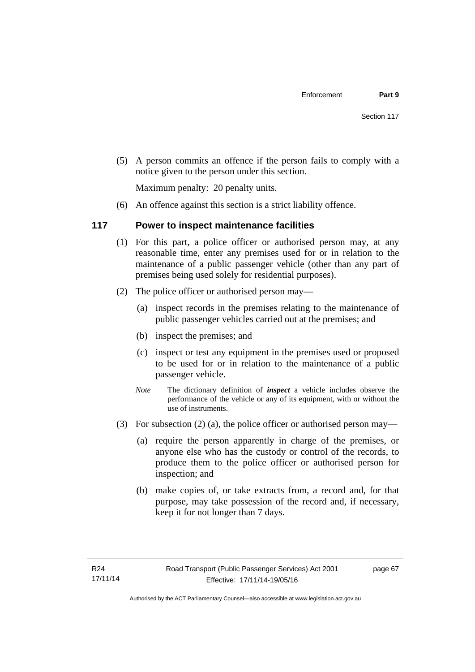(5) A person commits an offence if the person fails to comply with a notice given to the person under this section.

Maximum penalty: 20 penalty units.

(6) An offence against this section is a strict liability offence.

# **117 Power to inspect maintenance facilities**

- (1) For this part, a police officer or authorised person may, at any reasonable time, enter any premises used for or in relation to the maintenance of a public passenger vehicle (other than any part of premises being used solely for residential purposes).
- (2) The police officer or authorised person may—
	- (a) inspect records in the premises relating to the maintenance of public passenger vehicles carried out at the premises; and
	- (b) inspect the premises; and
	- (c) inspect or test any equipment in the premises used or proposed to be used for or in relation to the maintenance of a public passenger vehicle.
	- *Note* The dictionary definition of *inspect* a vehicle includes observe the performance of the vehicle or any of its equipment, with or without the use of instruments.
- (3) For subsection (2) (a), the police officer or authorised person may—
	- (a) require the person apparently in charge of the premises, or anyone else who has the custody or control of the records, to produce them to the police officer or authorised person for inspection; and
	- (b) make copies of, or take extracts from, a record and, for that purpose, may take possession of the record and, if necessary, keep it for not longer than 7 days.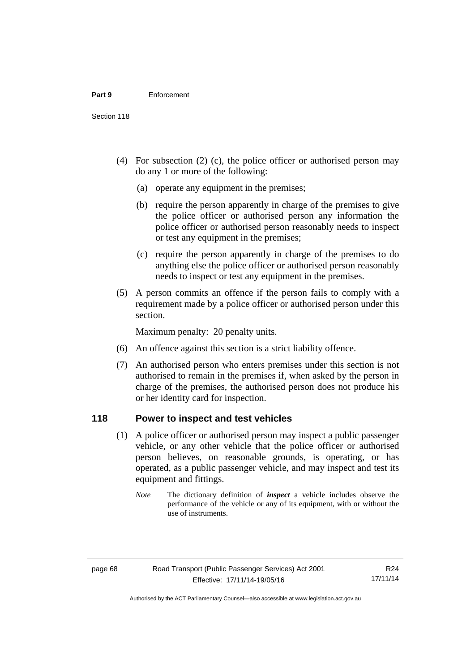Section 118

- (4) For subsection (2) (c), the police officer or authorised person may do any 1 or more of the following:
	- (a) operate any equipment in the premises;
	- (b) require the person apparently in charge of the premises to give the police officer or authorised person any information the police officer or authorised person reasonably needs to inspect or test any equipment in the premises;
	- (c) require the person apparently in charge of the premises to do anything else the police officer or authorised person reasonably needs to inspect or test any equipment in the premises.
- (5) A person commits an offence if the person fails to comply with a requirement made by a police officer or authorised person under this section.

Maximum penalty: 20 penalty units.

- (6) An offence against this section is a strict liability offence.
- (7) An authorised person who enters premises under this section is not authorised to remain in the premises if, when asked by the person in charge of the premises, the authorised person does not produce his or her identity card for inspection.

# **118 Power to inspect and test vehicles**

- (1) A police officer or authorised person may inspect a public passenger vehicle, or any other vehicle that the police officer or authorised person believes, on reasonable grounds, is operating, or has operated, as a public passenger vehicle, and may inspect and test its equipment and fittings.
	- *Note* The dictionary definition of *inspect* a vehicle includes observe the performance of the vehicle or any of its equipment, with or without the use of instruments.

R24 17/11/14

Authorised by the ACT Parliamentary Counsel—also accessible at www.legislation.act.gov.au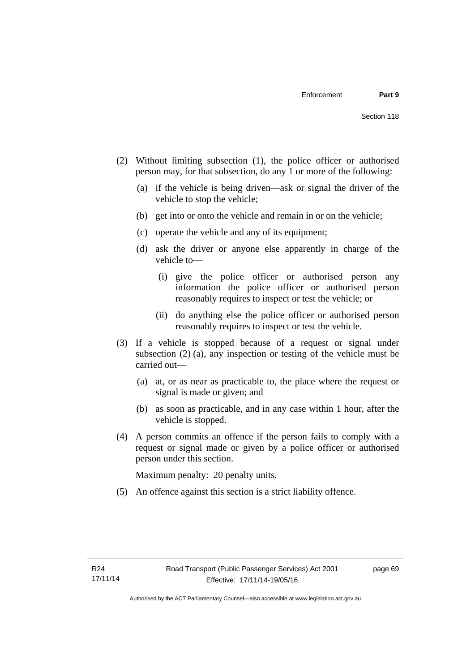- (2) Without limiting subsection (1), the police officer or authorised person may, for that subsection, do any 1 or more of the following:
	- (a) if the vehicle is being driven—ask or signal the driver of the vehicle to stop the vehicle;
	- (b) get into or onto the vehicle and remain in or on the vehicle;
	- (c) operate the vehicle and any of its equipment;
	- (d) ask the driver or anyone else apparently in charge of the vehicle to—
		- (i) give the police officer or authorised person any information the police officer or authorised person reasonably requires to inspect or test the vehicle; or
		- (ii) do anything else the police officer or authorised person reasonably requires to inspect or test the vehicle.
- (3) If a vehicle is stopped because of a request or signal under subsection (2) (a), any inspection or testing of the vehicle must be carried out—
	- (a) at, or as near as practicable to, the place where the request or signal is made or given; and
	- (b) as soon as practicable, and in any case within 1 hour, after the vehicle is stopped.
- (4) A person commits an offence if the person fails to comply with a request or signal made or given by a police officer or authorised person under this section.

Maximum penalty: 20 penalty units.

(5) An offence against this section is a strict liability offence.

page 69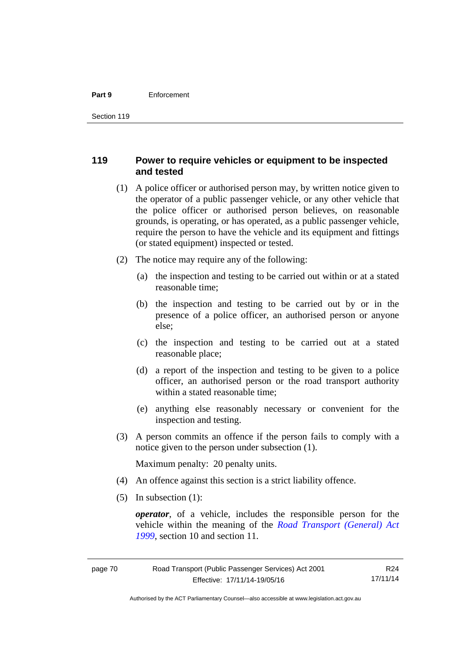#### **Part 9** Enforcement

# **119 Power to require vehicles or equipment to be inspected and tested**

- (1) A police officer or authorised person may, by written notice given to the operator of a public passenger vehicle, or any other vehicle that the police officer or authorised person believes, on reasonable grounds, is operating, or has operated, as a public passenger vehicle, require the person to have the vehicle and its equipment and fittings (or stated equipment) inspected or tested.
- (2) The notice may require any of the following:
	- (a) the inspection and testing to be carried out within or at a stated reasonable time;
	- (b) the inspection and testing to be carried out by or in the presence of a police officer, an authorised person or anyone else;
	- (c) the inspection and testing to be carried out at a stated reasonable place;
	- (d) a report of the inspection and testing to be given to a police officer, an authorised person or the road transport authority within a stated reasonable time;
	- (e) anything else reasonably necessary or convenient for the inspection and testing.
- (3) A person commits an offence if the person fails to comply with a notice given to the person under subsection (1).

Maximum penalty: 20 penalty units.

- (4) An offence against this section is a strict liability offence.
- (5) In subsection (1):

*operator*, of a vehicle, includes the responsible person for the vehicle within the meaning of the *[Road Transport \(General\) Act](http://www.legislation.act.gov.au/a/1999-77)  [1999](http://www.legislation.act.gov.au/a/1999-77)*, section 10 and section 11.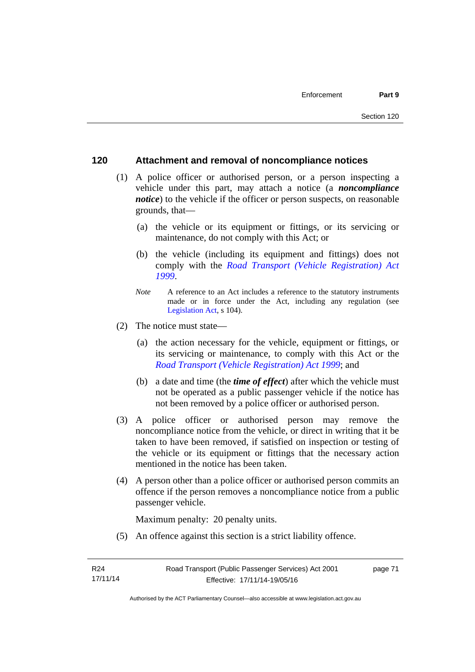## **120 Attachment and removal of noncompliance notices**

- (1) A police officer or authorised person, or a person inspecting a vehicle under this part, may attach a notice (a *noncompliance notice*) to the vehicle if the officer or person suspects, on reasonable grounds, that—
	- (a) the vehicle or its equipment or fittings, or its servicing or maintenance, do not comply with this Act; or
	- (b) the vehicle (including its equipment and fittings) does not comply with the *[Road Transport \(Vehicle Registration\) Act](http://www.legislation.act.gov.au/a/1999-81)  [1999](http://www.legislation.act.gov.au/a/1999-81)*.
	- *Note* A reference to an Act includes a reference to the statutory instruments made or in force under the Act, including any regulation (see [Legislation Act,](http://www.legislation.act.gov.au/a/2001-14) s 104).
- (2) The notice must state—
	- (a) the action necessary for the vehicle, equipment or fittings, or its servicing or maintenance, to comply with this Act or the *[Road Transport \(Vehicle Registration\) Act 1999](http://www.legislation.act.gov.au/a/1999-81)*; and
	- (b) a date and time (the *time of effect*) after which the vehicle must not be operated as a public passenger vehicle if the notice has not been removed by a police officer or authorised person.
- (3) A police officer or authorised person may remove the noncompliance notice from the vehicle, or direct in writing that it be taken to have been removed, if satisfied on inspection or testing of the vehicle or its equipment or fittings that the necessary action mentioned in the notice has been taken.
- (4) A person other than a police officer or authorised person commits an offence if the person removes a noncompliance notice from a public passenger vehicle.

Maximum penalty: 20 penalty units.

(5) An offence against this section is a strict liability offence.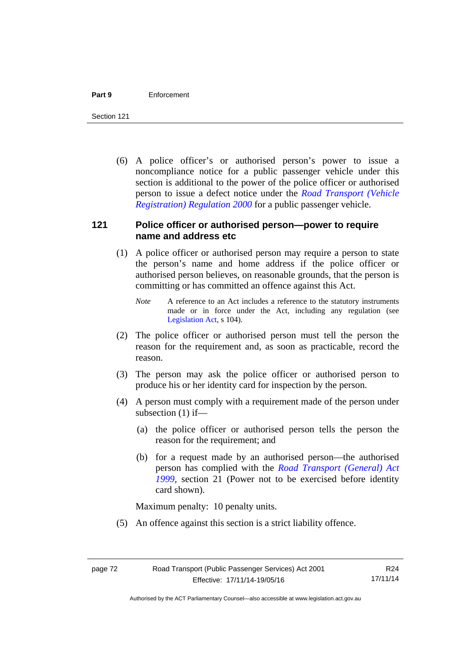#### **Part 9** Enforcement

Section 121

 (6) A police officer's or authorised person's power to issue a noncompliance notice for a public passenger vehicle under this section is additional to the power of the police officer or authorised person to issue a defect notice under the *[Road Transport \(Vehicle](http://www.legislation.act.gov.au/sl/2000-12)  [Registration\) Regulation 2000](http://www.legislation.act.gov.au/sl/2000-12)* for a public passenger vehicle.

# **121 Police officer or authorised person—power to require name and address etc**

- (1) A police officer or authorised person may require a person to state the person's name and home address if the police officer or authorised person believes, on reasonable grounds, that the person is committing or has committed an offence against this Act.
	- *Note* A reference to an Act includes a reference to the statutory instruments made or in force under the Act, including any regulation (see [Legislation Act,](http://www.legislation.act.gov.au/a/2001-14) s 104).
- (2) The police officer or authorised person must tell the person the reason for the requirement and, as soon as practicable, record the reason.
- (3) The person may ask the police officer or authorised person to produce his or her identity card for inspection by the person.
- (4) A person must comply with a requirement made of the person under subsection (1) if—
	- (a) the police officer or authorised person tells the person the reason for the requirement; and
	- (b) for a request made by an authorised person—the authorised person has complied with the *[Road Transport \(General\) Act](http://www.legislation.act.gov.au/a/1999-77)  [1999](http://www.legislation.act.gov.au/a/1999-77)*, section 21 (Power not to be exercised before identity card shown).

Maximum penalty: 10 penalty units.

(5) An offence against this section is a strict liability offence.

Authorised by the ACT Parliamentary Counsel—also accessible at www.legislation.act.gov.au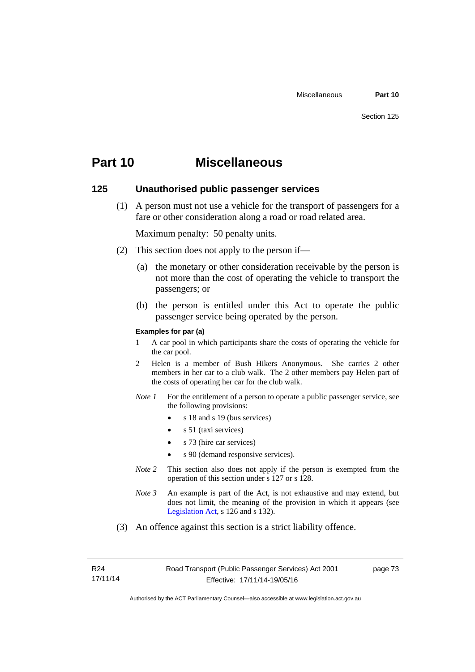# **Part 10 Miscellaneous**

## **125 Unauthorised public passenger services**

 (1) A person must not use a vehicle for the transport of passengers for a fare or other consideration along a road or road related area.

Maximum penalty: 50 penalty units.

- (2) This section does not apply to the person if—
	- (a) the monetary or other consideration receivable by the person is not more than the cost of operating the vehicle to transport the passengers; or
	- (b) the person is entitled under this Act to operate the public passenger service being operated by the person.

#### **Examples for par (a)**

- 1 A car pool in which participants share the costs of operating the vehicle for the car pool.
- 2 Helen is a member of Bush Hikers Anonymous. She carries 2 other members in her car to a club walk. The 2 other members pay Helen part of the costs of operating her car for the club walk.
- *Note 1* For the entitlement of a person to operate a public passenger service, see the following provisions:
	- $\bullet$  s 18 and s 19 (bus services)
	- s 51 (taxi services)
	- s 73 (hire car services)
	- s 90 (demand responsive services).
- *Note* 2 This section also does not apply if the person is exempted from the operation of this section under s 127 or s 128.
- *Note 3* An example is part of the Act, is not exhaustive and may extend, but does not limit, the meaning of the provision in which it appears (see [Legislation Act,](http://www.legislation.act.gov.au/a/2001-14) s 126 and s 132).
- (3) An offence against this section is a strict liability offence.

R24 17/11/14 page 73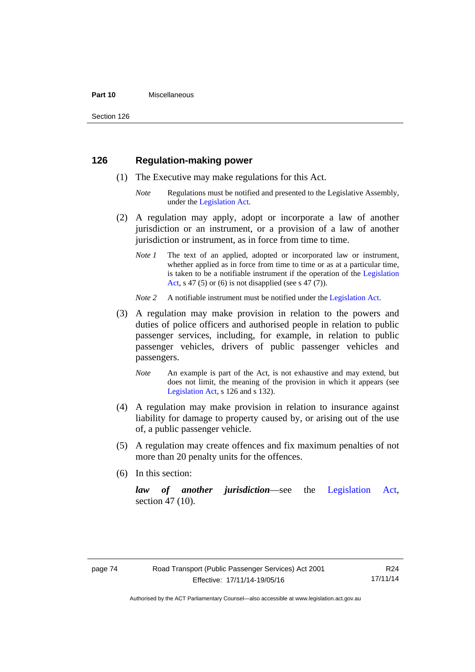#### **Part 10** Miscellaneous

Section 126

# **126 Regulation-making power**

- (1) The Executive may make regulations for this Act.
	- *Note* Regulations must be notified and presented to the Legislative Assembly, under the [Legislation Act.](http://www.legislation.act.gov.au/a/2001-14)
- (2) A regulation may apply, adopt or incorporate a law of another jurisdiction or an instrument, or a provision of a law of another jurisdiction or instrument, as in force from time to time.
	- *Note 1* The text of an applied, adopted or incorporated law or instrument, whether applied as in force from time to time or as at a particular time, is taken to be a notifiable instrument if the operation of the [Legislation](http://www.legislation.act.gov.au/a/2001-14)  [Act](http://www.legislation.act.gov.au/a/2001-14), s 47 (5) or (6) is not disapplied (see s 47 (7)).
	- *Note 2* A notifiable instrument must be notified under the [Legislation Act](http://www.legislation.act.gov.au/a/2001-14).
- (3) A regulation may make provision in relation to the powers and duties of police officers and authorised people in relation to public passenger services, including, for example, in relation to public passenger vehicles, drivers of public passenger vehicles and passengers.
	- *Note* An example is part of the Act, is not exhaustive and may extend, but does not limit, the meaning of the provision in which it appears (see [Legislation Act,](http://www.legislation.act.gov.au/a/2001-14) s 126 and s 132).
- (4) A regulation may make provision in relation to insurance against liability for damage to property caused by, or arising out of the use of, a public passenger vehicle.
- (5) A regulation may create offences and fix maximum penalties of not more than 20 penalty units for the offences.
- (6) In this section:

*law of another jurisdiction*—see the [Legislation Act](http://www.legislation.act.gov.au/a/2001-14), section 47 (10).

R24 17/11/14

Authorised by the ACT Parliamentary Counsel—also accessible at www.legislation.act.gov.au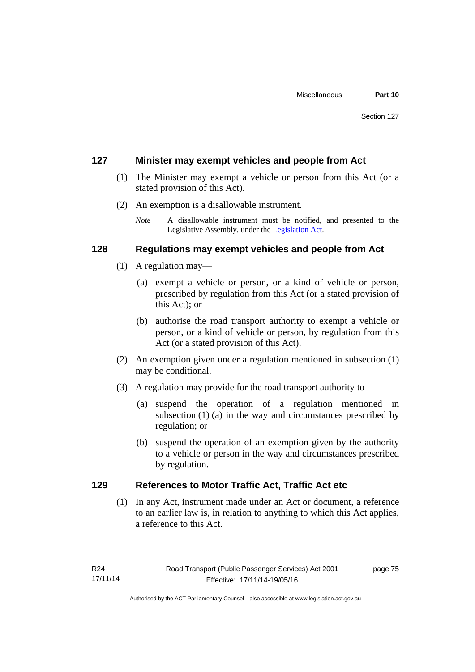# **127 Minister may exempt vehicles and people from Act**

- (1) The Minister may exempt a vehicle or person from this Act (or a stated provision of this Act).
- (2) An exemption is a disallowable instrument.
	- *Note* A disallowable instrument must be notified, and presented to the Legislative Assembly, under the [Legislation Act.](http://www.legislation.act.gov.au/a/2001-14)

# **128 Regulations may exempt vehicles and people from Act**

- (1) A regulation may—
	- (a) exempt a vehicle or person, or a kind of vehicle or person, prescribed by regulation from this Act (or a stated provision of this Act); or
	- (b) authorise the road transport authority to exempt a vehicle or person, or a kind of vehicle or person, by regulation from this Act (or a stated provision of this Act).
- (2) An exemption given under a regulation mentioned in subsection (1) may be conditional.
- (3) A regulation may provide for the road transport authority to—
	- (a) suspend the operation of a regulation mentioned in subsection (1) (a) in the way and circumstances prescribed by regulation; or
	- (b) suspend the operation of an exemption given by the authority to a vehicle or person in the way and circumstances prescribed by regulation.

# **129 References to Motor Traffic Act, Traffic Act etc**

(1) In any Act, instrument made under an Act or document, a reference to an earlier law is, in relation to anything to which this Act applies, a reference to this Act.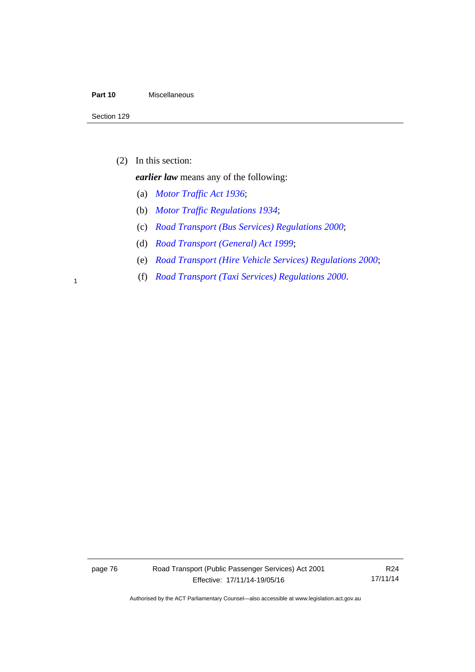### **Part 10** Miscellaneous

(2) In this section:

*earlier law* means any of the following:

- (a) *[Motor Traffic Act 1936](http://www.legislation.act.gov.au/a/1936-45)*;
- (b) *[Motor Traffic Regulations 1934](http://www.legislation.act.gov.au/sl/1934-6)*;
- (c) *[Road Transport \(Bus Services\) Regulations 2000](http://www.legislation.act.gov.au/sl/2000-9)*;
- (d) *[Road Transport \(General\) Act 1999](http://www.legislation.act.gov.au/a/1999-77)*;
- (e) *[Road Transport \(Hire Vehicle Services\) Regulations 2000](http://www.legislation.act.gov.au/sl/2000-4)*;
- (f) *[Road Transport \(Taxi Services\) Regulations 2000](http://www.legislation.act.gov.au/sl/2000-5)*. <sup>1</sup>

page 76 Road Transport (Public Passenger Services) Act 2001 Effective: 17/11/14-19/05/16

R24 17/11/14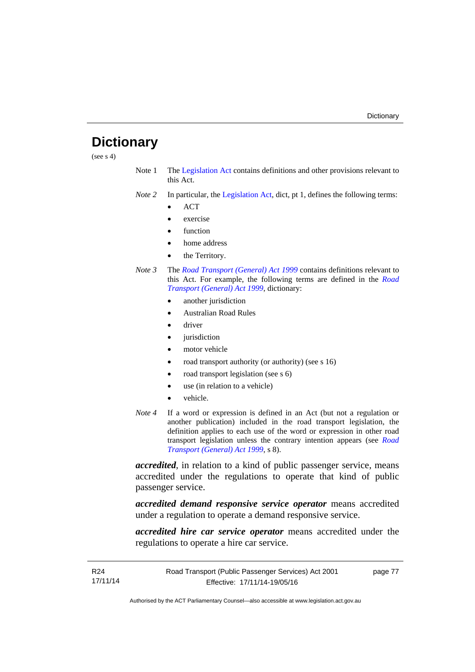# **Dictionary**

(see  $s$  4)

- Note 1 The [Legislation Act](http://www.legislation.act.gov.au/a/2001-14) contains definitions and other provisions relevant to this Act.
- *Note 2* In particular, the [Legislation Act,](http://www.legislation.act.gov.au/a/2001-14) dict, pt 1, defines the following terms:
	- **ACT**
	- exercise
	- function
	- home address
	- the Territory.
- *Note 3* The *[Road Transport \(General\) Act 1999](http://www.legislation.act.gov.au/a/1999-77)* contains definitions relevant to this Act. For example, the following terms are defined in the *[Road](http://www.legislation.act.gov.au/a/1999-77)  [Transport \(General\) Act 1999](http://www.legislation.act.gov.au/a/1999-77)*, dictionary:
	- another jurisdiction
	- Australian Road Rules
	- driver
	- jurisdiction
	- motor vehicle
	- road transport authority (or authority) (see s 16)
	- road transport legislation (see s 6)
	- use (in relation to a vehicle)
	- vehicle.
- *Note 4* If a word or expression is defined in an Act (but not a regulation or another publication) included in the road transport legislation, the definition applies to each use of the word or expression in other road transport legislation unless the contrary intention appears (see *[Road](http://www.legislation.act.gov.au/a/1999-77)  [Transport \(General\) Act 1999](http://www.legislation.act.gov.au/a/1999-77)*, s 8).

*accredited*, in relation to a kind of public passenger service, means accredited under the regulations to operate that kind of public passenger service.

*accredited demand responsive service operator* means accredited under a regulation to operate a demand responsive service.

*accredited hire car service operator* means accredited under the regulations to operate a hire car service.

page 77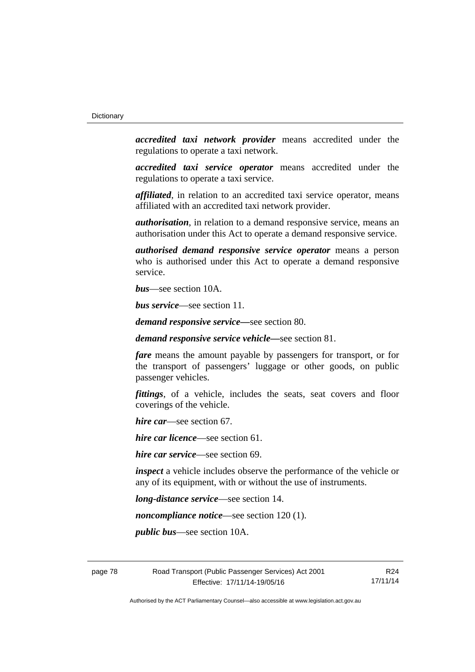*accredited taxi network provider* means accredited under the regulations to operate a taxi network.

*accredited taxi service operator* means accredited under the regulations to operate a taxi service.

*affiliated*, in relation to an accredited taxi service operator, means affiliated with an accredited taxi network provider.

*authorisation*, in relation to a demand responsive service, means an authorisation under this Act to operate a demand responsive service.

*authorised demand responsive service operator* means a person who is authorised under this Act to operate a demand responsive service.

*bus*—see section 10A.

*bus service*—see section 11.

*demand responsive service—*see section 80.

*demand responsive service vehicle—*see section 81.

*fare* means the amount payable by passengers for transport, or for the transport of passengers' luggage or other goods, on public passenger vehicles.

*fittings*, of a vehicle, includes the seats, seat covers and floor coverings of the vehicle.

*hire car*—see section 67.

*hire car licence*—see section 61.

*hire car service*—see section 69.

*inspect* a vehicle includes observe the performance of the vehicle or any of its equipment, with or without the use of instruments.

*long-distance service*—see section 14.

*noncompliance notice*—see section 120 (1).

*public bus*—see section 10A.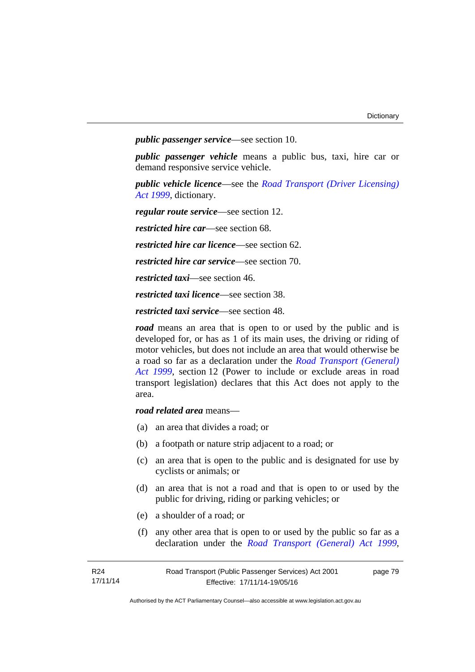*public passenger service*—see section 10.

*public passenger vehicle* means a public bus, taxi, hire car or demand responsive service vehicle.

*public vehicle licence*—see the *[Road Transport \(Driver Licensing\)](http://www.legislation.act.gov.au/a/1999-78)  [Act 1999](http://www.legislation.act.gov.au/a/1999-78)*, dictionary.

*regular route service*—see section 12.

*restricted hire car*—see section 68.

*restricted hire car licence*—see section 62.

*restricted hire car service*—see section 70.

*restricted taxi*—see section 46.

*restricted taxi licence*—see section 38.

*restricted taxi service*—see section 48.

*road* means an area that is open to or used by the public and is developed for, or has as 1 of its main uses, the driving or riding of motor vehicles, but does not include an area that would otherwise be a road so far as a declaration under the *[Road Transport \(General\)](http://www.legislation.act.gov.au/a/1999-77)  [Act 1999](http://www.legislation.act.gov.au/a/1999-77)*, section 12 (Power to include or exclude areas in road transport legislation) declares that this Act does not apply to the area.

*road related area* means—

- (a) an area that divides a road; or
- (b) a footpath or nature strip adjacent to a road; or
- (c) an area that is open to the public and is designated for use by cyclists or animals; or
- (d) an area that is not a road and that is open to or used by the public for driving, riding or parking vehicles; or
- (e) a shoulder of a road; or
- (f) any other area that is open to or used by the public so far as a declaration under the *[Road Transport \(General\) Act 1999](http://www.legislation.act.gov.au/a/1999-77)*,

page 79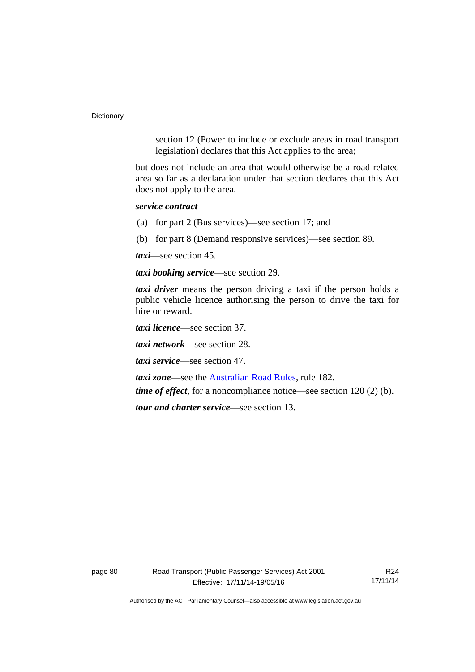**Dictionary** 

section 12 (Power to include or exclude areas in road transport legislation) declares that this Act applies to the area;

but does not include an area that would otherwise be a road related area so far as a declaration under that section declares that this Act does not apply to the area.

*service contract—*

(a) for part 2 (Bus services)—see section 17; and

(b) for part 8 (Demand responsive services)—see section 89.

*taxi*—see section 45.

*taxi booking service*—see section 29.

*taxi driver* means the person driving a taxi if the person holds a public vehicle licence authorising the person to drive the taxi for hire or reward.

*taxi licence*—see section 37.

*taxi network*—see section 28.

*taxi service*—see section 47.

*taxi zone*—see the [Australian Road Rules](http://www.legislation.act.gov.au//ni/db_37271/default.asp), rule 182.

*time of effect*, for a noncompliance notice—see section 120 (2) (b).

*tour and charter service*—see section 13.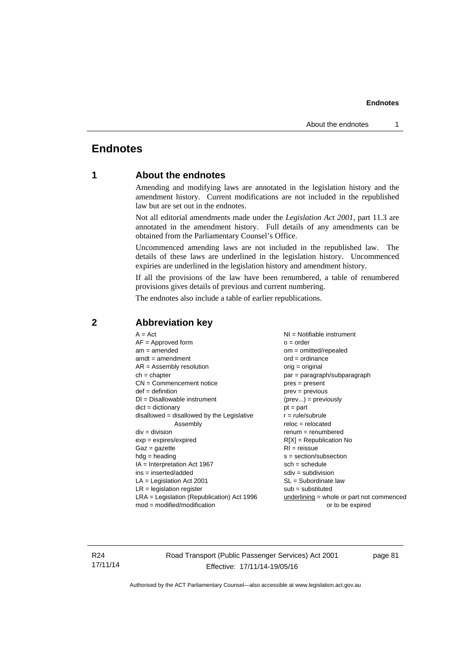# **Endnotes**

# **1 About the endnotes**

Amending and modifying laws are annotated in the legislation history and the amendment history. Current modifications are not included in the republished law but are set out in the endnotes.

Not all editorial amendments made under the *Legislation Act 2001*, part 11.3 are annotated in the amendment history. Full details of any amendments can be obtained from the Parliamentary Counsel's Office.

Uncommenced amending laws are not included in the republished law. The details of these laws are underlined in the legislation history. Uncommenced expiries are underlined in the legislation history and amendment history.

If all the provisions of the law have been renumbered, a table of renumbered provisions gives details of previous and current numbering.

The endnotes also include a table of earlier republications.

| $A = Act$<br>$AF =$ Approved form<br>$am = amended$<br>$amdt = amendment$<br>$AR = Assembly resolution$<br>$ch = chapter$<br>$CN =$ Commencement notice<br>$def = definition$<br>$DI = Disallowable instrument$<br>$dict = dictionary$<br>disallowed = disallowed by the Legislative<br>Assembly<br>$div = division$<br>$exp = expires/expired$<br>$Gaz = gazette$<br>$hdg = heading$<br>$IA = Interpretation Act 1967$<br>$ins = inserted/added$<br>$LA =$ Legislation Act 2001<br>$LR =$ legislation register | NI = Notifiable instrument<br>$o = order$<br>$om = omitted/repealed$<br>$ord = ordinance$<br>$orig = original$<br>par = paragraph/subparagraph<br>$pres = present$<br>$prev = previous$<br>$(\text{prev}) = \text{previously}$<br>$pt = part$<br>$r = rule/subrule$<br>$reloc = relocated$<br>$remum = renumbered$<br>$R[X]$ = Republication No<br>$RI = reissue$<br>$s = section/subsection$<br>$sch = schedule$<br>$sdiv = subdivision$<br>$SL = Subordinate$ law<br>$sub =$ substituted |
|-----------------------------------------------------------------------------------------------------------------------------------------------------------------------------------------------------------------------------------------------------------------------------------------------------------------------------------------------------------------------------------------------------------------------------------------------------------------------------------------------------------------|--------------------------------------------------------------------------------------------------------------------------------------------------------------------------------------------------------------------------------------------------------------------------------------------------------------------------------------------------------------------------------------------------------------------------------------------------------------------------------------------|
|                                                                                                                                                                                                                                                                                                                                                                                                                                                                                                                 |                                                                                                                                                                                                                                                                                                                                                                                                                                                                                            |
| $LRA =$ Legislation (Republication) Act 1996<br>$mod = modified/modification$                                                                                                                                                                                                                                                                                                                                                                                                                                   | $underlining = whole or part not commenced$<br>or to be expired                                                                                                                                                                                                                                                                                                                                                                                                                            |
|                                                                                                                                                                                                                                                                                                                                                                                                                                                                                                                 |                                                                                                                                                                                                                                                                                                                                                                                                                                                                                            |

## **2 Abbreviation key**

R24 17/11/14 Road Transport (Public Passenger Services) Act 2001 Effective: 17/11/14-19/05/16

page 81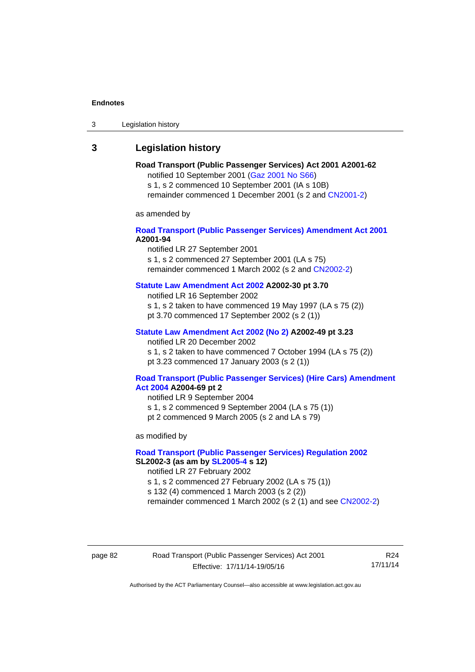3 Legislation history

# **3 Legislation history**

#### **Road Transport (Public Passenger Services) Act 2001 A2001-62**  notified 10 September 2001 [\(Gaz 2001 No S66\)](http://www.legislation.act.gov.au/gaz/2001-S66/default.asp)

s 1, s 2 commenced 10 September 2001 (IA s 10B) remainder commenced 1 December 2001 (s 2 and [CN2001-2\)](http://www.legislation.act.gov.au/cn/2001-2/default.asp)

as amended by

### **[Road Transport \(Public Passenger Services\) Amendment Act 2001](http://www.legislation.act.gov.au/a/2001-94) A2001-94**

notified LR 27 September 2001

s 1, s 2 commenced 27 September 2001 (LA s 75) remainder commenced 1 March 2002 (s 2 and [CN2002-2\)](http://www.legislation.act.gov.au/cn/2002-2/default.asp)

# **[Statute Law Amendment Act 2002](http://www.legislation.act.gov.au/a/2002-30) A2002-30 pt 3.70**

notified LR 16 September 2002

s 1, s 2 taken to have commenced 19 May 1997 (LA s 75 (2))

pt 3.70 commenced 17 September 2002 (s 2 (1))

## **[Statute Law Amendment Act 2002 \(No 2\)](http://www.legislation.act.gov.au/a/2002-49) A2002-49 pt 3.23**

notified LR 20 December 2002 s 1, s 2 taken to have commenced 7 October 1994 (LA s 75 (2)) pt 3.23 commenced 17 January 2003 (s 2 (1))

#### **[Road Transport \(Public Passenger Services\) \(Hire Cars\) Amendment](http://www.legislation.act.gov.au/a/2004-69)  [Act 2004](http://www.legislation.act.gov.au/a/2004-69) A2004-69 pt 2**

notified LR 9 September 2004 s 1, s 2 commenced 9 September 2004 (LA s 75 (1)) pt 2 commenced 9 March 2005 (s 2 and LA s 79)

as modified by

### **[Road Transport \(Public Passenger Services\) Regulation 2002](http://www.legislation.act.gov.au/sl/2002-3) SL2002-3 (as am by [SL2005-4](http://www.legislation.act.gov.au/sl/2005-4) s 12)**

notified LR 27 February 2002

s 1, s 2 commenced 27 February 2002 (LA s 75 (1))

s 132 (4) commenced 1 March 2003 (s 2 (2))

remainder commenced 1 March 2002 (s 2 (1) and see [CN2002-2](http://www.legislation.act.gov.au/cn/2002-2/default.asp))

page 82 Road Transport (Public Passenger Services) Act 2001 Effective: 17/11/14-19/05/16

R24 17/11/14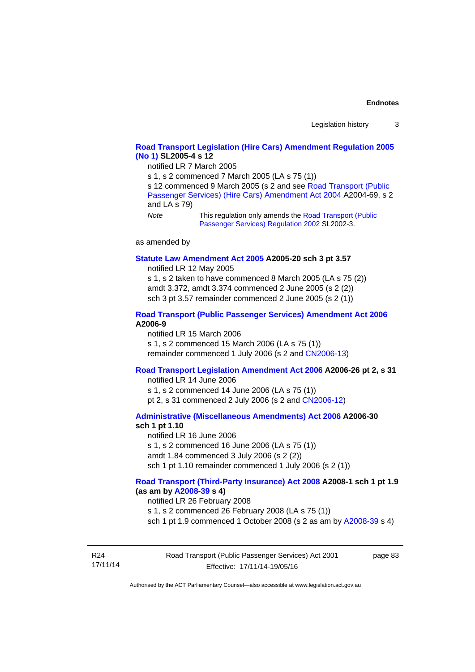## **[Road Transport Legislation \(Hire Cars\) Amendment Regulation 2005](http://www.legislation.act.gov.au/sl/2005-4)  [\(No 1\)](http://www.legislation.act.gov.au/sl/2005-4) SL2005-4 s 12**

notified LR 7 March 2005

s 1, s 2 commenced 7 March 2005 (LA s 75 (1))

s 12 commenced 9 March 2005 (s 2 and see Road Transport (Public [Passenger Services\) \(Hire Cars\) Amendment Act 2004](http://www.legislation.act.gov.au/a/2004-69) A2004-69, s 2 and LA s 79)

*Note* This regulation only amends the [Road Transport \(Public](http://www.legislation.act.gov.au/sl/2002-3)  [Passenger Services\) Regulation 2002](http://www.legislation.act.gov.au/sl/2002-3) SL2002-3.

as amended by

#### **[Statute Law Amendment Act 2005](http://www.legislation.act.gov.au/a/2005-20) A2005-20 sch 3 pt 3.57**

notified LR 12 May 2005

s 1, s 2 taken to have commenced 8 March 2005 (LA s 75 (2)) amdt 3.372, amdt 3.374 commenced 2 June 2005 (s 2 (2)) sch 3 pt 3.57 remainder commenced 2 June 2005 (s 2 (1))

#### **[Road Transport \(Public Passenger Services\) Amendment Act 2006](http://www.legislation.act.gov.au/a/2006-9) A2006-9**

notified LR 15 March 2006 s 1, s 2 commenced 15 March 2006 (LA s 75 (1)) remainder commenced 1 July 2006 (s 2 and [CN2006-13](http://www.legislation.act.gov.au/cn/2006-13/default.asp))

### **[Road Transport Legislation Amendment Act 2006](http://www.legislation.act.gov.au/a/2006-26) A2006-26 pt 2, s 31**

notified LR 14 June 2006 s 1, s 2 commenced 14 June 2006 (LA s 75 (1)) pt 2, s 31 commenced 2 July 2006 (s 2 and [CN2006-12](http://www.legislation.act.gov.au/cn/2006-12/default.asp))

#### **[Administrative \(Miscellaneous Amendments\) Act 2006](http://www.legislation.act.gov.au/a/2006-30) A2006-30 sch 1 pt 1.10**

notified LR 16 June 2006 s 1, s 2 commenced 16 June 2006 (LA s 75 (1)) amdt 1.84 commenced 3 July 2006 (s 2 (2)) sch 1 pt 1.10 remainder commenced 1 July 2006 (s 2 (1))

#### **[Road Transport \(Third-Party Insurance\) Act 2008](http://www.legislation.act.gov.au/a/2008-1) A2008-1 sch 1 pt 1.9 (as am by [A2008-39](http://www.legislation.act.gov.au/a/2008-39) s 4)**

notified LR 26 February 2008

s 1, s 2 commenced 26 February 2008 (LA s 75 (1))

sch 1 pt 1.9 commenced 1 October 2008 (s 2 as am by [A2008-39](http://www.legislation.act.gov.au/a/2008-39) s 4)

R24 17/11/14 page 83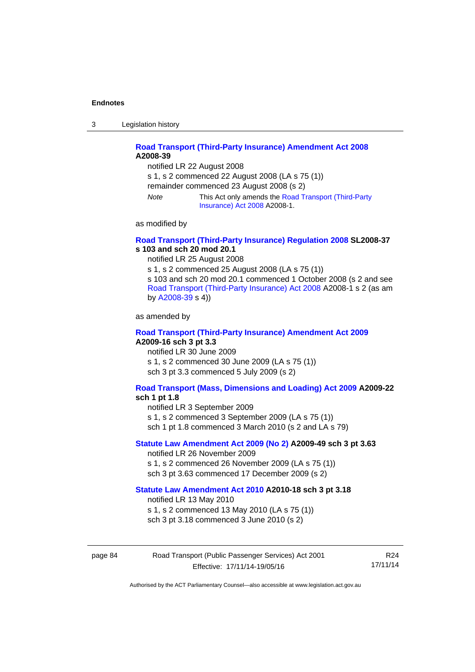3 Legislation history

## **[Road Transport \(Third-Party Insurance\) Amendment Act 2008](http://www.legislation.act.gov.au/a/2008-39) A2008-39**

notified LR 22 August 2008 s 1, s 2 commenced 22 August 2008 (LA s 75 (1)) remainder commenced 23 August 2008 (s 2) *Note* This Act only amends the [Road Transport \(Third-Party](http://www.legislation.act.gov.au/a/2008-1)  [Insurance\) Act 2008](http://www.legislation.act.gov.au/a/2008-1) A2008-1.

as modified by

#### **[Road Transport \(Third-Party Insurance\) Regulation 2008](http://www.legislation.act.gov.au/sl/2008-37) SL2008-37 s 103 and sch 20 mod 20.1**

notified LR 25 August 2008

s 1, s 2 commenced 25 August 2008 (LA s 75 (1)) s 103 and sch 20 mod 20.1 commenced 1 October 2008 (s 2 and see [Road Transport \(Third-Party Insurance\) Act 2008](http://www.legislation.act.gov.au/a/2008-1) A2008-1 s 2 (as am by [A2008-39](http://www.legislation.act.gov.au/a/2008-39) s 4))

as amended by

### **[Road Transport \(Third-Party Insurance\) Amendment Act 2009](http://www.legislation.act.gov.au/a/2009-16) A2009-16 sch 3 pt 3.3**

notified LR 30 June 2009 s 1, s 2 commenced 30 June 2009 (LA s 75 (1)) sch 3 pt 3.3 commenced 5 July 2009 (s 2)

## **[Road Transport \(Mass, Dimensions and Loading\) Act 2009](http://www.legislation.act.gov.au/a/2009-22/default.asp) A2009-22**

### **sch 1 pt 1.8**

notified LR 3 September 2009

s 1, s 2 commenced 3 September 2009 (LA s 75 (1))

sch 1 pt 1.8 commenced 3 March 2010 (s 2 and LA s 79)

## **[Statute Law Amendment Act 2009 \(No 2\)](http://www.legislation.act.gov.au/a/2009-49) A2009-49 sch 3 pt 3.63**

notified LR 26 November 2009 s 1, s 2 commenced 26 November 2009 (LA s 75 (1)) sch 3 pt 3.63 commenced 17 December 2009 (s 2)

#### **[Statute Law Amendment Act 2010](http://www.legislation.act.gov.au/a/2010-18) A2010-18 sch 3 pt 3.18**

notified LR 13 May 2010

s 1, s 2 commenced 13 May 2010 (LA s 75 (1))

sch 3 pt 3.18 commenced 3 June 2010 (s 2)

| page 84 | Road Transport (Public Passenger Services) Act 2001 | R24      |
|---------|-----------------------------------------------------|----------|
|         | Effective: 17/11/14-19/05/16                        | 17/11/14 |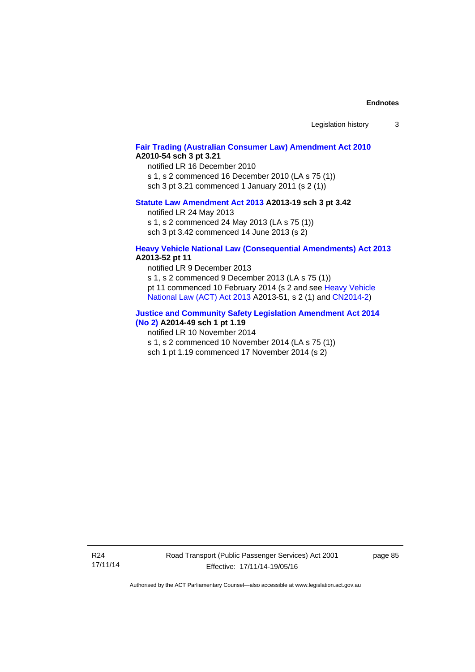| Legislation history |  |
|---------------------|--|
|---------------------|--|

## **[Fair Trading \(Australian Consumer Law\) Amendment Act 2010](http://www.legislation.act.gov.au/a/2010-54) A2010-54 sch 3 pt 3.21**

notified LR 16 December 2010 s 1, s 2 commenced 16 December 2010 (LA s 75 (1)) sch 3 pt 3.21 commenced 1 January 2011 (s 2 (1))

## **[Statute Law Amendment Act 2013](http://www.legislation.act.gov.au/a/2013-19) A2013-19 sch 3 pt 3.42**

notified LR 24 May 2013 s 1, s 2 commenced 24 May 2013 (LA s 75 (1))

sch 3 pt 3.42 commenced 14 June 2013 (s 2)

#### **[Heavy Vehicle National Law \(Consequential Amendments\) Act 2013](http://www.legislation.act.gov.au/a/2013-52) A2013-52 pt 11**

notified LR 9 December 2013

s 1, s 2 commenced 9 December 2013 (LA s 75 (1)) pt 11 commenced 10 February 2014 (s 2 and see [Heavy Vehicle](http://www.legislation.act.gov.au/a/2013-51/default.asp)  [National Law \(ACT\) Act 2013](http://www.legislation.act.gov.au/a/2013-51/default.asp) A2013-51, s 2 (1) and [CN2014-2](http://www.legislation.act.gov.au/cn/2014-2/default.asp))

#### **[Justice and Community Safety Legislation Amendment Act 2014](http://www.legislation.act.gov.au/a/2014-49)**

## **[\(No 2\)](http://www.legislation.act.gov.au/a/2014-49) A2014-49 sch 1 pt 1.19**

notified LR 10 November 2014

s 1, s 2 commenced 10 November 2014 (LA s 75 (1))

sch 1 pt 1.19 commenced 17 November 2014 (s 2)

page 85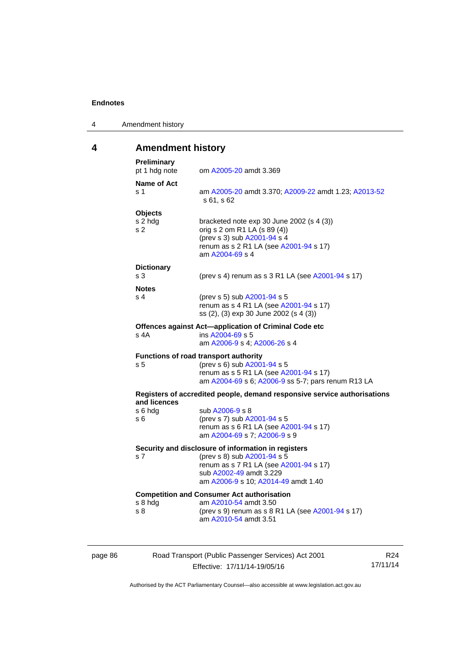| 4 | Amendment history |  |
|---|-------------------|--|
|---|-------------------|--|

# **4 Amendment history**

| Preliminary<br>pt 1 hdg note     | om A2005-20 amdt 3.369                                                                                                                                                                         |
|----------------------------------|------------------------------------------------------------------------------------------------------------------------------------------------------------------------------------------------|
| <b>Name of Act</b><br>s 1        | am A2005-20 amdt 3.370; A2009-22 amdt 1.23; A2013-52<br>s 61, s 62                                                                                                                             |
| <b>Objects</b><br>s 2 hdg<br>s 2 | bracketed note exp 30 June 2002 (s 4 (3))<br>orig s 2 om R1 LA (s 89 (4))<br>(prev s 3) sub A2001-94 s 4<br>renum as s 2 R1 LA (see A2001-94 s 17)<br>am A2004-69 s 4                          |
| <b>Dictionary</b><br>s 3         | (prev s 4) renum as s 3 R1 LA (see A2001-94 s 17)                                                                                                                                              |
| <b>Notes</b><br>s 4              | (prev s 5) sub A2001-94 s 5<br>renum as s 4 R1 LA (see A2001-94 s 17)<br>ss (2), (3) exp 30 June 2002 (s 4 (3))                                                                                |
| s 4A                             | Offences against Act-application of Criminal Code etc<br>ins A2004-69 s 5<br>am A2006-9 s 4; A2006-26 s 4                                                                                      |
|                                  |                                                                                                                                                                                                |
| s <sub>5</sub>                   | Functions of road transport authority<br>(prev s 6) sub A2001-94 s 5<br>renum as s 5 R1 LA (see A2001-94 s 17)<br>am A2004-69 s 6; A2006-9 ss 5-7; pars renum R13 LA                           |
|                                  | Registers of accredited people, demand responsive service authorisations                                                                                                                       |
| and licences<br>s 6 hdg<br>s 6   | sub A2006-9 s 8<br>(prev s 7) sub A2001-94 s 5<br>renum as s 6 R1 LA (see A2001-94 s 17)<br>am A2004-69 s 7; A2006-9 s 9                                                                       |
| s 7                              | Security and disclosure of information in registers<br>(prev s 8) sub A2001-94 s 5<br>renum as s 7 R1 LA (see A2001-94 s 17)<br>sub A2002-49 amdt 3.229<br>am A2006-9 s 10; A2014-49 amdt 1.40 |
| s 8 hdg                          | <b>Competition and Consumer Act authorisation</b><br>am A2010-54 amdt 3.50                                                                                                                     |

page 86 Road Transport (Public Passenger Services) Act 2001 Effective: 17/11/14-19/05/16

R24 17/11/14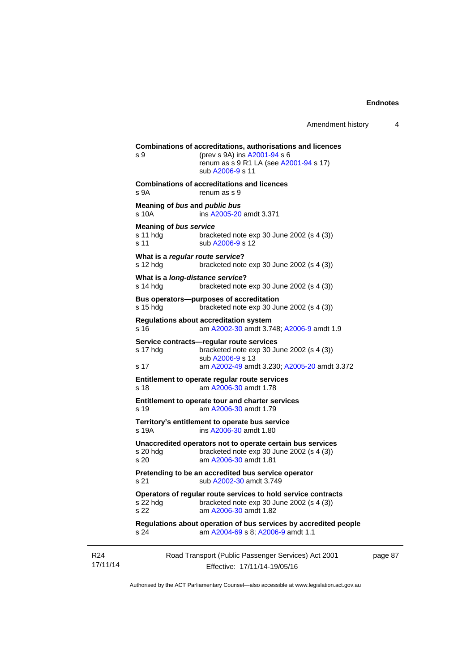| s 9                                               | Combinations of accreditations, authorisations and licences<br>(prev s 9A) ins A2001-94 s 6<br>renum as s 9 R1 LA (see A2001-94 s 17)<br>sub A2006-9 s 11 |
|---------------------------------------------------|-----------------------------------------------------------------------------------------------------------------------------------------------------------|
| s 9A                                              | <b>Combinations of accreditations and licences</b><br>renum as s 9                                                                                        |
| s 10A                                             | Meaning of bus and public bus<br>ins A2005-20 amdt 3.371                                                                                                  |
| <b>Meaning of bus service</b><br>s 11 hdg<br>s 11 | bracketed note exp 30 June 2002 (s 4 (3))<br>sub A2006-9 s 12                                                                                             |
| s 12 hdg                                          | What is a regular route service?<br>bracketed note $exp 30$ June 2002 (s 4 (3))                                                                           |
| s 14 hda                                          | What is a long-distance service?<br>bracketed note exp 30 June 2002 (s 4 (3))                                                                             |
| s 15 hdg                                          | Bus operators--purposes of accreditation<br>bracketed note $exp 30$ June 2002 (s 4 (3))                                                                   |
| s 16                                              | <b>Regulations about accreditation system</b><br>am A2002-30 amdt 3.748; A2006-9 amdt 1.9                                                                 |
| s 17 hdg                                          | Service contracts-regular route services<br>bracketed note exp 30 June 2002 (s 4 (3))<br>sub A2006-9 s 13                                                 |
| s 17                                              | am A2002-49 amdt 3.230; A2005-20 amdt 3.372                                                                                                               |
| s 18                                              | Entitlement to operate regular route services<br>am A2006-30 amdt 1.78                                                                                    |
| s 19                                              | Entitlement to operate tour and charter services<br>am A2006-30 amdt 1.79                                                                                 |
| s 19A                                             | Territory's entitlement to operate bus service<br>ins A2006-30 amdt 1.80                                                                                  |
| s 20 hdg<br>s 20                                  | Unaccredited operators not to operate certain bus services<br>bracketed note $exp 30$ June 2002 (s 4 (3))<br>am A2006-30 amdt 1.81                        |
| s <sub>21</sub>                                   | Pretending to be an accredited bus service operator<br>sub A2002-30 amdt 3.749                                                                            |
| s 22 hdg<br>s 22                                  | Operators of regular route services to hold service contracts<br>bracketed note exp 30 June 2002 (s 4 (3))<br>am A2006-30 amdt 1.82                       |
| s 24                                              | Regulations about operation of bus services by accredited people<br>am A2004-69 s 8; A2006-9 amdt 1.1                                                     |
|                                                   | Road Transport (Public Passenger Services) Act 2001<br>Effective: 17/11/14-19/05/16                                                                       |

page 87

Authorised by the ACT Parliamentary Counsel—also accessible at www.legislation.act.gov.au

R24 17/11/14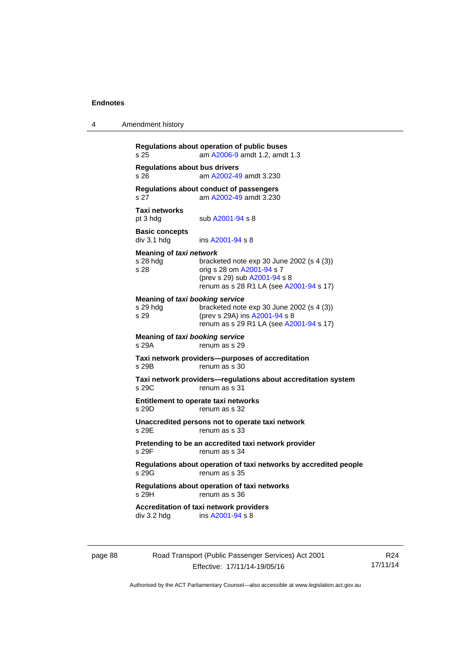4 Amendment history

| <b>Regulations about bus drivers</b>                |                                                                                                                                                   |
|-----------------------------------------------------|---------------------------------------------------------------------------------------------------------------------------------------------------|
| s 26                                                | am A2002-49 amdt 3.230                                                                                                                            |
| s 27                                                | Regulations about conduct of passengers<br>am A2002-49 amdt 3.230                                                                                 |
| Taxi networks<br>pt 3 hdg                           | sub A2001-94 s 8                                                                                                                                  |
| <b>Basic concepts</b><br>div 3.1 hdg                | ins A2001-94 s 8                                                                                                                                  |
| Meaning of taxi network<br>s 28 hda<br>s 28         | bracketed note exp 30 June 2002 (s 4 (3))<br>orig s 28 om A2001-94 s 7<br>(prev s 29) sub A2001-94 s 8<br>renum as s 28 R1 LA (see A2001-94 s 17) |
| Meaning of taxi booking service<br>s 29 hdg<br>s 29 | bracketed note exp 30 June 2002 (s 4 (3))<br>(prev s 29A) ins A2001-94 s 8<br>renum as s 29 R1 LA (see A2001-94 s 17)                             |
| Meaning of taxi booking service<br>s 29A            | renum as s 29                                                                                                                                     |
| s 29B                                               | Taxi network providers--purposes of accreditation<br>renum as s 30                                                                                |
| s 29C                                               | Taxi network providers-regulations about accreditation system<br>renum as s 31                                                                    |
| s 29D                                               | Entitlement to operate taxi networks<br>renum as s 32                                                                                             |
| s 29E                                               | Unaccredited persons not to operate taxi network<br>renum as s 33                                                                                 |
| s 29F                                               | Pretending to be an accredited taxi network provider<br>renum as s 34                                                                             |
| s 29G                                               | Regulations about operation of taxi networks by accredited people<br>renum as s 35                                                                |
| s 29H                                               | Regulations about operation of taxi networks<br>renum as s 36                                                                                     |
| div 3.2 hdg                                         | Accreditation of taxi network providers<br>ins A2001-94 s 8                                                                                       |

page 88 Road Transport (Public Passenger Services) Act 2001 Effective: 17/11/14-19/05/16

R24 17/11/14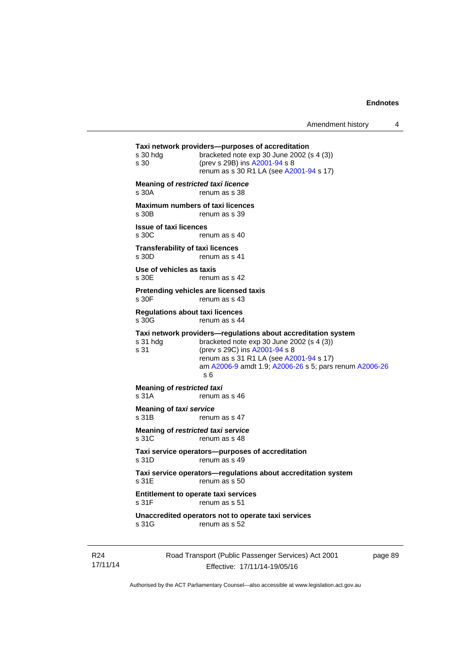```
Road Transport (Public Passenger Services) Act 2001 
Taxi network providers—purposes of accreditation 
s 30 hdg bracketed note exp 30 June 2002 (s 4 (3)) 
s 30 (prev s 29B) ins A2001-94 s 8 
                renum as s 30 R1 LA (see A2001-94 s 17)
Meaning of restricted taxi licence 
s 30A renum as s 38 
Maximum numbers of taxi licences 
s 30B renum as s 39
Issue of taxi licences 
s 30C renum as s 40
Transferability of taxi licences 
s 30D renum as s 41
Use of vehicles as taxis 
s 30E renum as s 42
Pretending vehicles are licensed taxis 
s 30F renum as s 43
Regulations about taxi licences 
s 30G renum as s 44
Taxi network providers—regulations about accreditation system 
s 31 hdg bracketed note exp 30 June 2002 (s 4 (3))
s 31 (prev s 29C) ins A2001-94 s 8 
                renum as s 31 R1 LA (see A2001-94 s 17)
                 am A2006-9 amdt 1.9; A2006-26 s 5; pars renum A2006-26
                 s 6 
Meaning of restricted taxi 
s 31A renum as s 46
Meaning of taxi service<br>s 31B renur
                renum as s 47
Meaning of restricted taxi service 
s 31C renum as s 48
Taxi service operators—purposes of accreditation 
s 31D renum as s 49
Taxi service operators—regulations about accreditation system 
s 31E renum as s 50
Entitlement to operate taxi services 
                renum as s 51
Unaccredited operators not to operate taxi services 
s 31G renum as s 52
```
R24 17/11/14

Effective: 17/11/14-19/05/16

page 89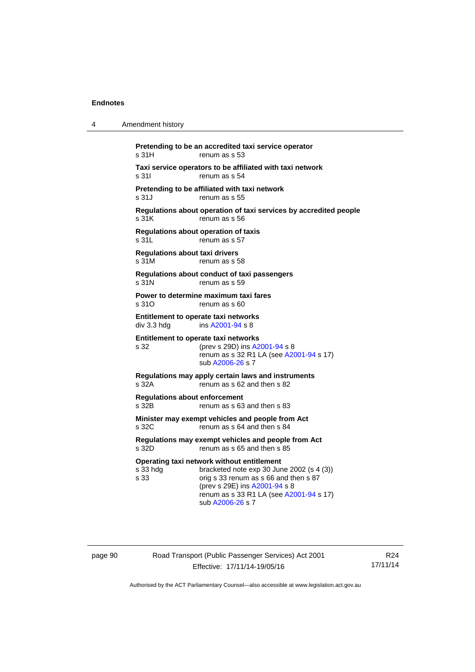| 4 | Amendment history                                                                                                                                                                                                                                    |
|---|------------------------------------------------------------------------------------------------------------------------------------------------------------------------------------------------------------------------------------------------------|
|   | Pretending to be an accredited taxi service operator<br>s 31H<br>renum as s 53                                                                                                                                                                       |
|   | Taxi service operators to be affiliated with taxi network<br>s 31I<br>renum as s 54                                                                                                                                                                  |
|   | Pretending to be affiliated with taxi network<br>s 31 J<br>renum as s 55                                                                                                                                                                             |
|   | Regulations about operation of taxi services by accredited people<br>s.31K<br>renum as s 56                                                                                                                                                          |
|   | Regulations about operation of taxis<br>s 31L<br>renum as s 57                                                                                                                                                                                       |
|   | <b>Regulations about taxi drivers</b><br>s 31M<br>renum as s 58                                                                                                                                                                                      |
|   | Regulations about conduct of taxi passengers<br>s 31N<br>renum as s 59                                                                                                                                                                               |
|   | Power to determine maximum taxi fares<br>s 31O<br>renum as s 60                                                                                                                                                                                      |
|   | Entitlement to operate taxi networks<br>ins A2001-94 s 8<br>div 3.3 hdg                                                                                                                                                                              |
|   | Entitlement to operate taxi networks<br>s 32<br>(prev s 29D) ins A2001-94 s 8<br>renum as s 32 R1 LA (see A2001-94 s 17)<br>sub A2006-26 s 7                                                                                                         |
|   | Regulations may apply certain laws and instruments<br>s 32A<br>renum as s 62 and then s 82                                                                                                                                                           |
|   | <b>Regulations about enforcement</b><br>s 32B<br>renum as s 63 and then s 83                                                                                                                                                                         |
|   | Minister may exempt vehicles and people from Act<br>s 32C<br>renum as s 64 and then s 84                                                                                                                                                             |
|   | Regulations may exempt vehicles and people from Act<br>renum as s 65 and then s 85<br>s 32D                                                                                                                                                          |
|   | Operating taxi network without entitlement<br>s 33 hdg<br>bracketed note exp 30 June 2002 (s 4 (3))<br>s 33<br>orig s 33 renum as s 66 and then s 87<br>(prev s 29E) ins A2001-94 s 8<br>renum as s 33 R1 LA (see A2001-94 s 17)<br>sub A2006-26 s 7 |
|   |                                                                                                                                                                                                                                                      |

page 90 Road Transport (Public Passenger Services) Act 2001 Effective: 17/11/14-19/05/16

R24 17/11/14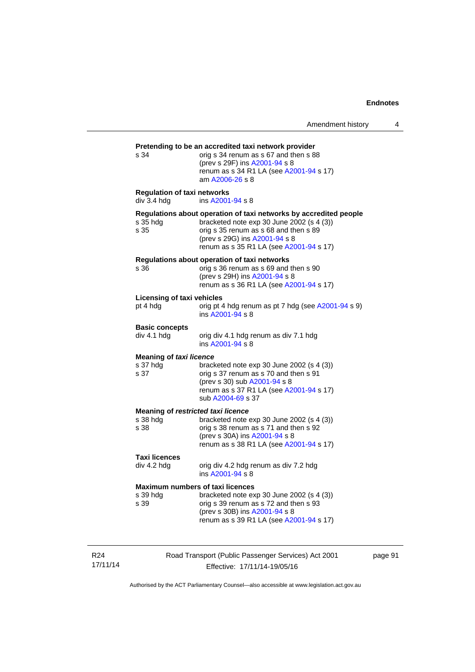| s 34                                                   | Pretending to be an accredited taxi network provider<br>orig s 34 renum as s 67 and then s 88<br>(prev s 29F) ins A2001-94 s 8<br>renum as s 34 R1 LA (see A2001-94 s 17)<br>am A2006-26 s 8                                        |
|--------------------------------------------------------|-------------------------------------------------------------------------------------------------------------------------------------------------------------------------------------------------------------------------------------|
| <b>Regulation of taxi networks</b><br>div 3.4 hdg      | ins A2001-94 s 8                                                                                                                                                                                                                    |
| s 35 hda<br>s 35                                       | Regulations about operation of taxi networks by accredited people<br>bracketed note exp 30 June 2002 (s 4 (3))<br>orig s 35 renum as s 68 and then s 89<br>(prev s 29G) ins A2001-94 s 8<br>renum as s 35 R1 LA (see A2001-94 s 17) |
| s 36                                                   | Regulations about operation of taxi networks<br>orig s 36 renum as s 69 and then s 90<br>(prev s 29H) ins A2001-94 s 8<br>renum as s 36 R1 LA (see A2001-94 s 17)                                                                   |
| <b>Licensing of taxi vehicles</b><br>pt 4 hdg          | orig pt 4 hdg renum as pt 7 hdg (see A2001-94 s 9)<br>ins A2001-94 s 8                                                                                                                                                              |
| <b>Basic concepts</b><br>div 4.1 hdg                   | orig div 4.1 hdg renum as div 7.1 hdg<br>ins A2001-94 s 8                                                                                                                                                                           |
| <b>Meaning of taxi licence</b><br>s 37 hdg<br>s 37     | bracketed note exp 30 June 2002 (s 4 (3))<br>orig s 37 renum as s 70 and then s 91<br>(prev s 30) sub A2001-94 s 8<br>renum as s 37 R1 LA (see A2001-94 s 17)<br>sub A2004-69 s 37                                                  |
| Meaning of restricted taxi licence<br>s 38 hdg<br>s 38 | bracketed note exp 30 June 2002 (s 4 (3))<br>orig s 38 renum as s 71 and then s 92<br>(prev s 30A) ins A2001-94 s 8<br>renum as s 38 R1 LA (see A2001-94 s 17)                                                                      |
| <b>Taxi licences</b><br>div 4.2 hdg                    | orig div 4.2 hdg renum as div 7.2 hdg<br>ins A2001-94 s 8                                                                                                                                                                           |
| s 39 hdg<br>s 39                                       | <b>Maximum numbers of taxi licences</b><br>bracketed note exp 30 June 2002 (s 4 (3))<br>orig s 39 renum as s 72 and then s 93<br>(prev s 30B) ins A2001-94 s 8<br>renum as s 39 R1 LA (see A2001-94 s 17)                           |

R24 17/11/14 Road Transport (Public Passenger Services) Act 2001 Effective: 17/11/14-19/05/16

page 91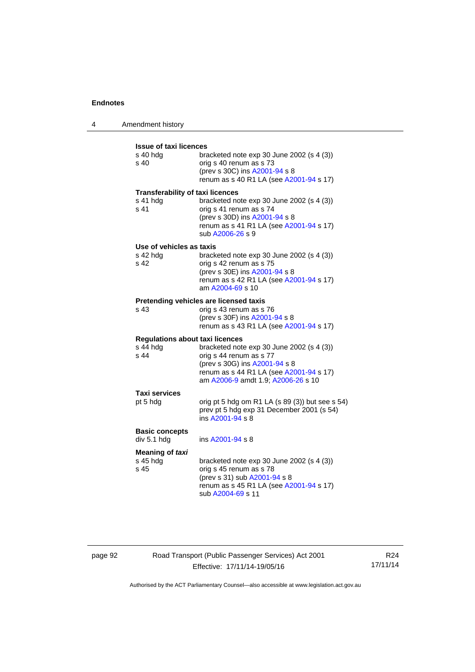4 Amendment history

| <b>Issue of taxi licences</b><br>s 40 hda<br>s <sub>40</sub>          | bracketed note $exp 30$ June 2002 (s 4 (3))<br>orig s 40 renum as s 73<br>(prev s 30C) ins A2001-94 s 8<br>renum as s 40 R1 LA (see A2001-94 s 17)                                     |
|-----------------------------------------------------------------------|----------------------------------------------------------------------------------------------------------------------------------------------------------------------------------------|
| <b>Transferability of taxi licences</b><br>s 41 hdg<br>s 41           | bracketed note exp 30 June 2002 (s 4 (3))<br>orig s 41 renum as s 74<br>(prev s 30D) ins A2001-94 s 8<br>renum as s 41 R1 LA (see A2001-94 s 17)<br>sub A2006-26 s 9                   |
| Use of vehicles as taxis<br>s 42 hdg<br>s 42                          | bracketed note exp 30 June 2002 (s 4 (3))<br>orig s 42 renum as s 75<br>(prev s 30E) ins A2001-94 s 8<br>renum as s 42 R1 LA (see A2001-94 s 17)<br>am A2004-69 s 10                   |
| s 43                                                                  | Pretending vehicles are licensed taxis<br>orig s 43 renum as s 76<br>(prev s 30F) ins A2001-94 s 8<br>renum as s 43 R1 LA (see A2001-94 s 17)                                          |
| <b>Regulations about taxi licences</b><br>s 44 hdg<br>s <sub>44</sub> | bracketed note exp 30 June 2002 (s 4 (3))<br>orig s 44 renum as s 77<br>(prev s 30G) ins A2001-94 s 8<br>renum as s 44 R1 LA (see A2001-94 s 17)<br>am A2006-9 amdt 1.9; A2006-26 s 10 |
| Taxi services<br>pt 5 hdg                                             | orig pt 5 hdg om R1 LA (s 89 (3)) but see s 54)<br>prev pt 5 hdg exp 31 December 2001 (s 54)<br>ins A2001-94 s 8                                                                       |
| <b>Basic concepts</b><br>div 5.1 hdg                                  | ins A2001-94 s 8                                                                                                                                                                       |
| Meaning of taxi<br>s 45 hdg<br>s 45                                   | bracketed note exp 30 June 2002 (s 4 (3))<br>orig s 45 renum as s 78<br>(prev s 31) sub A2001-94 s 8<br>renum as s 45 R1 LA (see A2001-94 s 17)<br>sub A2004-69 s 11                   |

page 92 Road Transport (Public Passenger Services) Act 2001 Effective: 17/11/14-19/05/16

R24 17/11/14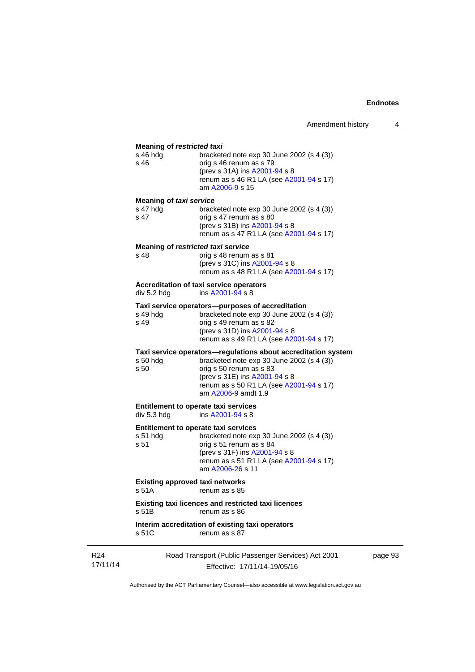### **Meaning of** *restricted taxi*

| <b>Meaning Of TestRucled laxi</b>  |                                                                                                                                                                                                        |
|------------------------------------|--------------------------------------------------------------------------------------------------------------------------------------------------------------------------------------------------------|
| s 46 hdg<br>s 46                   | bracketed note $exp 30$ June 2002 (s 4 (3))<br>orig s 46 renum as s 79<br>(prev s 31A) ins A2001-94 s 8<br>renum as s 46 R1 LA (see A2001-94 s 17)<br>am A2006-9 s 15                                  |
| <b>Meaning of taxi service</b>     |                                                                                                                                                                                                        |
| s 47 hdg<br>s 47                   | bracketed note $exp 30$ June 2002 (s 4 (3))<br>orig s 47 renum as s 80<br>(prev s 31B) ins A2001-94 s 8<br>renum as s 47 R1 LA (see A2001-94 s 17)                                                     |
| Meaning of restricted taxi service |                                                                                                                                                                                                        |
| s 48                               | orig s 48 renum as s 81<br>(prev s 31C) ins A2001-94 s 8<br>renum as s 48 R1 LA (see A2001-94 s 17)                                                                                                    |
|                                    | Accreditation of taxi service operators                                                                                                                                                                |
| div 5.2 hdg                        | ins A2001-94 s 8                                                                                                                                                                                       |
| s 49 hdg<br>s 49                   | Taxi service operators-purposes of accreditation<br>bracketed note $exp 30$ June 2002 (s 4 (3))<br>orig s 49 renum as s 82<br>(prev s 31D) ins A2001-94 s 8<br>renum as s 49 R1 LA (see A2001-94 s 17) |
|                                    | Taxi service operators-regulations about accreditation system                                                                                                                                          |
| s 50 hdg<br>s 50                   | bracketed note $exp 30$ June 2002 (s 4 (3))<br>orig s 50 renum as s 83<br>(prev s 31E) ins A2001-94 s 8<br>renum as s 50 R1 LA (see A2001-94 s 17)<br>am A2006-9 amdt 1.9                              |

#### **Entitlement to operate taxi services**  div 5.3 hdg ins [A2001-94](http://www.legislation.act.gov.au/a/2001-94) s 8

## **Entitlement to operate taxi services**

|          | Entitlement to operate taxi services                        |
|----------|-------------------------------------------------------------|
| s 51 hda | bracketed note exp 30 June 2002 (s 4 (3))                   |
| s 51     | orig s 51 renum as s 84                                     |
|          | (prev s 31F) ins A2001-94 s 8                               |
|          | renum as s 51 R1 LA (see A2001-94 s 17)<br>am A2006-26 s 11 |
|          |                                                             |

#### **Existing approved taxi networks**

s 51A renum as s 85

#### **Existing taxi licences and restricted taxi licences**  renum as s 86

#### **Interim accreditation of existing taxi operators**   $renum$  as s  $87$

R24 17/11/14 Road Transport (Public Passenger Services) Act 2001 Effective: 17/11/14-19/05/16

page 93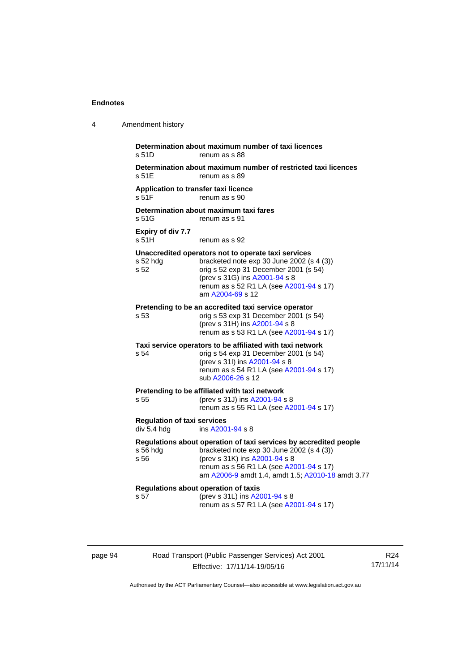| 4 | Amendment history                                 |                                                                                                                                                                                                                                                 |
|---|---------------------------------------------------|-------------------------------------------------------------------------------------------------------------------------------------------------------------------------------------------------------------------------------------------------|
|   | s 51D                                             | Determination about maximum number of taxi licences<br>renum as s 88                                                                                                                                                                            |
|   | s 51E                                             | Determination about maximum number of restricted taxi licences<br>renum as s 89                                                                                                                                                                 |
|   | Application to transfer taxi licence<br>s 51F     | renum as s 90                                                                                                                                                                                                                                   |
|   | s 51G                                             | Determination about maximum taxi fares<br>renum as s 91                                                                                                                                                                                         |
|   | Expiry of div 7.7<br>s <sub>51H</sub>             | renum as s 92                                                                                                                                                                                                                                   |
|   | s 52 hdg<br>s 52                                  | Unaccredited operators not to operate taxi services<br>bracketed note exp 30 June 2002 (s 4 (3))<br>orig s 52 exp 31 December 2001 (s 54)<br>(prev s 31G) ins A2001-94 s 8<br>renum as s 52 R1 LA (see A2001-94 s 17)<br>am A2004-69 s 12       |
|   | s <sub>53</sub>                                   | Pretending to be an accredited taxi service operator<br>orig s 53 exp 31 December 2001 (s 54)<br>(prev s 31H) ins A2001-94 s 8<br>renum as s 53 R1 LA (see A2001-94 s 17)                                                                       |
|   | s 54                                              | Taxi service operators to be affiliated with taxi network<br>orig s 54 exp 31 December 2001 (s 54)<br>(prev s 31l) ins A2001-94 s 8<br>renum as s 54 R1 LA (see A2001-94 s 17)<br>sub A2006-26 s 12                                             |
|   | s 55                                              | Pretending to be affiliated with taxi network<br>(prev s 31J) ins A2001-94 s 8<br>renum as s 55 R1 LA (see A2001-94 s 17)                                                                                                                       |
|   | <b>Regulation of taxi services</b><br>div 5.4 hdg | ins A2001-94 s 8                                                                                                                                                                                                                                |
|   | s 56 hdg<br>s 56                                  | Regulations about operation of taxi services by accredited people<br>bracketed note exp 30 June 2002 (s 4 (3))<br>(prev s 31K) ins A2001-94 s 8<br>renum as s 56 R1 LA (see A2001-94 s 17)<br>am A2006-9 amdt 1.4, amdt 1.5; A2010-18 amdt 3.77 |
|   | s 57                                              | Regulations about operation of taxis<br>(prev s 31L) ins A2001-94 s 8<br>renum as s 57 R1 LA (see A2001-94 s 17)                                                                                                                                |

page 94 Road Transport (Public Passenger Services) Act 2001 Effective: 17/11/14-19/05/16

R24 17/11/14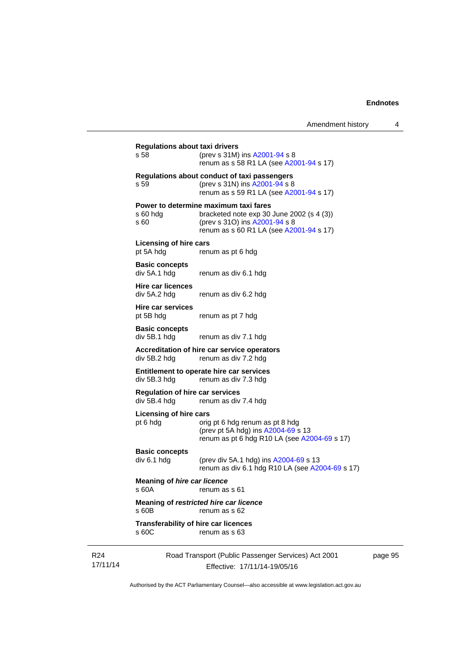| Amendment history |  |
|-------------------|--|
|-------------------|--|

|                             | <b>Regulations about taxi drivers</b><br>s 58                                       | (prev s 31M) ins A2001-94 s 8<br>renum as s 58 R1 LA (see A2001-94 s 17)                                                                                         |  |
|-----------------------------|-------------------------------------------------------------------------------------|------------------------------------------------------------------------------------------------------------------------------------------------------------------|--|
|                             | s 59                                                                                | Regulations about conduct of taxi passengers<br>(prev s 31N) ins A2001-94 s 8<br>renum as s 59 R1 LA (see A2001-94 s 17)                                         |  |
|                             | s 60 hdg<br>s 60                                                                    | Power to determine maximum taxi fares<br>bracketed note $exp 30$ June 2002 (s 4 (3))<br>(prev s 310) ins A2001-94 s 8<br>renum as s 60 R1 LA (see A2001-94 s 17) |  |
|                             | <b>Licensing of hire cars</b><br>pt 5A hdg                                          | renum as pt 6 hdg                                                                                                                                                |  |
|                             | <b>Basic concepts</b><br>div 5A.1 hdg                                               | renum as div 6.1 hdg                                                                                                                                             |  |
|                             | <b>Hire car licences</b><br>div 5A.2 hdg                                            | renum as div 6.2 hdg                                                                                                                                             |  |
|                             | Hire car services<br>pt 5B hdg                                                      | renum as pt 7 hdg                                                                                                                                                |  |
|                             | <b>Basic concepts</b><br>div 5B.1 hdg                                               | renum as div 7.1 hdg                                                                                                                                             |  |
|                             | Accreditation of hire car service operators<br>div 5B.2 hdg<br>renum as div 7.2 hdg |                                                                                                                                                                  |  |
|                             | div 5B.3 hdg                                                                        | Entitlement to operate hire car services<br>renum as div 7.3 hdg                                                                                                 |  |
|                             | <b>Regulation of hire car services</b><br>div 5B.4 hdg                              | renum as div 7.4 hdg                                                                                                                                             |  |
|                             | <b>Licensing of hire cars</b><br>pt 6 hdg                                           | orig pt 6 hdg renum as pt 8 hdg<br>(prev pt 5A hdg) ins A2004-69 s 13<br>renum as pt 6 hdg R10 LA (see A2004-69 s 17)                                            |  |
|                             | <b>Basic concepts</b><br>div 6.1 hdg                                                | (prev div 5A.1 hdg) ins A2004-69 s 13<br>renum as div 6.1 hdg R10 LA (see A2004-69 s 17)                                                                         |  |
|                             | <b>Meaning of hire car licence</b><br>s 60A                                         | renum as s 61                                                                                                                                                    |  |
|                             | s 60B                                                                               | Meaning of restricted hire car licence<br>renum as s 62                                                                                                          |  |
|                             | <b>Transferability of hire car licences</b><br>s 60C                                | renum as s 63                                                                                                                                                    |  |
| R <sub>24</sub><br>17/11/14 |                                                                                     | Road Transport (Public Passenger Services) Act 2001<br>Effective: 17/11/14-19/05/16                                                                              |  |

page 95

Authorised by the ACT Parliamentary Counsel—also accessible at www.legislation.act.gov.au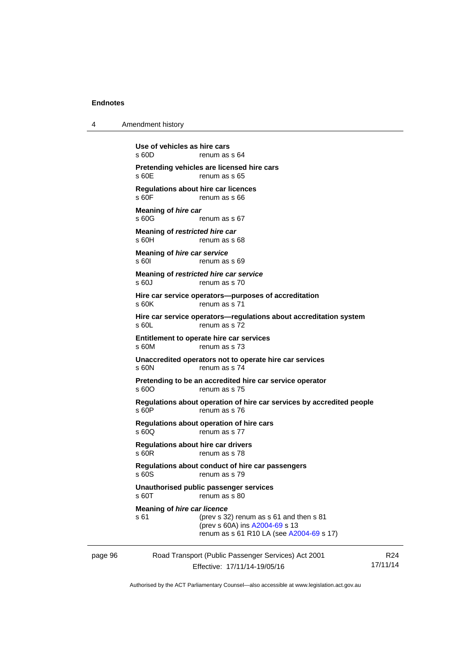4 Amendment history

| page 96 |                                                         | Road Transport (Public Passenger Services) Act 2001<br>Effective: 17/11/14-19/05/16                                   | R <sub>24</sub><br>17/11/14 |
|---------|---------------------------------------------------------|-----------------------------------------------------------------------------------------------------------------------|-----------------------------|
|         | <b>Meaning of hire car licence</b><br>s 61              | (prev s 32) renum as s 61 and then s 81<br>(prev s 60A) ins A2004-69 s 13<br>renum as s 61 R10 LA (see A2004-69 s 17) |                             |
|         | s 60T                                                   | Unauthorised public passenger services<br>renum as s 80                                                               |                             |
|         | s 60S                                                   | Regulations about conduct of hire car passengers<br>renum as s 79                                                     |                             |
|         | <b>Regulations about hire car drivers</b><br>$s$ 60 $R$ | renum as s 78                                                                                                         |                             |
|         | s 60Q                                                   | Regulations about operation of hire cars<br>renum as s 77                                                             |                             |
|         | s 60P                                                   | Regulations about operation of hire car services by accredited people<br>renum as s 76                                |                             |
|         | s 60O                                                   | Pretending to be an accredited hire car service operator<br>renum as s 75                                             |                             |
|         | s 60N                                                   | Unaccredited operators not to operate hire car services<br>renum as s 74                                              |                             |
|         | Entitlement to operate hire car services<br>s 60M       | renum as s 73                                                                                                         |                             |
|         | $s$ 60L                                                 | Hire car service operators-regulations about accreditation system<br>renum as s 72                                    |                             |
|         | s 60K                                                   | Hire car service operators--purposes of accreditation<br>renum as s 71                                                |                             |
|         | Meaning of restricted hire car service<br>s 60J         | renum as s 70                                                                                                         |                             |
|         | Meaning of hire car service<br>s 601                    | renum as s 69                                                                                                         |                             |
|         | Meaning of restricted hire car<br>s60H                  | renum as s 68                                                                                                         |                             |
|         | <b>Meaning of hire car</b><br>s60G                      | renum as s 67                                                                                                         |                             |
|         | <b>Regulations about hire car licences</b><br>s 60F     | renum as s 66                                                                                                         |                             |
|         | s 60E                                                   | Pretending vehicles are licensed hire cars<br>renum as s 65                                                           |                             |
|         | s60D                                                    | renum as s 64                                                                                                         |                             |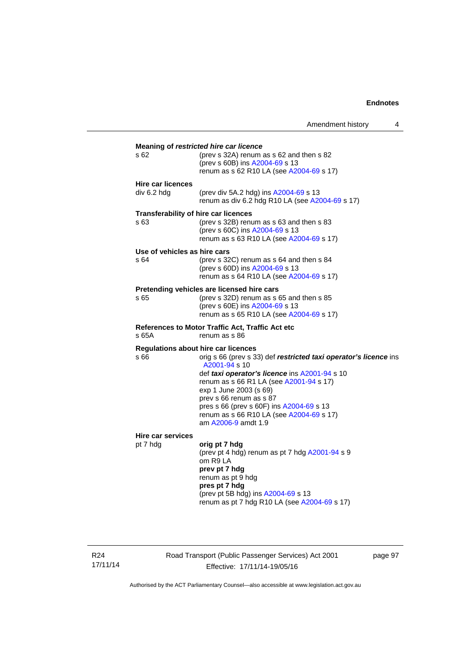|                                              | Amendment history                                                                                                                                                                                                                                                                                                                                 | 4 |
|----------------------------------------------|---------------------------------------------------------------------------------------------------------------------------------------------------------------------------------------------------------------------------------------------------------------------------------------------------------------------------------------------------|---|
| s 62                                         | Meaning of restricted hire car licence<br>(prev s 32A) renum as s 62 and then s 82<br>(prev s 60B) ins A2004-69 s 13<br>renum as s 62 R10 LA (see A2004-69 s 17)                                                                                                                                                                                  |   |
| <b>Hire car licences</b><br>div 6.2 hdg      | (prev div 5A.2 hdg) ins A2004-69 s 13<br>renum as div 6.2 hdg R10 LA (see A2004-69 s 17)                                                                                                                                                                                                                                                          |   |
| Transferability of hire car licences<br>s 63 | (prev s 32B) renum as s 63 and then s 83<br>(prev s 60C) ins A2004-69 s 13<br>renum as s 63 R10 LA (see A2004-69 s 17)                                                                                                                                                                                                                            |   |
| Use of vehicles as hire cars<br>s 64         | (prev s $32C$ ) renum as s 64 and then s 84<br>(prev s 60D) ins A2004-69 s 13<br>renum as s 64 R10 LA (see A2004-69 s 17)                                                                                                                                                                                                                         |   |
| s 65                                         | Pretending vehicles are licensed hire cars<br>(prev s $32D$ ) renum as s 65 and then s 85<br>(prev s 60E) ins A2004-69 s 13<br>renum as s 65 R10 LA (see A2004-69 s 17)                                                                                                                                                                           |   |
| s 65A                                        | <b>References to Motor Traffic Act, Traffic Act etc</b><br>renum as s 86                                                                                                                                                                                                                                                                          |   |
| Regulations about hire car licences<br>s 66  | orig s 66 (prev s 33) def restricted taxi operator's licence ins<br>A2001-94 s 10<br>def taxi operator's licence ins A2001-94 s 10<br>renum as s 66 R1 LA (see A2001-94 s 17)<br>exp 1 June 2003 (s 69)<br>prev s 66 renum as s 87<br>pres s 66 (prev s 60F) ins A2004-69 s 13<br>renum as s 66 R10 LA (see A2004-69 s 17)<br>am A2006-9 amdt 1.9 |   |
| <b>Hire car services</b><br>pt 7 hdg         | orig pt 7 hdg<br>(prev pt 4 hdg) renum as pt 7 hdg A2001-94 s 9<br>om R9 LA<br>prev pt 7 hdg<br>renum as pt 9 hdg<br>pres pt 7 hdg<br>(prev pt 5B hdg) ins A2004-69 s 13<br>renum as pt 7 hdg R10 LA (see A2004-69 s 17)                                                                                                                          |   |

R24 17/11/14 Road Transport (Public Passenger Services) Act 2001 Effective: 17/11/14-19/05/16

page 97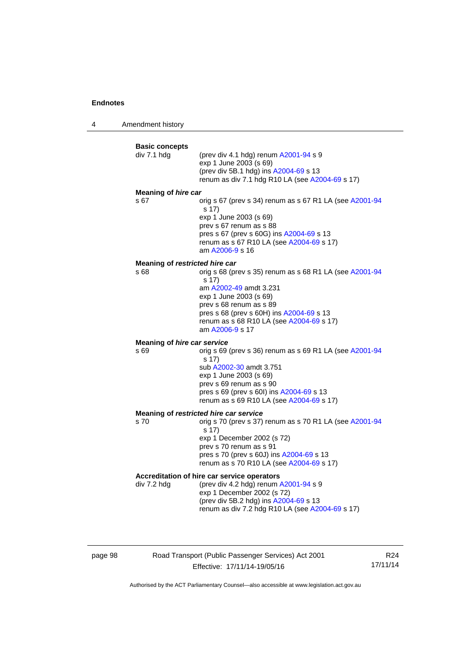4 Amendment history



page 98 Road Transport (Public Passenger Services) Act 2001 Effective: 17/11/14-19/05/16

R24 17/11/14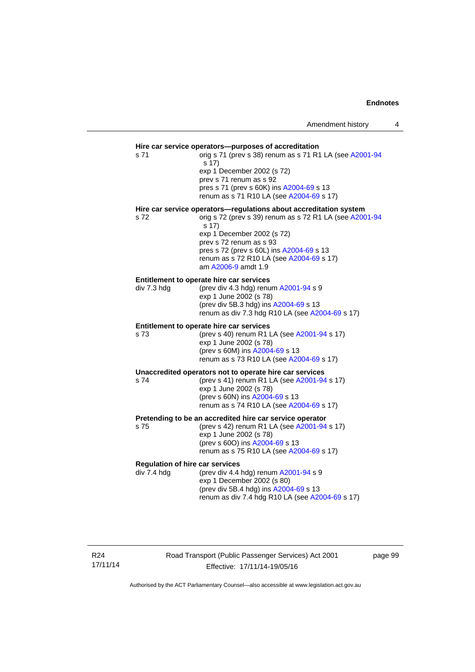### **Hire car service operators—purposes of accreditation**  s 71 orig s 71 (prev s 38) renum as s 71 R1 LA (see [A2001-94](http://www.legislation.act.gov.au/a/2001-94) s 17) exp 1 December 2002 (s 72) prev s 71 renum as s 92 pres s 71 (prev s 60K) ins [A2004-69](http://www.legislation.act.gov.au/a/2004-69) s 13 renum as s 71 R10 LA (see [A2004-69](http://www.legislation.act.gov.au/a/2004-69) s 17) **Hire car service operators—regulations about accreditation system**  s 72 orig s 72 (prev s 39) renum as s 72 R1 LA (see [A2001-94](http://www.legislation.act.gov.au/a/2001-94) s 17) exp 1 December 2002 (s 72) prev s 72 renum as s 93 pres s 72 (prev s 60L) ins [A2004-69](http://www.legislation.act.gov.au/a/2004-69) s 13 renum as s 72 R10 LA (see [A2004-69](http://www.legislation.act.gov.au/a/2004-69) s 17) am [A2006-9](http://www.legislation.act.gov.au/a/2006-9) amdt 1.9 **Entitlement to operate hire car services**  div 7.3 hdg (prev div 4.3 hdg) renum [A2001-94](http://www.legislation.act.gov.au/a/2001-94) s 9  $exp 1$  June 2002 $(s 78)$ (prev div 5B.3 hdg) ins [A2004-69](http://www.legislation.act.gov.au/a/2004-69) s 13 renum as div 7.3 hdg R10 LA (see [A2004-69](http://www.legislation.act.gov.au/a/2004-69) s 17) **Entitlement to operate hire car services**  s 73 (prev s 40) renum R1 LA (see [A2001-94](http://www.legislation.act.gov.au/a/2001-94) s 17) exp 1 June 2002 (s 78) (prev s 60M) ins [A2004-69](http://www.legislation.act.gov.au/a/2004-69) s 13 renum as s 73 R10 LA (see [A2004-69](http://www.legislation.act.gov.au/a/2004-69) s 17) **Unaccredited operators not to operate hire car services**  s 74 (prev s 41) renum R1 LA (see [A2001-94](http://www.legislation.act.gov.au/a/2001-94) s 17) exp 1 June 2002 (s 78) (prev s 60N) ins [A2004-69](http://www.legislation.act.gov.au/a/2004-69) s 13 renum as s 74 R10 LA (see [A2004-69](http://www.legislation.act.gov.au/a/2004-69) s 17) **Pretending to be an accredited hire car service operator**  s 75 (prev s 42) renum R1 LA (see [A2001-94](http://www.legislation.act.gov.au/a/2001-94) s 17) exp 1 June 2002 (s 78) (prev s 60O) ins [A2004-69](http://www.legislation.act.gov.au/a/2004-69) s 13 renum as s 75 R10 LA (see [A2004-69](http://www.legislation.act.gov.au/a/2004-69) s 17) **Regulation of hire car services**   $div 7.4$  hdg  $(prev div 4.4 hdq)$  renum  $A2001-94 s 9$  $A2001-94 s 9$ exp 1 December 2002 (s 80) (prev div 5B.4 hdg) ins [A2004-69](http://www.legislation.act.gov.au/a/2004-69) s 13 renum as div 7.4 hdg R10 LA (see [A2004-69](http://www.legislation.act.gov.au/a/2004-69) s 17)

R24 17/11/14 Road Transport (Public Passenger Services) Act 2001 Effective: 17/11/14-19/05/16

page 99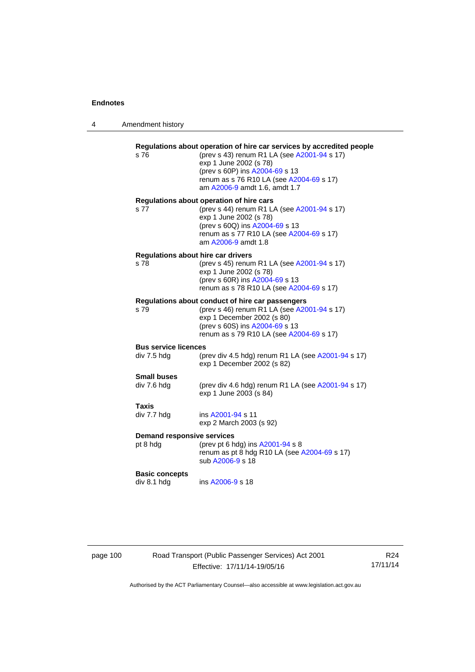| s76                                  | Regulations about operation of hire car services by accredited people<br>(prev s 43) renum R1 LA (see A2001-94 s 17)<br>exp 1 June 2002 (s 78)<br>(prev s 60P) ins A2004-69 s 13<br>renum as s 76 R10 LA (see A2004-69 s 17)<br>am A2006-9 amdt 1.6, amdt 1.7 |  |  |
|--------------------------------------|---------------------------------------------------------------------------------------------------------------------------------------------------------------------------------------------------------------------------------------------------------------|--|--|
| s 77                                 | Regulations about operation of hire cars<br>(prev s 44) renum R1 LA (see A2001-94 s 17)                                                                                                                                                                       |  |  |
|                                      | exp 1 June 2002 (s 78)<br>(prev s 60Q) ins A2004-69 s 13<br>renum as s 77 R10 LA (see A2004-69 s 17)<br>am A2006-9 amdt 1.8                                                                                                                                   |  |  |
| Regulations about hire car drivers   |                                                                                                                                                                                                                                                               |  |  |
| s 78                                 | (prev s 45) renum R1 LA (see A2001-94 s 17)<br>exp 1 June 2002 (s 78)                                                                                                                                                                                         |  |  |
|                                      | (prev s 60R) ins A2004-69 s 13<br>renum as s 78 R10 LA (see A2004-69 s 17)                                                                                                                                                                                    |  |  |
|                                      | Regulations about conduct of hire car passengers                                                                                                                                                                                                              |  |  |
| s 79                                 | (prev s 46) renum R1 LA (see A2001-94 s 17)                                                                                                                                                                                                                   |  |  |
|                                      | exp 1 December 2002 (s 80)<br>(prev s 60S) ins A2004-69 s 13<br>renum as s 79 R10 LA (see A2004-69 s 17)                                                                                                                                                      |  |  |
| <b>Bus service licences</b>          |                                                                                                                                                                                                                                                               |  |  |
| div 7.5 hdg                          | (prev div 4.5 hdg) renum R1 LA (see A2001-94 s 17)<br>exp 1 December 2002 (s 82)                                                                                                                                                                              |  |  |
| <b>Small buses</b>                   |                                                                                                                                                                                                                                                               |  |  |
| div 7.6 hdg                          | (prev div 4.6 hdg) renum R1 LA (see A2001-94 s 17)<br>exp 1 June 2003 (s 84)                                                                                                                                                                                  |  |  |
| Taxis                                |                                                                                                                                                                                                                                                               |  |  |
| div 7.7 hdg                          | ins A2001-94 s 11<br>exp 2 March 2003 (s 92)                                                                                                                                                                                                                  |  |  |
|                                      | <b>Demand responsive services</b>                                                                                                                                                                                                                             |  |  |
| pt 8 hdg                             | (prev pt 6 hdg) ins A2001-94 s 8<br>renum as pt 8 hdg R10 LA (see A2004-69 s 17)<br>sub A2006-9 s 18                                                                                                                                                          |  |  |
| <b>Basic concepts</b><br>div 8.1 hdg | ins A2006-9 s 18                                                                                                                                                                                                                                              |  |  |
|                                      |                                                                                                                                                                                                                                                               |  |  |

# page 100 Road Transport (Public Passenger Services) Act 2001 Effective: 17/11/14-19/05/16

R24 17/11/14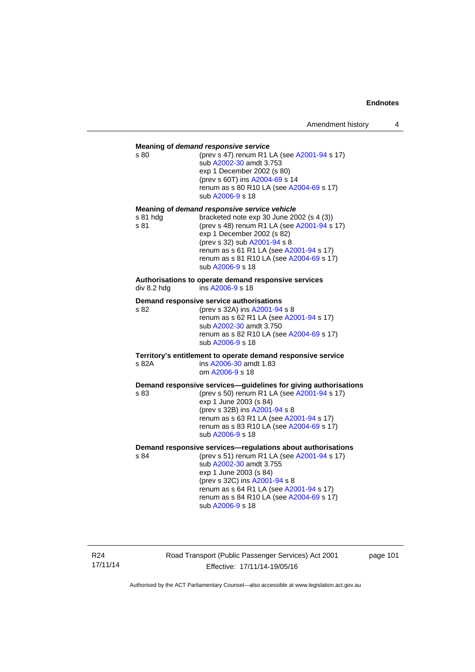| s 80             | Meaning of demand responsive service<br>(prev s 47) renum R1 LA (see A2001-94 s 17)<br>sub A2002-30 amdt 3.753<br>exp 1 December 2002 (s 80)<br>(prev s 60T) ins A2004-69 s 14<br>renum as s 80 R10 LA (see A2004-69 s 17)<br>sub A2006-9 s 18                                                              |
|------------------|-------------------------------------------------------------------------------------------------------------------------------------------------------------------------------------------------------------------------------------------------------------------------------------------------------------|
| s 81 hda<br>s 81 | Meaning of demand responsive service vehicle<br>bracketed note exp 30 June 2002 (s 4 (3))<br>(prev s 48) renum R1 LA (see A2001-94 s 17)<br>exp 1 December 2002 (s 82)<br>(prev s 32) sub A2001-94 s 8<br>renum as s 61 R1 LA (see A2001-94 s 17)<br>renum as s 81 R10 LA (see A2004-69 s 17)               |
| div 8.2 hdg      | sub A2006-9 s 18<br>Authorisations to operate demand responsive services<br>ins A2006-9 s 18                                                                                                                                                                                                                |
| s 82             | Demand responsive service authorisations<br>(prev s 32A) ins A2001-94 s 8<br>renum as s 62 R1 LA (see A2001-94 s 17)<br>sub A2002-30 amdt 3.750<br>renum as s 82 R10 LA (see A2004-69 s 17)<br>sub A2006-9 s 18                                                                                             |
| s 82A            | Territory's entitlement to operate demand responsive service<br>ins A2006-30 amdt 1.83<br>om A2006-9 s 18                                                                                                                                                                                                   |
| s 83             | Demand responsive services-guidelines for giving authorisations<br>(prev s 50) renum R1 LA (see A2001-94 s 17)<br>exp 1 June 2003 (s 84)<br>(prev s 32B) ins A2001-94 s 8<br>renum as s 63 R1 LA (see A2001-94 s 17)<br>renum as s 83 R10 LA (see A2004-69 s 17)<br>sub A2006-9 s 18                        |
| s 84             | Demand responsive services-regulations about authorisations<br>(prev s 51) renum R1 LA (see A2001-94 s 17)<br>sub A2002-30 amdt 3.755<br>exp 1 June 2003 (s 84)<br>(prev s 32C) ins A2001-94 s 8<br>renum as s 64 R1 LA (see A2001-94 s 17)<br>renum as s 84 R10 LA (see A2004-69 s 17)<br>sub A2006-9 s 18 |

R24 17/11/14 Road Transport (Public Passenger Services) Act 2001 Effective: 17/11/14-19/05/16

page 101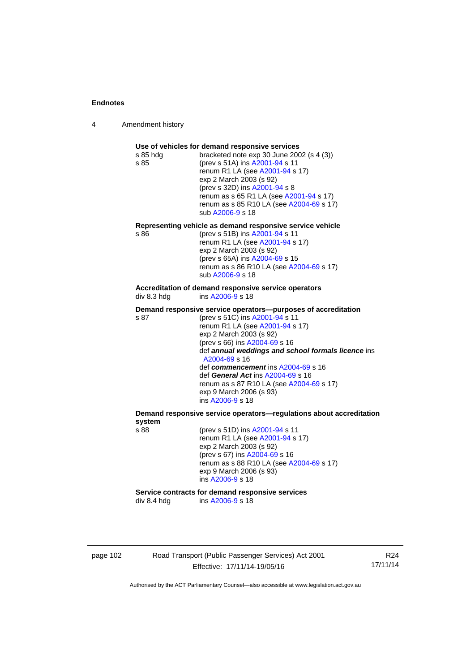4 Amendment history

| s 85 hda<br>s 85 | Use of vehicles for demand responsive services<br>bracketed note exp 30 June 2002 (s 4 (3))<br>(prev s 51A) ins A2001-94 s 11<br>renum R1 LA (see A2001-94 s 17)<br>exp 2 March 2003 (s 92)<br>(prev s 32D) ins A2001-94 s 8<br>renum as s 65 R1 LA (see A2001-94 s 17)<br>renum as s 85 R10 LA (see A2004-69 s 17)<br>sub A2006-9 s 18                                                                                                      |
|------------------|----------------------------------------------------------------------------------------------------------------------------------------------------------------------------------------------------------------------------------------------------------------------------------------------------------------------------------------------------------------------------------------------------------------------------------------------|
| s 86             | Representing vehicle as demand responsive service vehicle<br>(prev s 51B) ins A2001-94 s 11<br>renum R1 LA (see A2001-94 s 17)<br>exp 2 March 2003 (s 92)<br>(prev s 65A) ins A2004-69 s 15<br>renum as s 86 R10 LA (see A2004-69 s 17)<br>sub A2006-9 s 18                                                                                                                                                                                  |
| div 8.3 hdg      | Accreditation of demand responsive service operators<br>ins A2006-9 s 18                                                                                                                                                                                                                                                                                                                                                                     |
| s 87             | Demand responsive service operators--purposes of accreditation<br>(prev s 51C) ins A2001-94 s 11<br>renum R1 LA (see A2001-94 s 17)<br>exp 2 March 2003 (s 92)<br>(prev s 66) ins A2004-69 s 16<br>def annual weddings and school formals licence ins<br>A2004-69 s 16<br>def commencement ins A2004-69 s 16<br>def General Act ins A2004-69 s 16<br>renum as s 87 R10 LA (see A2004-69 s 17)<br>exp 9 March 2006 (s 93)<br>ins A2006-9 s 18 |
| system           | Demand responsive service operators-regulations about accreditation                                                                                                                                                                                                                                                                                                                                                                          |
| s 88             | (prev s 51D) ins A2001-94 s 11<br>renum R1 LA (see A2001-94 s 17)<br>exp 2 March 2003 (s 92)<br>(prev s 67) ins A2004-69 s 16<br>renum as s 88 R10 LA (see A2004-69 s 17)<br>exp 9 March 2006 (s 93)<br>ins A2006-9 s 18                                                                                                                                                                                                                     |
|                  |                                                                                                                                                                                                                                                                                                                                                                                                                                              |

page 102 Road Transport (Public Passenger Services) Act 2001 Effective: 17/11/14-19/05/16

R24 17/11/14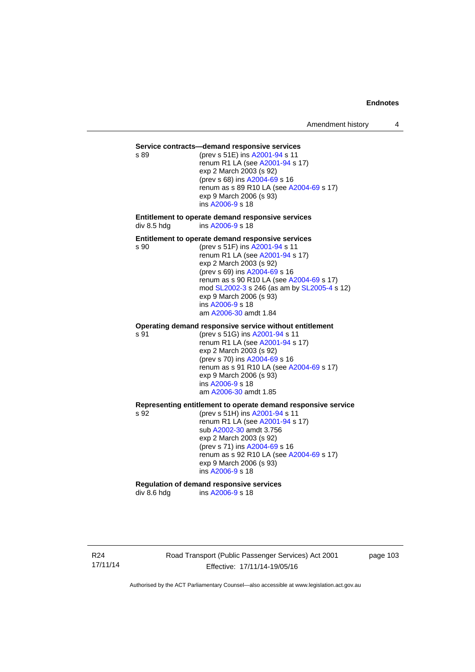#### **Service contracts—demand responsive services**

s 89 (prev s 51E) ins [A2001-94](http://www.legislation.act.gov.au/a/2001-94) s 11 renum R1 LA (see [A2001-94](http://www.legislation.act.gov.au/a/2001-94) s 17) exp 2 March 2003 (s 92) (prev s 68) ins [A2004-69](http://www.legislation.act.gov.au/a/2004-69) s 16 renum as s 89 R10 LA (see [A2004-69](http://www.legislation.act.gov.au/a/2004-69) s 17) exp 9 March 2006 (s 93) ins [A2006-9](http://www.legislation.act.gov.au/a/2006-9) s 18

**Entitlement to operate demand responsive services**  div 8.5 hdg ins [A2006-9](http://www.legislation.act.gov.au/a/2006-9) s 18

#### **Entitlement to operate demand responsive services**

s 90 (prev s 51F) ins [A2001-94](http://www.legislation.act.gov.au/a/2001-94) s 11 renum R1 LA (see [A2001-94](http://www.legislation.act.gov.au/a/2001-94) s 17) exp 2 March 2003 (s 92) (prev s 69) ins [A2004-69](http://www.legislation.act.gov.au/a/2004-69) s 16 renum as s 90 R10 LA (see [A2004-69](http://www.legislation.act.gov.au/a/2004-69) s 17) mod [SL2002-3](http://www.legislation.act.gov.au/sl/2002-3) s 246 (as am by [SL2005-4](http://www.legislation.act.gov.au/sl/2005-4) s 12) exp 9 March 2006 (s 93) ins [A2006-9](http://www.legislation.act.gov.au/a/2006-9) s 18 am [A2006-30](http://www.legislation.act.gov.au/a/2006-30) amdt 1.84

#### **Operating demand responsive service without entitlement**

s 91 (prev s 51G) ins [A2001-94](http://www.legislation.act.gov.au/a/2001-94) s 11 renum R1 LA (see [A2001-94](http://www.legislation.act.gov.au/a/2001-94) s 17) exp 2 March 2003 (s 92) (prev s 70) ins [A2004-69](http://www.legislation.act.gov.au/a/2004-69) s 16 renum as s 91 R10 LA (see [A2004-69](http://www.legislation.act.gov.au/a/2004-69) s 17) exp 9 March 2006 (s 93) ins [A2006-9](http://www.legislation.act.gov.au/a/2006-9) s 18 am [A2006-30](http://www.legislation.act.gov.au/a/2006-30) amdt 1.85

#### **Representing entitlement to operate demand responsive service**

s 92 (prev s 51H) ins [A2001-94](http://www.legislation.act.gov.au/a/2001-94) s 11 renum R1 LA (see [A2001-94](http://www.legislation.act.gov.au/a/2001-94) s 17) sub [A2002-30](http://www.legislation.act.gov.au/a/2002-30) amdt 3.756 exp 2 March 2003 (s 92) (prev s 71) ins [A2004-69](http://www.legislation.act.gov.au/a/2004-69) s 16 renum as s 92 R10 LA (see [A2004-69](http://www.legislation.act.gov.au/a/2004-69) s 17) exp 9 March 2006 (s 93) ins [A2006-9](http://www.legislation.act.gov.au/a/2006-9) s 18

# **Regulation of demand responsive services**

div 8.6 hdg ins [A2006-9](http://www.legislation.act.gov.au/a/2006-9) s 18

R24 17/11/14 Road Transport (Public Passenger Services) Act 2001 Effective: 17/11/14-19/05/16

page 103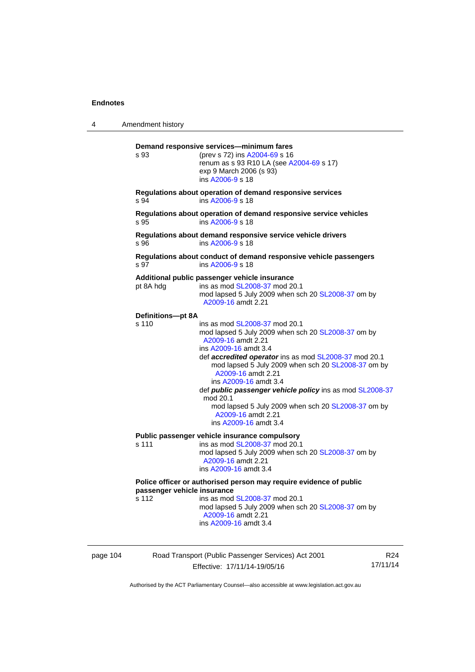| 4        | Amendment history                    |                                                                                                                                                                                                                                                                                                                                                                                                                                                                                      |                 |
|----------|--------------------------------------|--------------------------------------------------------------------------------------------------------------------------------------------------------------------------------------------------------------------------------------------------------------------------------------------------------------------------------------------------------------------------------------------------------------------------------------------------------------------------------------|-----------------|
|          | s 93                                 | Demand responsive services-minimum fares<br>(prev s 72) ins A2004-69 s 16<br>renum as s 93 R10 LA (see A2004-69 s 17)<br>exp 9 March 2006 (s 93)<br>ins A2006-9 s 18                                                                                                                                                                                                                                                                                                                 |                 |
|          | s 94                                 | Regulations about operation of demand responsive services<br>ins A2006-9 s 18                                                                                                                                                                                                                                                                                                                                                                                                        |                 |
|          | s 95                                 | Regulations about operation of demand responsive service vehicles<br>ins A2006-9 s 18                                                                                                                                                                                                                                                                                                                                                                                                |                 |
|          | s 96                                 | Regulations about demand responsive service vehicle drivers<br>ins A2006-9 s 18                                                                                                                                                                                                                                                                                                                                                                                                      |                 |
|          | s 97                                 | Regulations about conduct of demand responsive vehicle passengers<br>ins A2006-9 s 18                                                                                                                                                                                                                                                                                                                                                                                                |                 |
|          | pt 8A hdg                            | Additional public passenger vehicle insurance<br>ins as mod SL2008-37 mod 20.1<br>mod lapsed 5 July 2009 when sch 20 SL2008-37 om by<br>A2009-16 amdt 2.21                                                                                                                                                                                                                                                                                                                           |                 |
|          | Definitions-pt 8A<br>s 110           | ins as mod SL2008-37 mod 20.1<br>mod lapsed 5 July 2009 when sch 20 SL2008-37 om by<br>A2009-16 amdt 2.21<br>ins A2009-16 amdt 3.4<br>def accredited operator ins as mod SL2008-37 mod 20.1<br>mod lapsed 5 July 2009 when sch 20 SL2008-37 om by<br>A2009-16 amdt 2.21<br>ins A2009-16 amdt 3.4<br>def <i>public passenger vehicle policy</i> ins as mod SL2008-37<br>mod 20.1<br>mod lapsed 5 July 2009 when sch 20 SL2008-37 om by<br>A2009-16 amdt 2.21<br>ins A2009-16 amdt 3.4 |                 |
|          | s 111                                | Public passenger vehicle insurance compulsory<br>ins as mod SL2008-37 mod 20.1<br>mod lapsed 5 July 2009 when sch 20 SL2008-37 om by<br>A2009-16 amdt 2.21<br>ins A2009-16 amdt 3.4                                                                                                                                                                                                                                                                                                  |                 |
|          | passenger vehicle insurance<br>s 112 | Police officer or authorised person may require evidence of public<br>ins as mod SL2008-37 mod 20.1<br>mod lapsed 5 July 2009 when sch 20 SL2008-37 om by<br>A2009-16 amdt 2.21<br>ins A2009-16 amdt 3.4                                                                                                                                                                                                                                                                             |                 |
| page 104 |                                      | Road Transport (Public Passenger Services) Act 2001                                                                                                                                                                                                                                                                                                                                                                                                                                  | R <sub>24</sub> |

Effective: 17/11/14-19/05/16

R24 17/11/14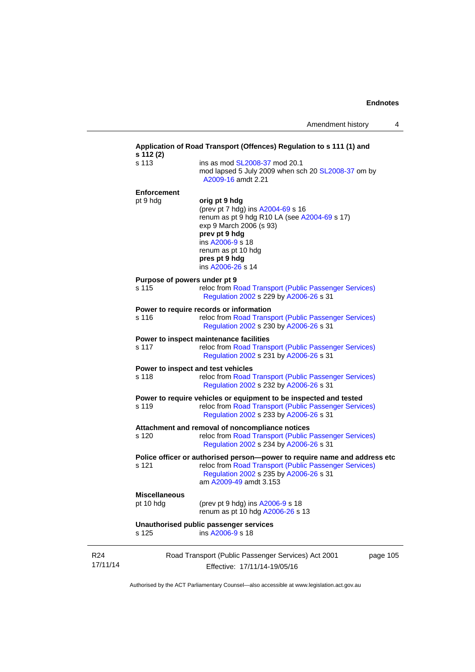|                 | s 112 (2)                             | Application of Road Transport (Offences) Regulation to s 111 (1) and                                                                                                                                                           |
|-----------------|---------------------------------------|--------------------------------------------------------------------------------------------------------------------------------------------------------------------------------------------------------------------------------|
|                 | s 113                                 | ins as mod SL2008-37 mod 20.1<br>mod lapsed 5 July 2009 when sch 20 SL2008-37 om by<br>A2009-16 amdt 2.21                                                                                                                      |
|                 | <b>Enforcement</b>                    |                                                                                                                                                                                                                                |
|                 | pt 9 hdg                              | orig pt 9 hdg<br>(prev pt 7 hdg) ins A2004-69 s 16<br>renum as pt 9 hdg R10 LA (see A2004-69 s 17)<br>exp 9 March 2006 (s 93)<br>prev pt 9 hdg<br>ins A2006-9 s 18<br>renum as pt 10 hdg<br>pres pt 9 hdg<br>ins A2006-26 s 14 |
|                 | Purpose of powers under pt 9<br>s 115 | reloc from Road Transport (Public Passenger Services)<br>Regulation 2002 s 229 by A2006-26 s 31                                                                                                                                |
|                 | s 116                                 | Power to require records or information<br>reloc from Road Transport (Public Passenger Services)<br>Regulation 2002 s 230 by A2006-26 s 31                                                                                     |
|                 | s 117                                 | Power to inspect maintenance facilities<br>reloc from Road Transport (Public Passenger Services)<br>Regulation 2002 s 231 by A2006-26 s 31                                                                                     |
|                 | s 118                                 | Power to inspect and test vehicles<br>reloc from Road Transport (Public Passenger Services)<br>Regulation 2002 s 232 by A2006-26 s 31                                                                                          |
|                 | s 119                                 | Power to require vehicles or equipment to be inspected and tested<br>reloc from Road Transport (Public Passenger Services)<br>Regulation 2002 s 233 by A2006-26 s 31                                                           |
|                 | s 120                                 | Attachment and removal of noncompliance notices<br>reloc from Road Transport (Public Passenger Services)<br>Regulation 2002 s 234 by A2006-26 s 31                                                                             |
|                 | s 121                                 | Police officer or authorised person--power to require name and address etc<br>reloc from Road Transport (Public Passenger Services)<br>Regulation 2002 s 235 by A2006-26 s 31<br>am A2009-49 amdt 3.153                        |
|                 | <b>Miscellaneous</b><br>pt 10 hdg     | (prev pt 9 hdg) ins A2006-9 s 18<br>renum as pt 10 hdg A2006-26 s 13                                                                                                                                                           |
|                 | s 125                                 | Unauthorised public passenger services<br>ins A2006-9 s 18                                                                                                                                                                     |
| R24<br>17/11/14 |                                       | Road Transport (Public Passenger Services) Act 2001<br>page 105<br>Effective: 17/11/14-19/05/16                                                                                                                                |

Authorised by the ACT Parliamentary Counsel—also accessible at www.legislation.act.gov.au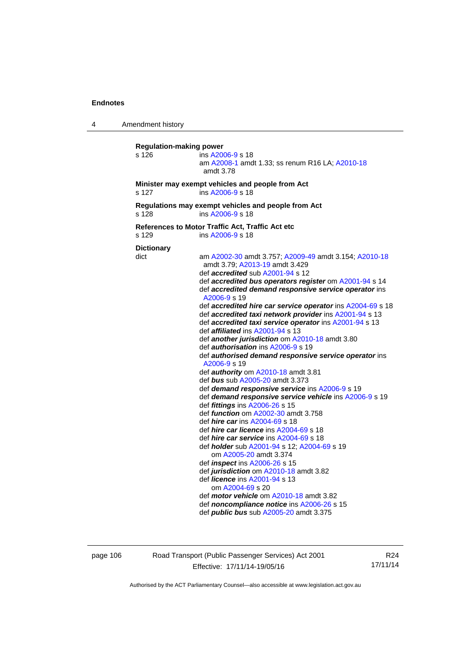4 Amendment history **Regulation-making power**  s 126 ins [A2006-9](http://www.legislation.act.gov.au/a/2006-9) s 18 am [A2008-1](http://www.legislation.act.gov.au/a/2008-1) amdt 1.33; ss renum R16 LA; [A2010-18](http://www.legislation.act.gov.au/a/2010-18) amdt 3.78 **Minister may exempt vehicles and people from Act**  s 127 ins [A2006-9](http://www.legislation.act.gov.au/a/2006-9) s 18 **Regulations may exempt vehicles and people from Act**  s 128 ins [A2006-9](http://www.legislation.act.gov.au/a/2006-9) s 18 **References to Motor Traffic Act, Traffic Act etc**  s 129 ins [A2006-9](http://www.legislation.act.gov.au/a/2006-9) s 18 **Dictionary**  dict am [A2002-30](http://www.legislation.act.gov.au/a/2002-30) amdt 3.757; [A2009-49](http://www.legislation.act.gov.au/a/2009-49) amdt 3.154; [A2010-18](http://www.legislation.act.gov.au/a/2010-18) amdt 3.79; [A2013-19](http://www.legislation.act.gov.au/a/2013-19) amdt 3.429 def *accredited* sub [A2001-94](http://www.legislation.act.gov.au/a/2001-94) s 12 def *accredited bus operators register* om [A2001-94](http://www.legislation.act.gov.au/a/2001-94) s 14 def *accredited demand responsive service operator* ins [A2006-9](http://www.legislation.act.gov.au/a/2006-9) s 19 def *accredited hire car service operator* ins [A2004-69](http://www.legislation.act.gov.au/a/2004-69) s 18 def *accredited taxi network provider* ins [A2001-94](http://www.legislation.act.gov.au/a/2001-94) s 13 def *accredited taxi service operator* ins [A2001-94](http://www.legislation.act.gov.au/a/2001-94) s 13 def *affiliated* ins [A2001-94](http://www.legislation.act.gov.au/a/2001-94) s 13 def *another jurisdiction* om [A2010-18](http://www.legislation.act.gov.au/a/2010-18) amdt 3.80 def *authorisation* ins [A2006-9](http://www.legislation.act.gov.au/a/2006-9) s 19 def *authorised demand responsive service operator* ins [A2006-9](http://www.legislation.act.gov.au/a/2006-9) s 19 def *authority* om [A2010-18](http://www.legislation.act.gov.au/a/2010-18) amdt 3.81 def *bus* sub [A2005-20](http://www.legislation.act.gov.au/a/2005-20) amdt 3.373 def *demand responsive service* ins [A2006-9](http://www.legislation.act.gov.au/a/2006-9) s 19 def *demand responsive service vehicle* ins [A2006-9](http://www.legislation.act.gov.au/a/2006-9) s 19 def *fittings* ins [A2006-26](http://www.legislation.act.gov.au/a/2006-26) s 15 def *function* om [A2002-30](http://www.legislation.act.gov.au/a/2002-30) amdt 3.758 def *hire car* ins [A2004-69](http://www.legislation.act.gov.au/a/2004-69) s 18 def *hire car licence* ins [A2004-69](http://www.legislation.act.gov.au/a/2004-69) s 18 def *hire car service* ins [A2004-69](http://www.legislation.act.gov.au/a/2004-69) s 18 def *holder* sub [A2001-94](http://www.legislation.act.gov.au/a/2001-94) s 12; [A2004-69](http://www.legislation.act.gov.au/a/2004-69) s 19 om [A2005-20](http://www.legislation.act.gov.au/a/2005-20) amdt 3.374 def *inspect* ins [A2006-26](http://www.legislation.act.gov.au/a/2006-26) s 15 def *jurisdiction* om [A2010-18](http://www.legislation.act.gov.au/a/2010-18) amdt 3.82 def *licence* ins [A2001-94](http://www.legislation.act.gov.au/a/2001-94) s 13 om [A2004-69](http://www.legislation.act.gov.au/a/2004-69) s 20 def *motor vehicle* om [A2010-18](http://www.legislation.act.gov.au/a/2010-18) amdt 3.82 def *noncompliance notice* ins [A2006-26](http://www.legislation.act.gov.au/a/2006-26) s 15 def *public bus* sub [A2005-20](http://www.legislation.act.gov.au/a/2005-20) amdt 3.375

page 106 Road Transport (Public Passenger Services) Act 2001 Effective: 17/11/14-19/05/16

R24 17/11/14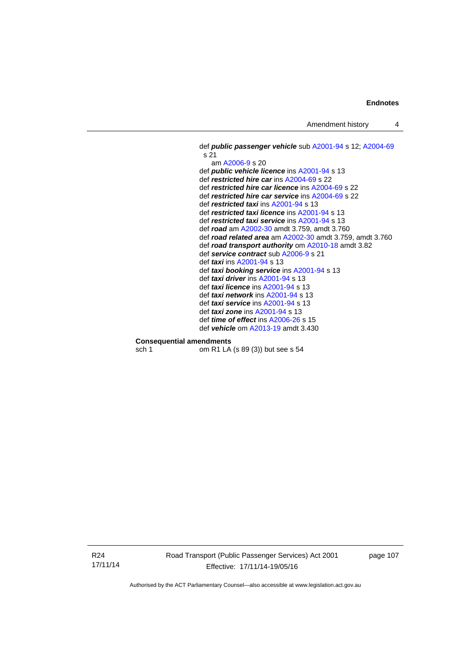Amendment history 4

```
 def public passenger vehicle sub A2001-94 s 12; A2004-69
s 21 
   am A2006-9 s 20 
def public vehicle licence ins A2001-94 s 13 
def restricted hire car ins A2004-69 s 22 
def restricted hire car licence ins A2004-69 s 22 
def restricted hire car service ins A2004-69 s 22 
def restricted taxi ins A2001-94 s 13 
def restricted taxi licence ins A2001-94 s 13 
def restricted taxi service ins A2001-94 s 13 
def road am A2002-30 amdt 3.759, amdt 3.760 
def road related area am A2002-30 amdt 3.759, amdt 3.760 
def road transport authority om A2010-18 amdt 3.82
def service contract sub A2006-9 s 21 
def taxi ins A2001-94 s 13 
def taxi booking service ins A2001-94 s 13 
def taxi driver ins A2001-94 s 13 
def taxi licence ins A2001-94 s 13 
def taxi network ins A2001-94 s 13 
def taxi service ins A2001-94 s 13 
def taxi zone ins A2001-94 s 13 
def time of effect ins A2006-26 s 15 
def vehicle om A2013-19 amdt 3.430
```
### **Consequential amendments**

sch 1 om R1 LA (s 89 (3)) but see s 54

R24 17/11/14 Road Transport (Public Passenger Services) Act 2001 Effective: 17/11/14-19/05/16

page 107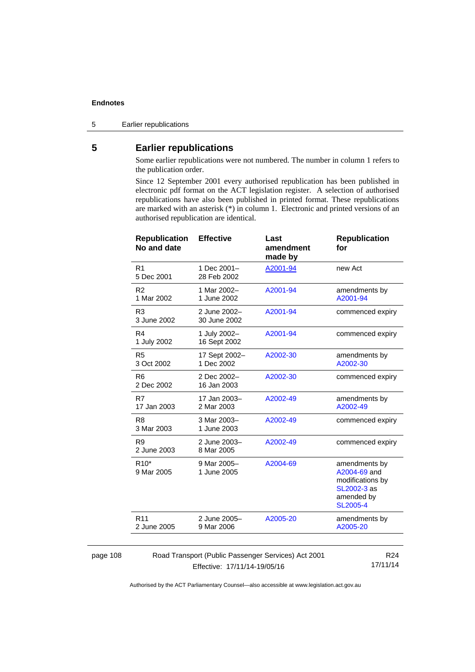5 Earlier republications

# **5 Earlier republications**

Some earlier republications were not numbered. The number in column 1 refers to the publication order.

Since 12 September 2001 every authorised republication has been published in electronic pdf format on the ACT legislation register. A selection of authorised republications have also been published in printed format. These republications are marked with an asterisk (\*) in column 1. Electronic and printed versions of an authorised republication are identical.

| <b>Republication</b><br>No and date                 | <b>Effective</b>             | Last<br>amendment<br>made by | <b>Republication</b><br>for                                                                       |
|-----------------------------------------------------|------------------------------|------------------------------|---------------------------------------------------------------------------------------------------|
| R <sub>1</sub><br>5 Dec 2001                        | 1 Dec 2001-<br>28 Feb 2002   | A2001-94                     | new Act                                                                                           |
| R <sub>2</sub><br>1 Mar 2002                        | 1 Mar 2002-<br>1 June 2002   | A2001-94                     | amendments by<br>A2001-94                                                                         |
| R <sub>3</sub><br>3 June 2002                       | 2 June 2002-<br>30 June 2002 | A2001-94                     | commenced expiry                                                                                  |
| R <sub>4</sub><br>1 July 2002                       | 1 July 2002-<br>16 Sept 2002 | A2001-94                     | commenced expiry                                                                                  |
| R <sub>5</sub><br>3 Oct 2002                        | 17 Sept 2002-<br>1 Dec 2002  | A2002-30                     | amendments by<br>A2002-30                                                                         |
| R <sub>6</sub><br>2 Dec 2002                        | 2 Dec 2002-<br>16 Jan 2003   | A2002-30                     | commenced expiry                                                                                  |
| R7<br>17 Jan 2003                                   | 17 Jan 2003-<br>2 Mar 2003   | A2002-49                     | amendments by<br>A2002-49                                                                         |
| R <sub>8</sub><br>3 Mar 2003                        | 3 Mar 2003-<br>1 June 2003   | A2002-49                     | commenced expiry                                                                                  |
| R <sub>9</sub><br>2 June 2003                       | 2 June 2003-<br>8 Mar 2005   | A2002-49                     | commenced expiry                                                                                  |
| R <sub>10</sub> *<br>9 Mar 2005                     | 9 Mar 2005-<br>1 June 2005   | A2004-69                     | amendments by<br>A2004-69 and<br>modifications by<br>SL2002-3 as<br>amended by<br><b>SL2005-4</b> |
| R <sub>11</sub><br>2 June 2005                      | 2 June 2005-<br>9 Mar 2006   | A2005-20                     | amendments by<br>A2005-20                                                                         |
|                                                     |                              |                              |                                                                                                   |
| Road Transport (Public Passenger Services) Act 2001 |                              |                              | R <sub>24</sub><br>$A = 1A A  A A$                                                                |

#### page 108

Effective: 17/11/14-19/05/16

17/11/14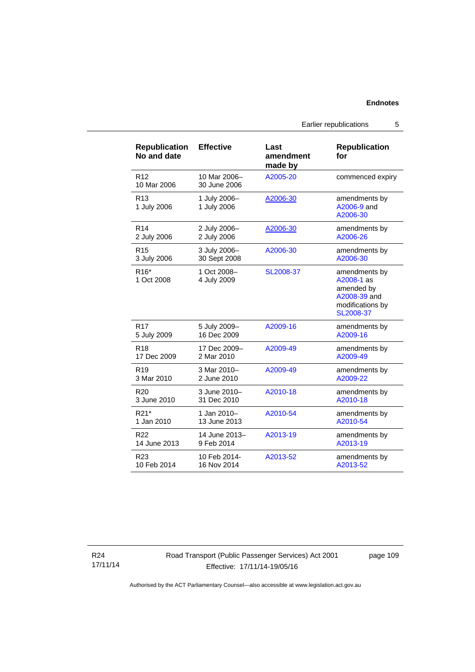Earlier republications 5

**for** 

[A2005-20](http://www.legislation.act.gov.au/a/2005-20) commenced expiry

**Republication** 

| 10 Mar 2006                     | 30 June 2006                |           |                                                                                            |
|---------------------------------|-----------------------------|-----------|--------------------------------------------------------------------------------------------|
| R <sub>13</sub><br>1 July 2006  | 1 July 2006-<br>1 July 2006 | A2006-30  | amendments by<br>A2006-9 and<br>A2006-30                                                   |
| R <sub>14</sub>                 | 2 July 2006-                | A2006-30  | amendments by                                                                              |
| 2 July 2006                     | 2 July 2006                 |           | A2006-26                                                                                   |
| R <sub>15</sub>                 | 3 July 2006-                | A2006-30  | amendments by                                                                              |
| 3 July 2006                     | 30 Sept 2008                |           | A2006-30                                                                                   |
| R <sub>16</sub> *<br>1 Oct 2008 | 1 Oct 2008-<br>4 July 2009  | SL2008-37 | amendments by<br>A2008-1 as<br>amended by<br>A2008-39 and<br>modifications by<br>SL2008-37 |
| R <sub>17</sub>                 | 5 July 2009-                | A2009-16  | amendments by                                                                              |
| 5 July 2009                     | 16 Dec 2009                 |           | A2009-16                                                                                   |
| R <sub>18</sub>                 | 17 Dec 2009-                | A2009-49  | amendments by                                                                              |
| 17 Dec 2009                     | 2 Mar 2010                  |           | A2009-49                                                                                   |
| R <sub>19</sub>                 | 3 Mar 2010-                 | A2009-49  | amendments by                                                                              |
| 3 Mar 2010                      | 2 June 2010                 |           | A2009-22                                                                                   |
| R <sub>20</sub>                 | 3 June 2010-                | A2010-18  | amendments by                                                                              |
| 3 June 2010                     | 31 Dec 2010                 |           | A2010-18                                                                                   |
| R <sub>21</sub> *               | 1 Jan 2010-                 | A2010-54  | amendments by                                                                              |
| 1 Jan 2010                      | 13 June 2013                |           | A2010-54                                                                                   |
| R <sub>22</sub>                 | 14 June 2013-               | A2013-19  | amendments by                                                                              |
| 14 June 2013                    | 9 Feb 2014                  |           | A2013-19                                                                                   |
| R <sub>23</sub>                 | 10 Feb 2014-                | A2013-52  | amendments by                                                                              |

**Effective Last** 

10 Mar 2006–

**amendment made by** 

**Republication No and date** 

10 Feb 2014

R12

R24 17/11/14

# Road Transport (Public Passenger Services) Act 2001 Effective: 17/11/14-19/05/16

page 109

[A2013-52](http://www.legislation.act.gov.au/a/2013-52)

Authorised by the ACT Parliamentary Counsel—also accessible at www.legislation.act.gov.au

16 Nov 2014